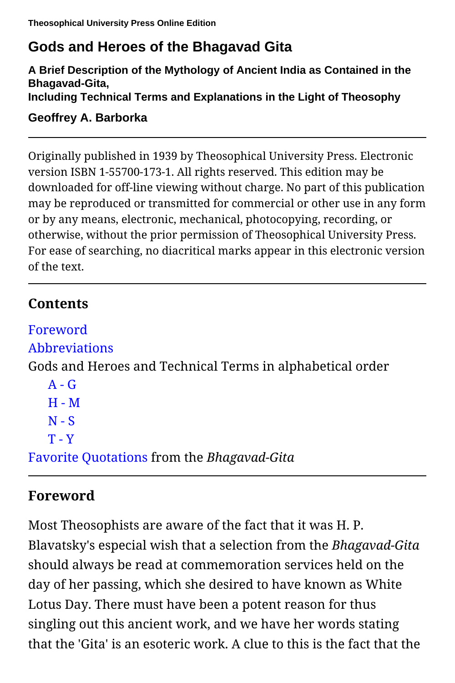# **Gods and Heroes of the Bhagavad Gita**

**A Brief Description of the Mythology of Ancient India as Contained in the Bhagavad-Gita, Including Technical Terms and Explanations in the Light of Theosophy**

**Geoffrey A. Barborka**

Originally published in 1939 by Theosophical University Press. Electronic version ISBN 1-55700-173-1. All rights reserved. This edition may be downloaded for off-line viewing without charge. No part of this publication may be reproduced or transmitted for commercial or other use in any form or by any means, electronic, mechanical, photocopying, recording, or otherwise, without the prior permission of Theosophical University Press. For ease of searching, no diacritical marks appear in this electronic version of the text.

## <span id="page-0-1"></span>**Contents**

```
Foreword
Abbreviations
Gods and Heroes and Technical Terms in alphabetical order
   A - GH - MN-ST - Y
Favorite Quotations from the Bhagavad-Gita
```
# <span id="page-0-0"></span>**Foreword**

Most Theosophists are aware of the fact that it was H. P. Blavatsky's especial wish that a selection from the *Bhagavad-Gita* should always be read at commemoration services held on the day of her passing, which she desired to have known as White Lotus Day. There must have been a potent reason for thus singling out this ancient work, and we have her words stating that the 'Gita' is an esoteric work. A clue to this is the fact that the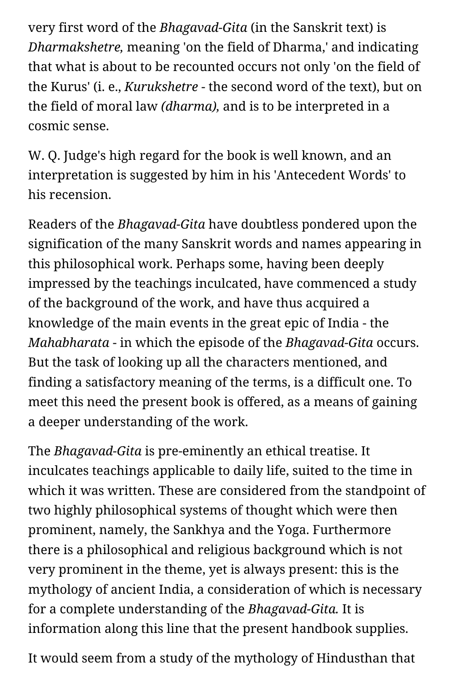very first word of the *Bhagavad-Gita* (in the Sanskrit text) is *Dharmakshetre,* meaning 'on the field of Dharma,' and indicating that what is about to be recounted occurs not only 'on the field of the Kurus' (i. e., *Kurukshetre* - the second word of the text), but on the field of moral law *(dharma),* and is to be interpreted in a cosmic sense.

W. Q. Judge's high regard for the book is well known, and an interpretation is suggested by him in his 'Antecedent Words' to his recension.

Readers of the *Bhagavad-Gita* have doubtless pondered upon the signification of the many Sanskrit words and names appearing in this philosophical work. Perhaps some, having been deeply impressed by the teachings inculcated, have commenced a study of the background of the work, and have thus acquired a knowledge of the main events in the great epic of India - the *Mahabharata* - in which the episode of the *Bhagavad-Gita* occurs. But the task of looking up all the characters mentioned, and finding a satisfactory meaning of the terms, is a difficult one. To meet this need the present book is offered, as a means of gaining a deeper understanding of the work.

The *Bhagavad-Gita* is pre-eminently an ethical treatise. It inculcates teachings applicable to daily life, suited to the time in which it was written. These are considered from the standpoint of two highly philosophical systems of thought which were then prominent, namely, the Sankhya and the Yoga. Furthermore there is a philosophical and religious background which is not very prominent in the theme, yet is always present: this is the mythology of ancient India, a consideration of which is necessary for a complete understanding of the *Bhagavad-Gita.* It is information along this line that the present handbook supplies.

It would seem from a study of the mythology of Hindusthan that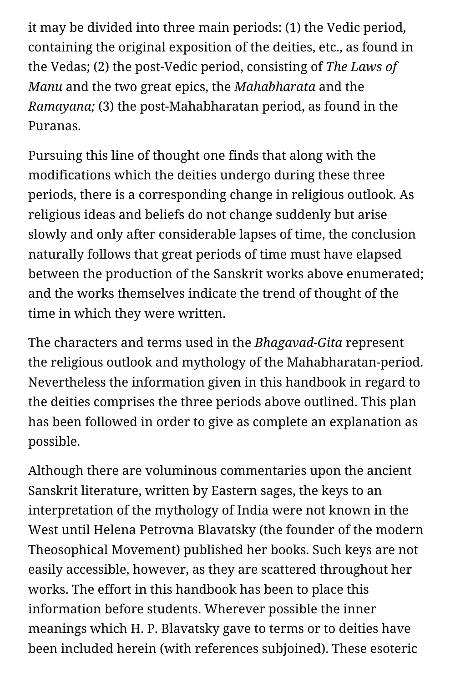it may be divided into three main periods: (1) the Vedic period, containing the original exposition of the deities, etc., as found in the Vedas; (2) the post-Vedic period, consisting of *The Laws of Manu* and the two great epics, the *Mahabharata* and the *Ramayana;* (3) the post-Mahabharatan period, as found in the Puranas.

Pursuing this line of thought one finds that along with the modifications which the deities undergo during these three periods, there is a corresponding change in religious outlook. As religious ideas and beliefs do not change suddenly but arise slowly and only after considerable lapses of time, the conclusion naturally follows that great periods of time must have elapsed between the production of the Sanskrit works above enumerated; and the works themselves indicate the trend of thought of the time in which they were written.

The characters and terms used in the *Bhagavad-Gita* represent the religious outlook and mythology of the Mahabharatan-period. Nevertheless the information given in this handbook in regard to the deities comprises the three periods above outlined. This plan has been followed in order to give as complete an explanation as possible.

Although there are voluminous commentaries upon the ancient Sanskrit literature, written by Eastern sages, the keys to an interpretation of the mythology of India were not known in the West until Helena Petrovna Blavatsky (the founder of the modern Theosophical Movement) published her books. Such keys are not easily accessible, however, as they are scattered throughout her works. The effort in this handbook has been to place this information before students. Wherever possible the inner meanings which H. P. Blavatsky gave to terms or to deities have been included herein (with references subjoined). These esoteric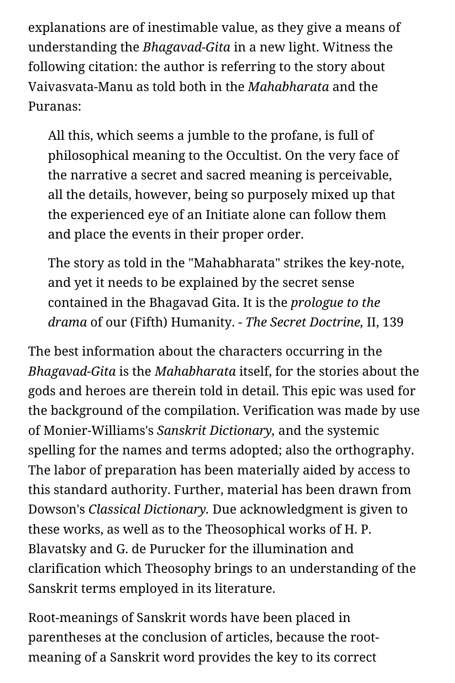explanations are of inestimable value, as they give a means of understanding the *Bhagavad-Gita* in a new light. Witness the following citation: the author is referring to the story about Vaivasvata-Manu as told both in the *Mahabharata* and the Puranas:

All this, which seems a jumble to the profane, is full of philosophical meaning to the Occultist. On the very face of the narrative a secret and sacred meaning is perceivable, all the details, however, being so purposely mixed up that the experienced eye of an Initiate alone can follow them and place the events in their proper order.

The story as told in the "Mahabharata" strikes the key-note, and yet it needs to be explained by the secret sense contained in the Bhagavad Gita. It is the *prologue to the drama* of our (Fifth) Humanity. - *The Secret Doctrine,* II, 139

The best information about the characters occurring in the *Bhagavad-Gita* is the *Mahabharata* itself, for the stories about the gods and heroes are therein told in detail. This epic was used for the background of the compilation. Verification was made by use of Monier-Williams's *Sanskrit Dictionary,* and the systemic spelling for the names and terms adopted; also the orthography. The labor of preparation has been materially aided by access to this standard authority. Further, material has been drawn from Dowson's *Classical Dictionary.* Due acknowledgment is given to these works, as well as to the Theosophical works of H. P. Blavatsky and G. de Purucker for the illumination and clarification which Theosophy brings to an understanding of the Sanskrit terms employed in its literature.

Root-meanings of Sanskrit words have been placed in parentheses at the conclusion of articles, because the rootmeaning of a Sanskrit word provides the key to its correct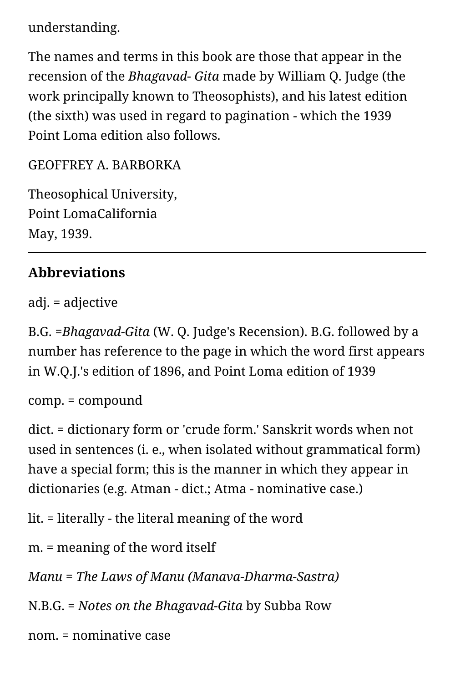understanding.

The names and terms in this book are those that appear in the recension of the *Bhagavad- Gita* made by William Q. Judge (the work principally known to Theosophists), and his latest edition (the sixth) was used in regard to pagination - which the 1939 Point Loma edition also follows.

GEOFFREY A. BARBORKA

Theosophical University, Point LomaCalifornia May, 1939.

#### <span id="page-4-0"></span>**Abbreviations**

adj. = adjective

B.G. *=Bhagavad-Gita* (W. Q. Judge's Recension). B.G. followed by a number has reference to the page in which the word first appears in W.Q.J.'s edition of 1896, and Point Loma edition of 1939

comp. = compound

dict. = dictionary form or 'crude form.' Sanskrit words when not used in sentences (i. e., when isolated without grammatical form) have a special form; this is the manner in which they appear in dictionaries (e.g. Atman - dict.; Atma - nominative case.)

lit. = literally - the literal meaning of the word

m. = meaning of the word itself

*Manu* = *The Laws of Manu (Manava-Dharma-Sastra)*

N.B.G. = *Notes on the Bhagavad-Gita* by Subba Row

nom. = nominative case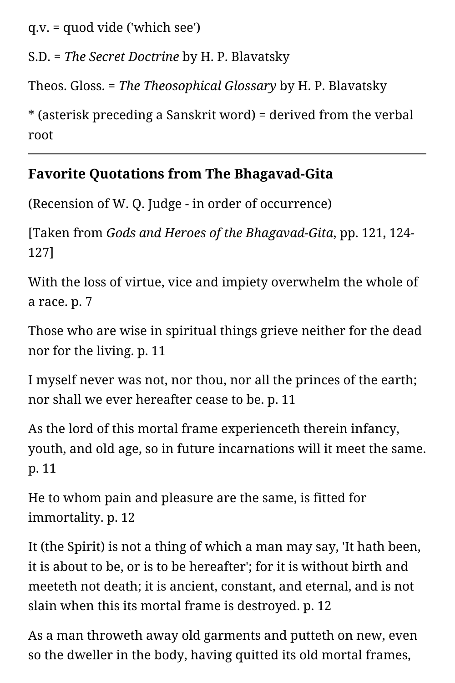q.v. = quod vide ('which see')

S.D. = *The Secret Doctrine* by H. P. Blavatsky

Theos. Gloss. = *The Theosophical Glossary* by H. P. Blavatsky

\* (asterisk preceding a Sanskrit word) = derived from the verbal root

## <span id="page-5-0"></span>**Favorite Quotations from The Bhagavad-Gita**

(Recension of W. Q. Judge - in order of occurrence)

[Taken from *Gods and Heroes of the Bhagavad-Gita*, pp. 121, 124- 127]

With the loss of virtue, vice and impiety overwhelm the whole of a race. p. 7

Those who are wise in spiritual things grieve neither for the dead nor for the living. p. 11

I myself never was not, nor thou, nor all the princes of the earth; nor shall we ever hereafter cease to be. p. 11

As the lord of this mortal frame experienceth therein infancy, youth, and old age, so in future incarnations will it meet the same. p. 11

He to whom pain and pleasure are the same, is fitted for immortality. p. 12

It (the Spirit) is not a thing of which a man may say, 'It hath been, it is about to be, or is to be hereafter'; for it is without birth and meeteth not death; it is ancient, constant, and eternal, and is not slain when this its mortal frame is destroyed. p. 12

As a man throweth away old garments and putteth on new, even so the dweller in the body, having quitted its old mortal frames,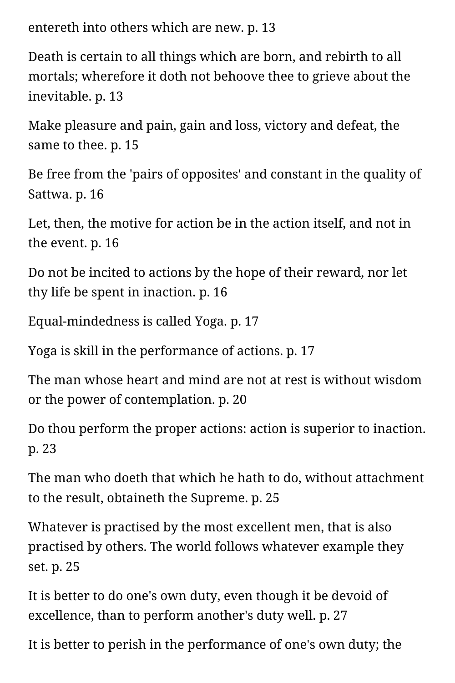entereth into others which are new. p. 13

Death is certain to all things which are born, and rebirth to all mortals; wherefore it doth not behoove thee to grieve about the inevitable. p. 13

Make pleasure and pain, gain and loss, victory and defeat, the same to thee. p. 15

Be free from the 'pairs of opposites' and constant in the quality of Sattwa. p. 16

Let, then, the motive for action be in the action itself, and not in the event. p. 16

Do not be incited to actions by the hope of their reward, nor let thy life be spent in inaction. p. 16

Equal-mindedness is called Yoga. p. 17

Yoga is skill in the performance of actions. p. 17

The man whose heart and mind are not at rest is without wisdom or the power of contemplation. p. 20

Do thou perform the proper actions: action is superior to inaction. p. 23

The man who doeth that which he hath to do, without attachment to the result, obtaineth the Supreme. p. 25

Whatever is practised by the most excellent men, that is also practised by others. The world follows whatever example they set. p. 25

It is better to do one's own duty, even though it be devoid of excellence, than to perform another's duty well. p. 27

It is better to perish in the performance of one's own duty; the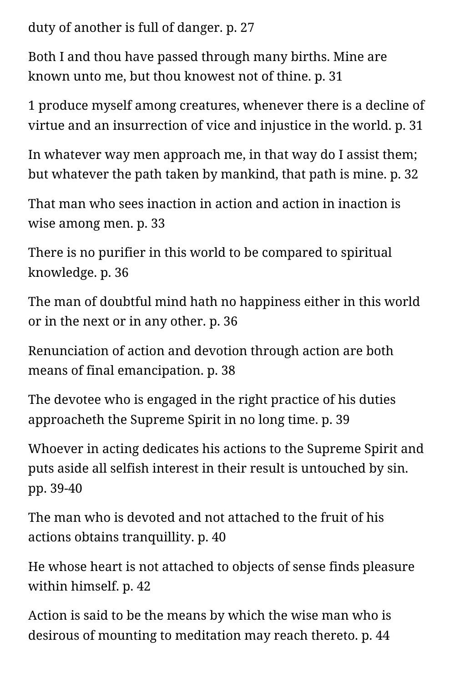duty of another is full of danger. p. 27

Both I and thou have passed through many births. Mine are known unto me, but thou knowest not of thine. p. 31

1 produce myself among creatures, whenever there is a decline of virtue and an insurrection of vice and injustice in the world. p. 31

In whatever way men approach me, in that way do I assist them; but whatever the path taken by mankind, that path is mine. p. 32

That man who sees inaction in action and action in inaction is wise among men. p. 33

There is no purifier in this world to be compared to spiritual knowledge. p. 36

The man of doubtful mind hath no happiness either in this world or in the next or in any other. p. 36

Renunciation of action and devotion through action are both means of final emancipation. p. 38

The devotee who is engaged in the right practice of his duties approacheth the Supreme Spirit in no long time. p. 39

Whoever in acting dedicates his actions to the Supreme Spirit and puts aside all selfish interest in their result is untouched by sin. pp. 39-40

The man who is devoted and not attached to the fruit of his actions obtains tranquillity. p. 40

He whose heart is not attached to objects of sense finds pleasure within himself. p. 42

Action is said to be the means by which the wise man who is desirous of mounting to meditation may reach thereto. p. 44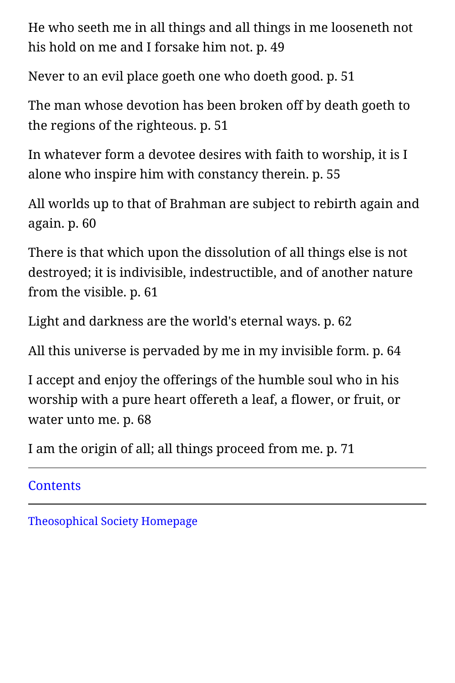He who seeth me in all things and all things in me looseneth not his hold on me and I forsake him not. p. 49

Never to an evil place goeth one who doeth good. p. 51

The man whose devotion has been broken off by death goeth to the regions of the righteous. p. 51

In whatever form a devotee desires with faith to worship, it is I alone who inspire him with constancy therein. p. 55

All worlds up to that of Brahman are subject to rebirth again and again. p. 60

There is that which upon the dissolution of all things else is not destroyed; it is indivisible, indestructible, and of another nature from the visible. p. 61

Light and darkness are the world's eternal ways. p. 62

All this universe is pervaded by me in my invisible form. p. 64

I accept and enjoy the offerings of the humble soul who in his worship with a pure heart offereth a leaf, a flower, or fruit, or water unto me. p. 68

I am the origin of all; all things proceed from me. p. 71

**[Contents](#page-0-1)** 

[Theosophical Society Homepage](https://www.theosociety.org/)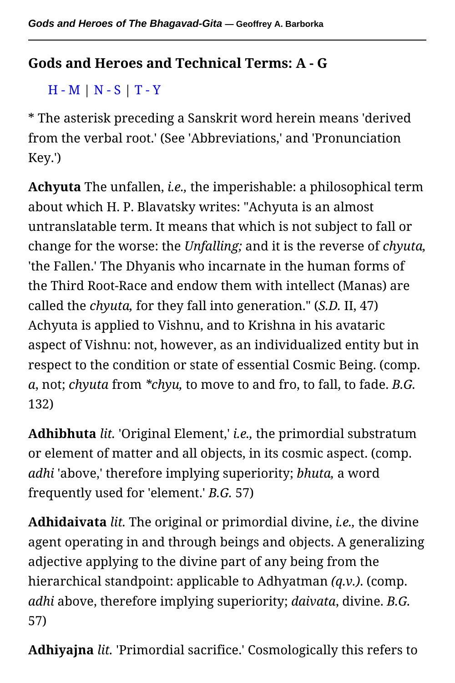#### <span id="page-9-1"></span><span id="page-9-0"></span>**Gods and Heroes and Technical Terms: A - G**

[H - M](#page-31-0) | [N - S](#page-50-0) | [T - Y](#page-68-0)

\* The asterisk preceding a Sanskrit word herein means 'derived from the verbal root.' (See 'Abbreviations,' and 'Pronunciation Key.')

**Achyuta** The unfallen, *i.e.,* the imperishable: a philosophical term about which H. P. Blavatsky writes: "Achyuta is an almost untranslatable term. It means that which is not subject to fall or change for the worse: the *Unfalling;* and it is the reverse of *chyuta,* 'the Fallen.' The Dhyanis who incarnate in the human forms of the Third Root-Race and endow them with intellect (Manas) are called the *chyuta,* for they fall into generation." (*S.D.* II, 47) Achyuta is applied to Vishnu, and to Krishna in his avataric aspect of Vishnu: not, however, as an individualized entity but in respect to the condition or state of essential Cosmic Being. (comp. *a*, not; *chyuta* from *\*chyu,* to move to and fro, to fall, to fade. *B.G.* 132)

**Adhibhuta** *lit.* 'Original Element,' *i.e.,* the primordial substratum or element of matter and all objects, in its cosmic aspect. (comp. *adhi* 'above,' therefore implying superiority; *bhuta,* a word frequently used for 'element.' *B.G.* 57)

**Adhidaivata** *lit.* The original or primordial divine, *i.e.,* the divine agent operating in and through beings and objects. A generalizing adjective applying to the divine part of any being from the hierarchical standpoint: applicable to Adhyatman *(q.v.)*. (comp. *adhi* above, therefore implying superiority; *daivata*, divine. *B.G.* 57)

**Adhiyajna** *lit.* 'Primordial sacrifice.' Cosmologically this refers to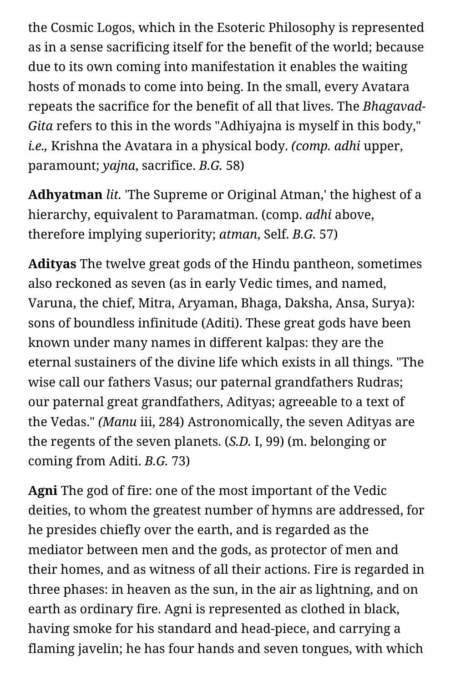the Cosmic Logos, which in the Esoteric Philosophy is represented as in a sense sacrificing itself for the benefit of the world; because due to its own coming into manifestation it enables the waiting hosts of monads to come into being. In the small, every Avatara repeats the sacrifice for the benefit of all that lives. The *Bhagavad-Gita* refers to this in the words "Adhiyajna is myself in this body," *i.e.,* Krishna the Avatara in a physical body. *(comp. adhi* upper, paramount; *yajna*, sacrifice. *B.G.* 58)

**Adhyatman** *lit.* 'The Supreme or Original Atman,' the highest of a hierarchy, equivalent to Paramatman. (comp. *adhi* above, therefore implying superiority; *atman*, Self. *B.G.* 57)

**Adityas** The twelve great gods of the Hindu pantheon, sometimes also reckoned as seven (as in early Vedic times, and named, Varuna, the chief, Mitra, Aryaman, Bhaga, Daksha, Ansa, Surya): sons of boundless infinitude (Aditi). These great gods have been known under many names in different kalpas: they are the eternal sustainers of the divine life which exists in all things. "The wise call our fathers Vasus; our paternal grandfathers Rudras; our paternal great grandfathers, Adityas; agreeable to a text of the Vedas." *(Manu* iii, 284) Astronomically, the seven Adityas are the regents of the seven planets. (*S.D.* I, 99) (m. belonging or coming from Aditi. *B.G.* 73)

**Agni** The god of fire: one of the most important of the Vedic deities, to whom the greatest number of hymns are addressed, for he presides chiefly over the earth, and is regarded as the mediator between men and the gods, as protector of men and their homes, and as witness of all their actions. Fire is regarded in three phases: in heaven as the sun, in the air as lightning, and on earth as ordinary fire. Agni is represented as clothed in black, having smoke for his standard and head-piece, and carrying a flaming javelin; he has four hands and seven tongues, with which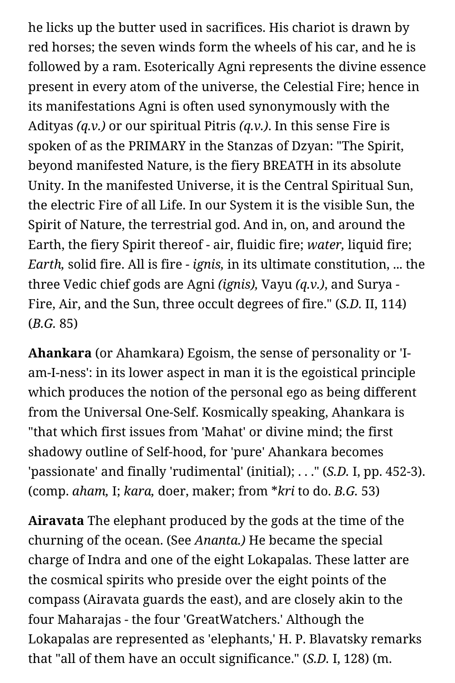he licks up the butter used in sacrifices. His chariot is drawn by red horses; the seven winds form the wheels of his car, and he is followed by a ram. Esoterically Agni represents the divine essence present in every atom of the universe, the Celestial Fire; hence in its manifestations Agni is often used synonymously with the Adityas *(q.v.)* or our spiritual Pitris *(q.v.)*. In this sense Fire is spoken of as the PRIMARY in the Stanzas of Dzyan: "The Spirit, beyond manifested Nature, is the fiery BREATH in its absolute Unity. In the manifested Universe, it is the Central Spiritual Sun, the electric Fire of all Life. In our System it is the visible Sun, the Spirit of Nature, the terrestrial god. And in, on, and around the Earth, the fiery Spirit thereof - air, fluidic fire; *water,* liquid fire; *Earth,* solid fire. All is fire - *ignis,* in its ultimate constitution, ... the three Vedic chief gods are Agni *(ignis),* Vayu *(q.v.)*, and Surya - Fire, Air, and the Sun, three occult degrees of fire." (*S.D.* II, 114) (*B.G.* 85)

**Ahankara** (or Ahamkara) Egoism, the sense of personality or 'Iam-I-ness': in its lower aspect in man it is the egoistical principle which produces the notion of the personal ego as being different from the Universal One-Self. Kosmically speaking, Ahankara is "that which first issues from 'Mahat' or divine mind; the first shadowy outline of Self-hood, for 'pure' Ahankara becomes 'passionate' and finally 'rudimental' (initial); . . ." (*S.D.* I, pp. 452-3). (comp. *aham,* I; *kara,* doer, maker; from \**kri* to do. *B.G.* 53)

**Airavata** The elephant produced by the gods at the time of the churning of the ocean. (See *Ananta.)* He became the special charge of Indra and one of the eight Lokapalas. These latter are the cosmical spirits who preside over the eight points of the compass (Airavata guards the east), and are closely akin to the four Maharajas - the four 'GreatWatchers.' Although the Lokapalas are represented as 'elephants,' H. P. Blavatsky remarks that "all of them have an occult significance." (*S.D.* I, 128) (m.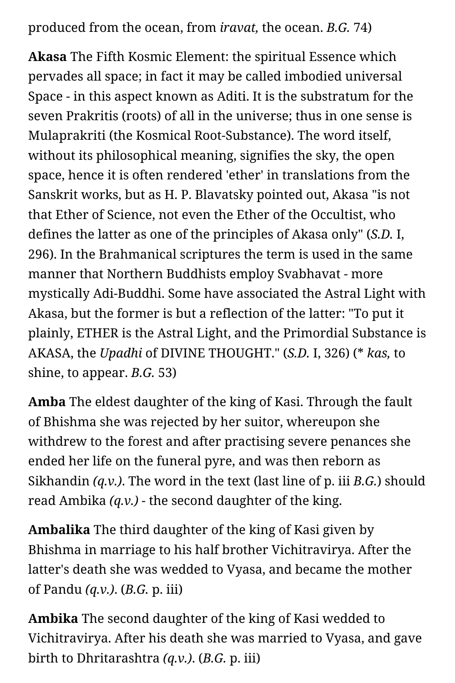produced from the ocean, from *iravat,* the ocean. *B.G.* 74)

**Akasa** The Fifth Kosmic Element: the spiritual Essence which pervades all space; in fact it may be called imbodied universal Space - in this aspect known as Aditi. It is the substratum for the seven Prakritis (roots) of all in the universe; thus in one sense is Mulaprakriti (the Kosmical Root-Substance). The word itself, without its philosophical meaning, signifies the sky, the open space, hence it is often rendered 'ether' in translations from the Sanskrit works, but as H. P. Blavatsky pointed out, Akasa "is not that Ether of Science, not even the Ether of the Occultist, who defines the latter as one of the principles of Akasa only" (*S.D.* I, 296). In the Brahmanical scriptures the term is used in the same manner that Northern Buddhists employ Svabhavat - more mystically Adi-Buddhi. Some have associated the Astral Light with Akasa, but the former is but a reflection of the latter: "To put it plainly, ETHER is the Astral Light, and the Primordial Substance is AKASA, the *Upadhi* of DIVINE THOUGHT." (*S.D.* I, 326) (\* *kas,* to shine, to appear. *B.G.* 53)

**Amba** The eldest daughter of the king of Kasi. Through the fault of Bhishma she was rejected by her suitor, whereupon she withdrew to the forest and after practising severe penances she ended her life on the funeral pyre, and was then reborn as Sikhandin *(q.v.)*. The word in the text (last line of p. iii *B.G.*) should read Ambika *(q.v.)* - the second daughter of the king.

**Ambalika** The third daughter of the king of Kasi given by Bhishma in marriage to his half brother Vichitravirya. After the latter's death she was wedded to Vyasa, and became the mother of Pandu *(q.v.)*. (*B.G.* p. iii)

**Ambika** The second daughter of the king of Kasi wedded to Vichitravirya. After his death she was married to Vyasa, and gave birth to Dhritarashtra *(q.v.)*. (*B.G.* p. iii)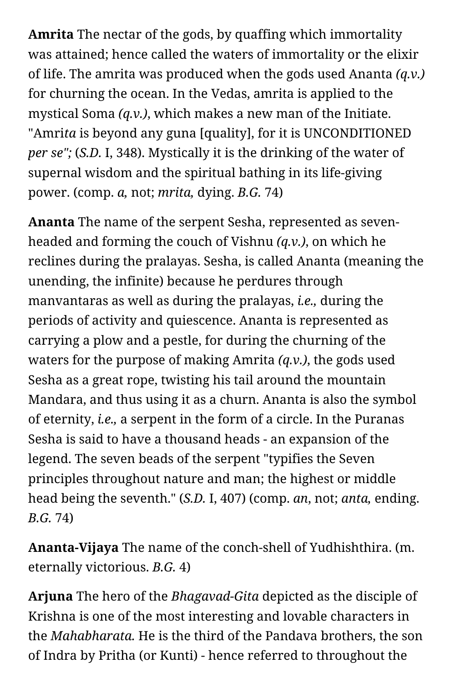**Amrita** The nectar of the gods, by quaffing which immortality was attained; hence called the waters of immortality or the elixir of life. The amrita was produced when the gods used Ananta *(q.v.)* for churning the ocean. In the Vedas, amrita is applied to the mystical Soma *(q.v.)*, which makes a new man of the Initiate. "Amri*ta* is beyond any guna [quality], for it is UNCONDITIONED *per se";* (*S.D.* I, 348). Mystically it is the drinking of the water of supernal wisdom and the spiritual bathing in its life-giving power. (comp. *a,* not; *mrita,* dying. *B.G.* 74)

**Ananta** The name of the serpent Sesha, represented as sevenheaded and forming the couch of Vishnu *(q.v.)*, on which he reclines during the pralayas. Sesha, is called Ananta (meaning the unending, the infinite) because he perdures through manvantaras as well as during the pralayas, *i.e.,* during the periods of activity and quiescence. Ananta is represented as carrying a plow and a pestle, for during the churning of the waters for the purpose of making Amrita *(q.v.)*, the gods used Sesha as a great rope, twisting his tail around the mountain Mandara, and thus using it as a churn. Ananta is also the symbol of eternity, *i.e.,* a serpent in the form of a circle. In the Puranas Sesha is said to have a thousand heads - an expansion of the legend. The seven beads of the serpent "typifies the Seven principles throughout nature and man; the highest or middle head being the seventh." (*S.D.* I, 407) (comp. *an*, not; *anta,* ending. *B.G.* 74)

**Ananta-Vijaya** The name of the conch-shell of Yudhishthira. (m. eternally victorious. *B.G.* 4)

**Arjuna** The hero of the *Bhagavad-Gita* depicted as the disciple of Krishna is one of the most interesting and lovable characters in the *Mahabharata.* He is the third of the Pandava brothers, the son of Indra by Pritha (or Kunti) - hence referred to throughout the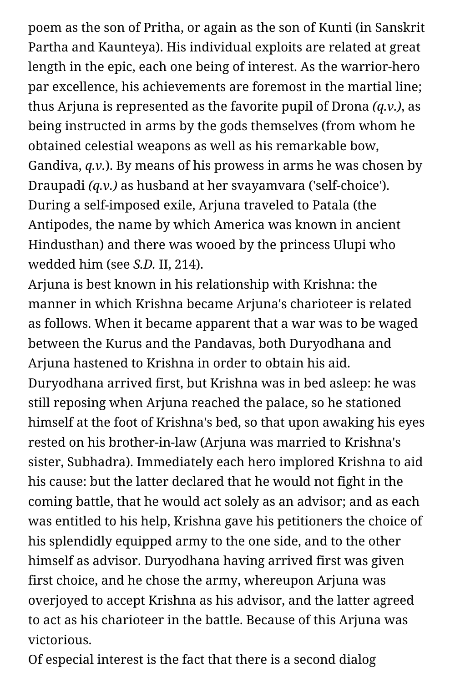poem as the son of Pritha, or again as the son of Kunti (in Sanskrit Partha and Kaunteya). His individual exploits are related at great length in the epic, each one being of interest. As the warrior-hero par excellence, his achievements are foremost in the martial line; thus Arjuna is represented as the favorite pupil of Drona *(q.v.)*, as being instructed in arms by the gods themselves (from whom he obtained celestial weapons as well as his remarkable bow, Gandiva, *q.v.*). By means of his prowess in arms he was chosen by Draupadi *(q.v.)* as husband at her svayamvara ('self-choice'). During a self-imposed exile, Arjuna traveled to Patala (the Antipodes, the name by which America was known in ancient Hindusthan) and there was wooed by the princess Ulupi who wedded him (see *S.D.* II, 214).

Arjuna is best known in his relationship with Krishna: the manner in which Krishna became Arjuna's charioteer is related as follows. When it became apparent that a war was to be waged between the Kurus and the Pandavas, both Duryodhana and Arjuna hastened to Krishna in order to obtain his aid. Duryodhana arrived first, but Krishna was in bed asleep: he was still reposing when Arjuna reached the palace, so he stationed himself at the foot of Krishna's bed, so that upon awaking his eyes rested on his brother-in-law (Arjuna was married to Krishna's sister, Subhadra). Immediately each hero implored Krishna to aid his cause: but the latter declared that he would not fight in the coming battle, that he would act solely as an advisor; and as each was entitled to his help, Krishna gave his petitioners the choice of his splendidly equipped army to the one side, and to the other himself as advisor. Duryodhana having arrived first was given first choice, and he chose the army, whereupon Arjuna was overjoyed to accept Krishna as his advisor, and the latter agreed to act as his charioteer in the battle. Because of this Arjuna was victorious.

Of especial interest is the fact that there is a second dialog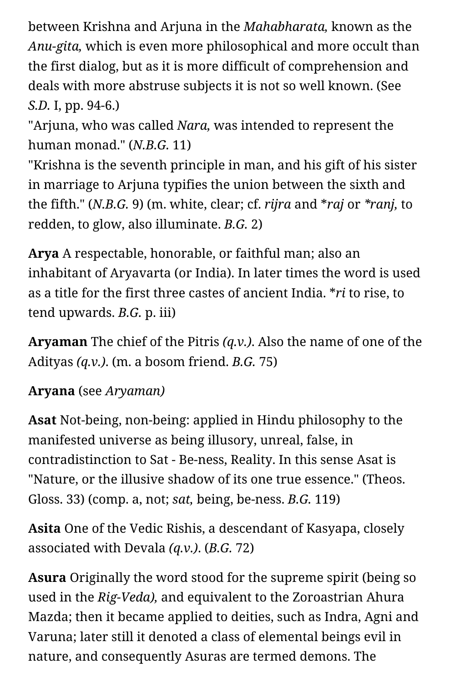between Krishna and Arjuna in the *Mahabharata,* known as the *Anu-gita,* which is even more philosophical and more occult than the first dialog, but as it is more difficult of comprehension and deals with more abstruse subjects it is not so well known. (See *S.D.* I, pp. 94-6.)

"Arjuna, who was called *Nara,* was intended to represent the human monad." (*N.B.G.* 11)

"Krishna is the seventh principle in man, and his gift of his sister in marriage to Arjuna typifies the union between the sixth and the fifth." (*N.B.G.* 9) (m. white, clear; cf. *rijra* and \**raj* or *\*ranj,* to redden, to glow, also illuminate. *B.G.* 2)

**Arya** A respectable, honorable, or faithful man; also an inhabitant of Aryavarta (or India). In later times the word is used as a title for the first three castes of ancient India. \**ri* to rise, to tend upwards. *B.G.* p. iii)

**Aryaman** The chief of the Pitris *(q.v.)*. Also the name of one of the Adityas *(q.v.)*. (m. a bosom friend. *B.G.* 75)

## **Aryana** (see *Aryaman)*

**Asat** Not-being, non-being: applied in Hindu philosophy to the manifested universe as being illusory, unreal, false, in contradistinction to Sat - Be-ness, Reality. In this sense Asat is "Nature, or the illusive shadow of its one true essence." (Theos. Gloss. 33) (comp. a, not; *sat,* being, be-ness. *B.G.* 119)

**Asita** One of the Vedic Rishis, a descendant of Kasyapa, closely associated with Devala *(q.v.)*. (*B.G.* 72)

**Asura** Originally the word stood for the supreme spirit (being so used in the *Rig-Veda),* and equivalent to the Zoroastrian Ahura Mazda; then it became applied to deities, such as Indra, Agni and Varuna; later still it denoted a class of elemental beings evil in nature, and consequently Asuras are termed demons. The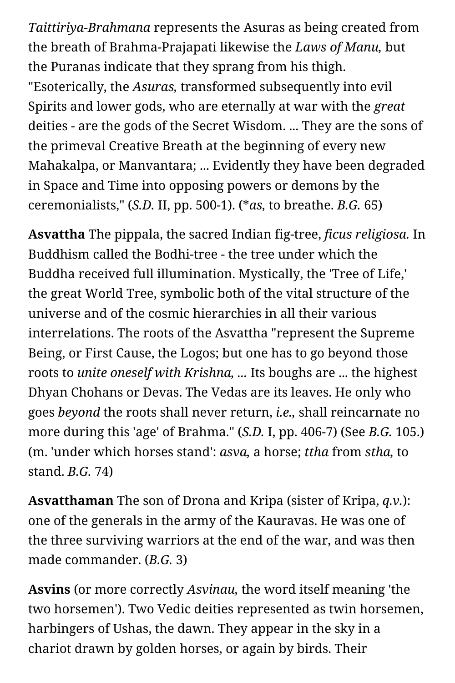*Taittiriya-Brahmana* represents the Asuras as being created from the breath of Brahma-Prajapati likewise the *Laws of Manu,* but the Puranas indicate that they sprang from his thigh. "Esoterically, the *Asuras,* transformed subsequently into evil Spirits and lower gods, who are eternally at war with the *great* deities - are the gods of the Secret Wisdom. ... They are the sons of the primeval Creative Breath at the beginning of every new Mahakalpa, or Manvantara; ... Evidently they have been degraded in Space and Time into opposing powers or demons by the ceremonialists," (*S.D.* II, pp. 500-1). (\**as,* to breathe. *B.G.* 65)

**Asvattha** The pippala, the sacred Indian fig-tree, *ficus religiosa.* In Buddhism called the Bodhi-tree - the tree under which the Buddha received full illumination. Mystically, the 'Tree of Life,' the great World Tree, symbolic both of the vital structure of the universe and of the cosmic hierarchies in all their various interrelations. The roots of the Asvattha "represent the Supreme Being, or First Cause, the Logos; but one has to go beyond those roots to *unite oneself with Krishna, ...* Its boughs are ... the highest Dhyan Chohans or Devas. The Vedas are its leaves. He only who goes *beyond* the roots shall never return, *i.e.,* shall reincarnate no more during this 'age' of Brahma." (*S.D.* I, pp. 406-7) (See *B.G.* 105.) (m. 'under which horses stand': *asva,* a horse; *ttha* from *stha,* to stand. *B.G.* 74)

**Asvatthaman** The son of Drona and Kripa (sister of Kripa, *q.v.*): one of the generals in the army of the Kauravas. He was one of the three surviving warriors at the end of the war, and was then made commander. (*B.G.* 3)

**Asvins** (or more correctly *Asvinau,* the word itself meaning 'the two horsemen'). Two Vedic deities represented as twin horsemen, harbingers of Ushas, the dawn. They appear in the sky in a chariot drawn by golden horses, or again by birds. Their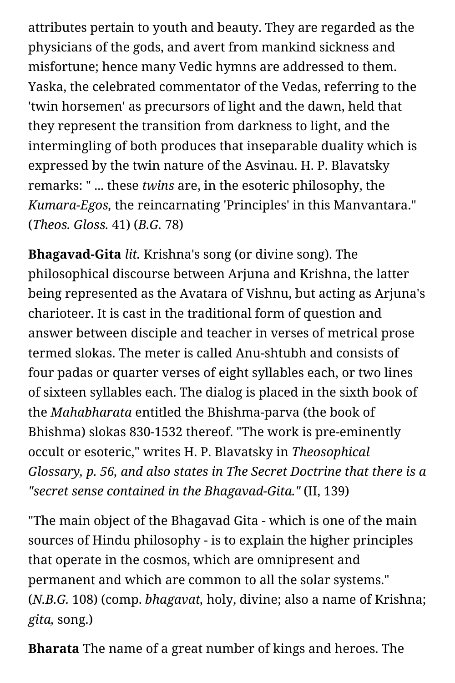attributes pertain to youth and beauty. They are regarded as the physicians of the gods, and avert from mankind sickness and misfortune; hence many Vedic hymns are addressed to them. Yaska, the celebrated commentator of the Vedas, referring to the 'twin horsemen' as precursors of light and the dawn, held that they represent the transition from darkness to light, and the intermingling of both produces that inseparable duality which is expressed by the twin nature of the Asvinau. H. P. Blavatsky remarks: " ... these *twins* are, in the esoteric philosophy, the *Kumara-Egos,* the reincarnating 'Principles' in this Manvantara." (*Theos. Gloss.* 41) (*B.G.* 78)

**Bhagavad-Gita** *lit.* Krishna's song (or divine song). The philosophical discourse between Arjuna and Krishna, the latter being represented as the Avatara of Vishnu, but acting as Arjuna's charioteer. It is cast in the traditional form of question and answer between disciple and teacher in verses of metrical prose termed slokas. The meter is called Anu-shtubh and consists of four padas or quarter verses of eight syllables each, or two lines of sixteen syllables each. The dialog is placed in the sixth book of the *Mahabharata* entitled the Bhishma-parva (the book of Bhishma) slokas 830-1532 thereof. "The work is pre-eminently occult or esoteric," writes H. P. Blavatsky in *Theosophical Glossary, p. 56, and also states in The Secret Doctrine that there is a "secret sense contained in the Bhagavad-Gita."* (II, 139)

"The main object of the Bhagavad Gita - which is one of the main sources of Hindu philosophy - is to explain the higher principles that operate in the cosmos, which are omnipresent and permanent and which are common to all the solar systems." (*N.B.G.* 108) (comp. *bhagavat,* holy, divine; also a name of Krishna; *gita,* song.)

**Bharata** The name of a great number of kings and heroes. The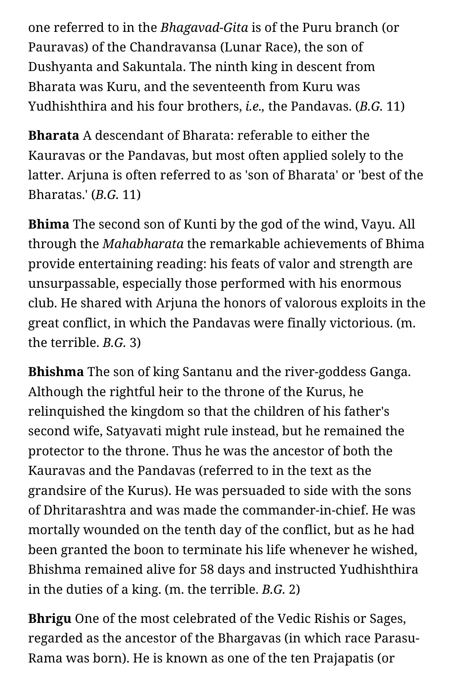one referred to in the *Bhagavad-Gita* is of the Puru branch (or Pauravas) of the Chandravansa (Lunar Race), the son of Dushyanta and Sakuntala. The ninth king in descent from Bharata was Kuru, and the seventeenth from Kuru was Yudhishthira and his four brothers, *i.e.,* the Pandavas. (*B.G.* 11)

**Bharata** A descendant of Bharata: referable to either the Kauravas or the Pandavas, but most often applied solely to the latter. Arjuna is often referred to as 'son of Bharata' or 'best of the Bharatas.' (*B.G.* 11)

**Bhima** The second son of Kunti by the god of the wind, Vayu. All through the *Mahabharata* the remarkable achievements of Bhima provide entertaining reading: his feats of valor and strength are unsurpassable, especially those performed with his enormous club. He shared with Arjuna the honors of valorous exploits in the great conflict, in which the Pandavas were finally victorious. (m. the terrible. *B.G.* 3)

**Bhishma** The son of king Santanu and the river-goddess Ganga. Although the rightful heir to the throne of the Kurus, he relinquished the kingdom so that the children of his father's second wife, Satyavati might rule instead, but he remained the protector to the throne. Thus he was the ancestor of both the Kauravas and the Pandavas (referred to in the text as the grandsire of the Kurus). He was persuaded to side with the sons of Dhritarashtra and was made the commander-in-chief. He was mortally wounded on the tenth day of the conflict, but as he had been granted the boon to terminate his life whenever he wished, Bhishma remained alive for 58 days and instructed Yudhishthira in the duties of a king. (m. the terrible. *B.G.* 2)

**Bhrigu** One of the most celebrated of the Vedic Rishis or Sages, regarded as the ancestor of the Bhargavas (in which race Parasu-Rama was born). He is known as one of the ten Prajapatis (or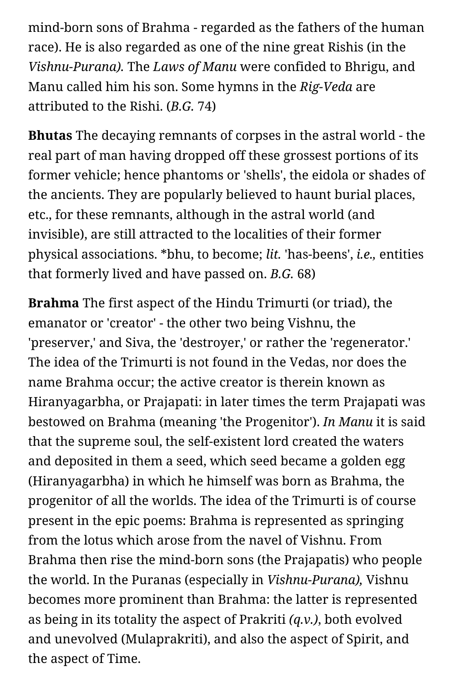mind-born sons of Brahma - regarded as the fathers of the human race). He is also regarded as one of the nine great Rishis (in the *Vishnu-Purana).* The *Laws of Manu* were confided to Bhrigu, and Manu called him his son. Some hymns in the *Rig-Veda* are attributed to the Rishi. (*B.G.* 74)

**Bhutas** The decaying remnants of corpses in the astral world - the real part of man having dropped off these grossest portions of its former vehicle; hence phantoms or 'shells', the eidola or shades of the ancients. They are popularly believed to haunt burial places, etc., for these remnants, although in the astral world (and invisible), are still attracted to the localities of their former physical associations. \*bhu, to become; *lit.* 'has-beens', *i.e.,* entities that formerly lived and have passed on. *B.G.* 68)

**Brahma** The first aspect of the Hindu Trimurti (or triad), the emanator or 'creator' - the other two being Vishnu, the 'preserver,' and Siva, the 'destroyer,' or rather the 'regenerator.' The idea of the Trimurti is not found in the Vedas, nor does the name Brahma occur; the active creator is therein known as Hiranyagarbha, or Prajapati: in later times the term Prajapati was bestowed on Brahma (meaning 'the Progenitor'). *In Manu* it is said that the supreme soul, the self-existent lord created the waters and deposited in them a seed, which seed became a golden egg (Hiranyagarbha) in which he himself was born as Brahma, the progenitor of all the worlds. The idea of the Trimurti is of course present in the epic poems: Brahma is represented as springing from the lotus which arose from the navel of Vishnu. From Brahma then rise the mind-born sons (the Prajapatis) who people the world. In the Puranas (especially in *Vishnu-Purana),* Vishnu becomes more prominent than Brahma: the latter is represented as being in its totality the aspect of Prakriti *(q.v.)*, both evolved and unevolved (Mulaprakriti), and also the aspect of Spirit, and the aspect of Time.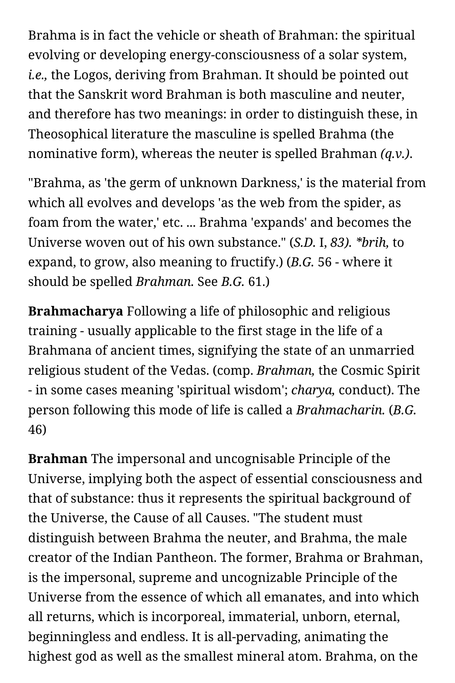Brahma is in fact the vehicle or sheath of Brahman: the spiritual evolving or developing energy-consciousness of a solar system, *i.e.,* the Logos, deriving from Brahman. It should be pointed out that the Sanskrit word Brahman is both masculine and neuter, and therefore has two meanings: in order to distinguish these, in Theosophical literature the masculine is spelled Brahma (the nominative form), whereas the neuter is spelled Brahman *(q.v.)*.

"Brahma, as 'the germ of unknown Darkness,' is the material from which all evolves and develops 'as the web from the spider, as foam from the water,' etc. ... Brahma 'expands' and becomes the Universe woven out of his own substance." (*S.D.* I, *83). \*brih,* to expand, to grow, also meaning to fructify.) (*B.G.* 56 - where it should be spelled *Brahman.* See *B.G.* 61.)

**Brahmacharya** Following a life of philosophic and religious training - usually applicable to the first stage in the life of a Brahmana of ancient times, signifying the state of an unmarried religious student of the Vedas. (comp. *Brahman,* the Cosmic Spirit - in some cases meaning 'spiritual wisdom'; *charya,* conduct). The person following this mode of life is called a *Brahmacharin.* (*B.G.* 46)

**Brahman** The impersonal and uncognisable Principle of the Universe, implying both the aspect of essential consciousness and that of substance: thus it represents the spiritual background of the Universe, the Cause of all Causes. "The student must distinguish between Brahma the neuter, and Brahma, the male creator of the Indian Pantheon. The former, Brahma or Brahman, is the impersonal, supreme and uncognizable Principle of the Universe from the essence of which all emanates, and into which all returns, which is incorporeal, immaterial, unborn, eternal, beginningless and endless. It is all-pervading, animating the highest god as well as the smallest mineral atom. Brahma, on the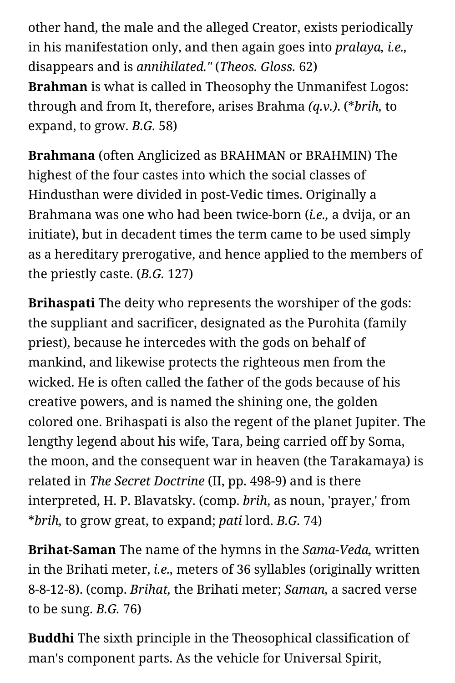other hand, the male and the alleged Creator, exists periodically in his manifestation only, and then again goes into *pralaya, i.e.,* disappears and is *annihilated."* (*Theos. Gloss.* 62) **Brahman** is what is called in Theosophy the Unmanifest Logos: through and from It, therefore, arises Brahma *(q.v.)*. (\**brih,* to expand, to grow. *B.G.* 58)

**Brahmana** (often Anglicized as BRAHMAN or BRAHMIN) The highest of the four castes into which the social classes of Hindusthan were divided in post-Vedic times. Originally a Brahmana was one who had been twice-born (*i.e.,* a dvija, or an initiate), but in decadent times the term came to be used simply as a hereditary prerogative, and hence applied to the members of the priestly caste. (*B.G.* 127)

**Brihaspati** The deity who represents the worshiper of the gods: the suppliant and sacrificer, designated as the Purohita (family priest), because he intercedes with the gods on behalf of mankind, and likewise protects the righteous men from the wicked. He is often called the father of the gods because of his creative powers, and is named the shining one, the golden colored one. Brihaspati is also the regent of the planet Jupiter. The lengthy legend about his wife, Tara, being carried off by Soma, the moon, and the consequent war in heaven (the Tarakamaya) is related in *The Secret Doctrine* (II, pp. 498-9) and is there interpreted, H. P. Blavatsky. (comp. *brih*, as noun, 'prayer,' from \**brih,* to grow great, to expand; *pati* lord. *B.G.* 74)

**Brihat-Saman** The name of the hymns in the *Sama-Veda,* written in the Brihati meter, *i.e.,* meters of 36 syllables (originally written 8-8-12-8). (comp. *Brihat,* the Brihati meter; *Saman,* a sacred verse to be sung. *B.G.* 76)

**Buddhi** The sixth principle in the Theosophical classification of man's component parts. As the vehicle for Universal Spirit,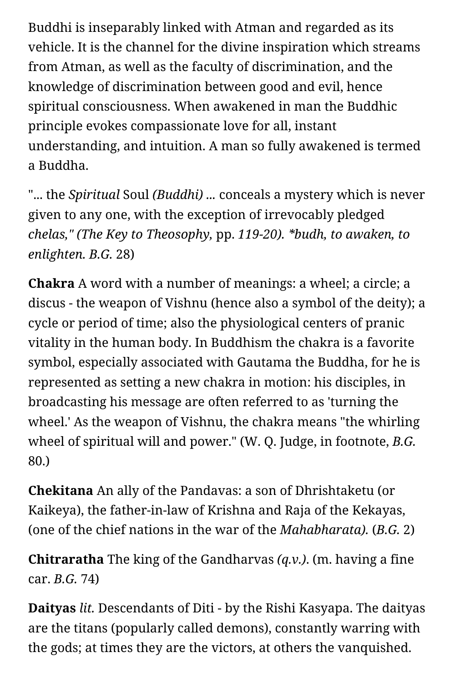Buddhi is inseparably linked with Atman and regarded as its vehicle. It is the channel for the divine inspiration which streams from Atman, as well as the faculty of discrimination, and the knowledge of discrimination between good and evil, hence spiritual consciousness. When awakened in man the Buddhic principle evokes compassionate love for all, instant understanding, and intuition. A man so fully awakened is termed a Buddha.

"... the *Spiritual* Soul *(Buddhi) ...* conceals a mystery which is never given to any one, with the exception of irrevocably pledged *chelas," (The Key to Theosophy,* pp. *119-20). \*budh, to awaken, to enlighten. B.G.* 28)

**Chakra** A word with a number of meanings: a wheel; a circle; a discus - the weapon of Vishnu (hence also a symbol of the deity); a cycle or period of time; also the physiological centers of pranic vitality in the human body. In Buddhism the chakra is a favorite symbol, especially associated with Gautama the Buddha, for he is represented as setting a new chakra in motion: his disciples, in broadcasting his message are often referred to as 'turning the wheel.' As the weapon of Vishnu, the chakra means "the whirling wheel of spiritual will and power." (W. Q. Judge, in footnote, *B.G.* 80.)

**Chekitana** An ally of the Pandavas: a son of Dhrishtaketu (or Kaikeya), the father-in-law of Krishna and Raja of the Kekayas, (one of the chief nations in the war of the *Mahabharata).* (*B.G.* 2)

**Chitraratha** The king of the Gandharvas *(q.v.)*. (m. having a fine car. *B.G.* 74)

**Daityas** *lit.* Descendants of Diti - by the Rishi Kasyapa. The daityas are the titans (popularly called demons), constantly warring with the gods; at times they are the victors, at others the vanquished.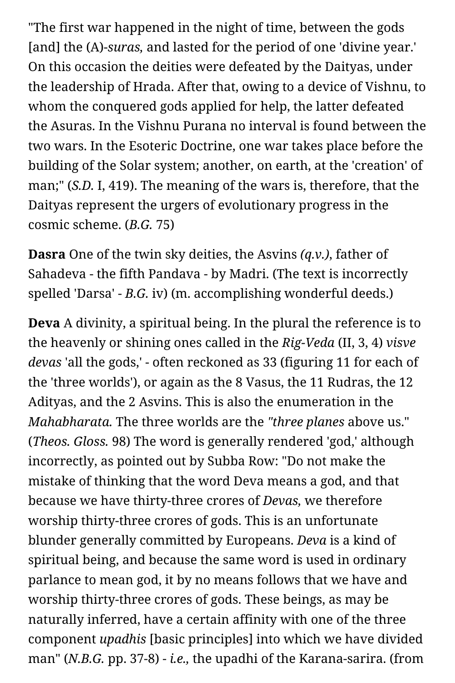"The first war happened in the night of time, between the gods [and] the (A)-*suras,* and lasted for the period of one 'divine year.' On this occasion the deities were defeated by the Daityas, under the leadership of Hrada. After that, owing to a device of Vishnu, to whom the conquered gods applied for help, the latter defeated the Asuras. In the Vishnu Purana no interval is found between the two wars. In the Esoteric Doctrine, one war takes place before the building of the Solar system; another, on earth, at the 'creation' of man;" (*S.D.* I, 419). The meaning of the wars is, therefore, that the Daityas represent the urgers of evolutionary progress in the cosmic scheme. (*B.G.* 75)

**Dasra** One of the twin sky deities, the Asvins *(q.v.)*, father of Sahadeva - the fifth Pandava - by Madri. (The text is incorrectly spelled 'Darsa' - *B.G.* iv) (m. accomplishing wonderful deeds.)

**Deva** A divinity, a spiritual being. In the plural the reference is to the heavenly or shining ones called in the *Rig-Veda* (II, 3, 4) *visve devas* 'all the gods,' - often reckoned as 33 (figuring 11 for each of the 'three worlds'), or again as the 8 Vasus, the 11 Rudras, the 12 Adityas, and the 2 Asvins. This is also the enumeration in the *Mahabharata.* The three worlds are the *"three planes* above us." (*Theos. Gloss.* 98) The word is generally rendered 'god,' although incorrectly, as pointed out by Subba Row: "Do not make the mistake of thinking that the word Deva means a god, and that because we have thirty-three crores of *Devas,* we therefore worship thirty-three crores of gods. This is an unfortunate blunder generally committed by Europeans. *Deva* is a kind of spiritual being, and because the same word is used in ordinary parlance to mean god, it by no means follows that we have and worship thirty-three crores of gods. These beings, as may be naturally inferred, have a certain affinity with one of the three component *upadhis* [basic principles] into which we have divided man" (*N.B.G.* pp. 37-8) - *i.e.,* the upadhi of the Karana-sarira. (from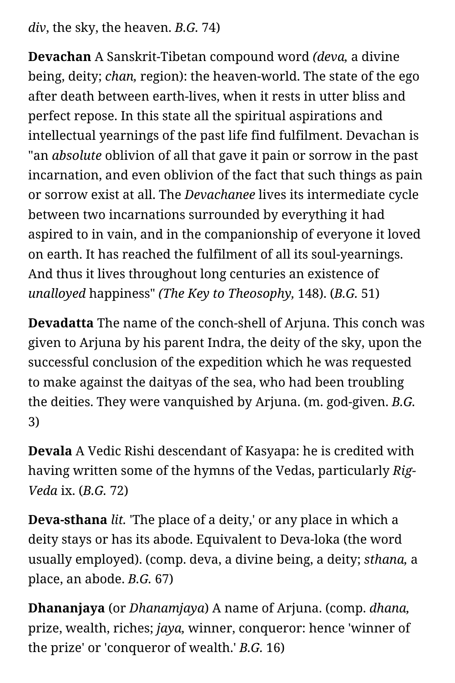*div*, the sky, the heaven. *B.G.* 74)

**Devachan** A Sanskrit-Tibetan compound word *(deva,* a divine being, deity; *chan,* region): the heaven-world. The state of the ego after death between earth-lives, when it rests in utter bliss and perfect repose. In this state all the spiritual aspirations and intellectual yearnings of the past life find fulfilment. Devachan is "an *absolute* oblivion of all that gave it pain or sorrow in the past incarnation, and even oblivion of the fact that such things as pain or sorrow exist at all. The *Devachanee* lives its intermediate cycle between two incarnations surrounded by everything it had aspired to in vain, and in the companionship of everyone it loved on earth. It has reached the fulfilment of all its soul-yearnings. And thus it lives throughout long centuries an existence of *unalloyed* happiness" *(The Key to Theosophy,* 148). (*B.G.* 51)

**Devadatta** The name of the conch-shell of Arjuna. This conch was given to Arjuna by his parent Indra, the deity of the sky, upon the successful conclusion of the expedition which he was requested to make against the daityas of the sea, who had been troubling the deities. They were vanquished by Arjuna. (m. god-given. *B.G.* 3)

**Devala** A Vedic Rishi descendant of Kasyapa: he is credited with having written some of the hymns of the Vedas, particularly *Rig-Veda* ix. (*B.G.* 72)

**Deva-sthana** *lit.* 'The place of a deity,' or any place in which a deity stays or has its abode. Equivalent to Deva-loka (the word usually employed). (comp. deva, a divine being, a deity; *sthana,* a place, an abode. *B.G.* 67)

**Dhananjaya** (or *Dhanamjaya*) A name of Arjuna. (comp. *dhana,* prize, wealth, riches; *jaya,* winner, conqueror: hence 'winner of the prize' or 'conqueror of wealth.' *B.G.* 16)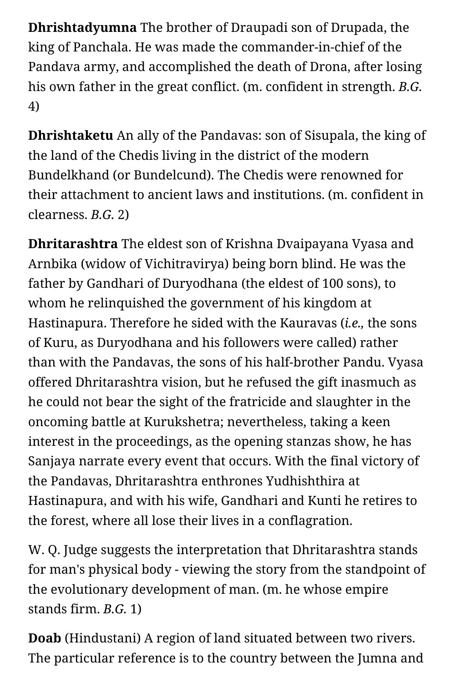**Dhrishtadyumna** The brother of Draupadi son of Drupada, the king of Panchala. He was made the commander-in-chief of the Pandava army, and accomplished the death of Drona, after losing his own father in the great conflict. (m. confident in strength. *B.G.* 4)

**Dhrishtaketu** An ally of the Pandavas: son of Sisupala, the king of the land of the Chedis living in the district of the modern Bundelkhand (or Bundelcund). The Chedis were renowned for their attachment to ancient laws and institutions. (m. confident in clearness. *B.G.* 2)

**Dhritarashtra** The eldest son of Krishna Dvaipayana Vyasa and Arnbika (widow of Vichitravirya) being born blind. He was the father by Gandhari of Duryodhana (the eldest of 100 sons), to whom he relinquished the government of his kingdom at Hastinapura. Therefore he sided with the Kauravas (*i.e.,* the sons of Kuru, as Duryodhana and his followers were called) rather than with the Pandavas, the sons of his half-brother Pandu. Vyasa offered Dhritarashtra vision, but he refused the gift inasmuch as he could not bear the sight of the fratricide and slaughter in the oncoming battle at Kurukshetra; nevertheless, taking a keen interest in the proceedings, as the opening stanzas show, he has Sanjaya narrate every event that occurs. With the final victory of the Pandavas, Dhritarashtra enthrones Yudhishthira at Hastinapura, and with his wife, Gandhari and Kunti he retires to the forest, where all lose their lives in a conflagration.

W. Q. Judge suggests the interpretation that Dhritarashtra stands for man's physical body - viewing the story from the standpoint of the evolutionary development of man. (m. he whose empire stands firm. *B.G.* 1)

**Doab** (Hindustani) A region of land situated between two rivers. The particular reference is to the country between the Jumna and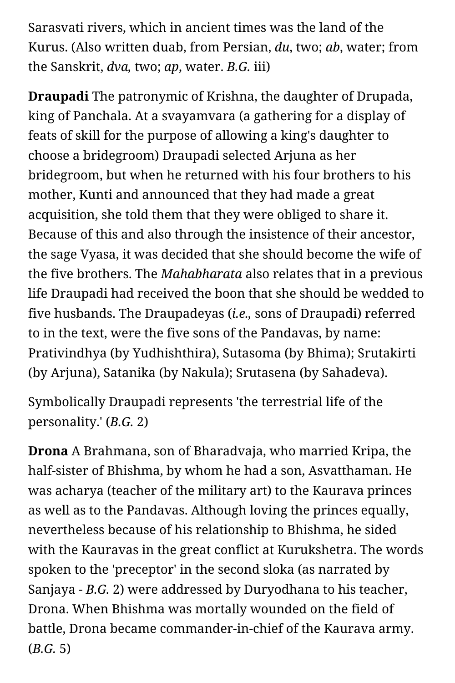Sarasvati rivers, which in ancient times was the land of the Kurus. (Also written duab, from Persian, *du*, two; *ab*, water; from the Sanskrit, *dva,* two; *ap*, water. *B.G.* iii)

**Draupadi** The patronymic of Krishna, the daughter of Drupada, king of Panchala. At a svayamvara (a gathering for a display of feats of skill for the purpose of allowing a king's daughter to choose a bridegroom) Draupadi selected Arjuna as her bridegroom, but when he returned with his four brothers to his mother, Kunti and announced that they had made a great acquisition, she told them that they were obliged to share it. Because of this and also through the insistence of their ancestor, the sage Vyasa, it was decided that she should become the wife of the five brothers. The *Mahabharata* also relates that in a previous life Draupadi had received the boon that she should be wedded to five husbands. The Draupadeyas (*i.e.,* sons of Draupadi) referred to in the text, were the five sons of the Pandavas, by name: Prativindhya (by Yudhishthira), Sutasoma (by Bhima); Srutakirti (by Arjuna), Satanika (by Nakula); Srutasena (by Sahadeva).

Symbolically Draupadi represents 'the terrestrial life of the personality.' (*B.G.* 2)

**Drona** A Brahmana, son of Bharadvaja, who married Kripa, the half-sister of Bhishma, by whom he had a son, Asvatthaman. He was acharya (teacher of the military art) to the Kaurava princes as well as to the Pandavas. Although loving the princes equally, nevertheless because of his relationship to Bhishma, he sided with the Kauravas in the great conflict at Kurukshetra. The words spoken to the 'preceptor' in the second sloka (as narrated by Sanjaya - *B.G.* 2) were addressed by Duryodhana to his teacher, Drona. When Bhishma was mortally wounded on the field of battle, Drona became commander-in-chief of the Kaurava army. (*B.G.* 5)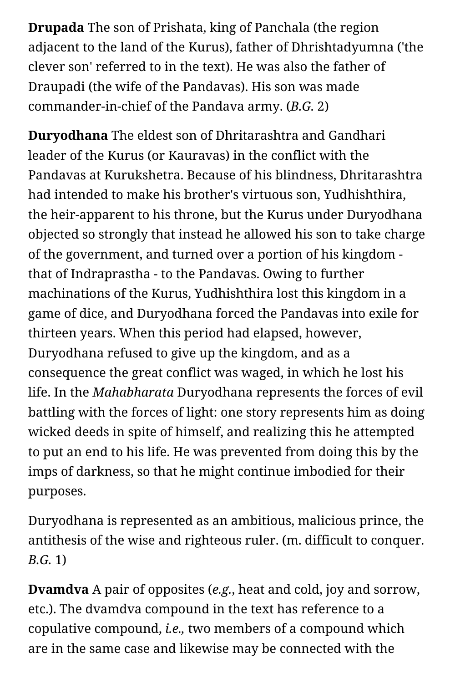**Drupada** The son of Prishata, king of Panchala (the region adjacent to the land of the Kurus), father of Dhrishtadyumna ('the clever son' referred to in the text). He was also the father of Draupadi (the wife of the Pandavas). His son was made commander-in-chief of the Pandava army. (*B.G.* 2)

**Duryodhana** The eldest son of Dhritarashtra and Gandhari leader of the Kurus (or Kauravas) in the conflict with the Pandavas at Kurukshetra. Because of his blindness, Dhritarashtra had intended to make his brother's virtuous son, Yudhishthira, the heir-apparent to his throne, but the Kurus under Duryodhana objected so strongly that instead he allowed his son to take charge of the government, and turned over a portion of his kingdom that of Indraprastha - to the Pandavas. Owing to further machinations of the Kurus, Yudhishthira lost this kingdom in a game of dice, and Duryodhana forced the Pandavas into exile for thirteen years. When this period had elapsed, however, Duryodhana refused to give up the kingdom, and as a consequence the great conflict was waged, in which he lost his life. In the *Mahabharata* Duryodhana represents the forces of evil battling with the forces of light: one story represents him as doing wicked deeds in spite of himself, and realizing this he attempted to put an end to his life. He was prevented from doing this by the imps of darkness, so that he might continue imbodied for their purposes.

Duryodhana is represented as an ambitious, malicious prince, the antithesis of the wise and righteous ruler. (m. difficult to conquer. *B.G.* 1)

**Dvamdva** A pair of opposites (*e.g.*, heat and cold, joy and sorrow, etc.). The dvamdva compound in the text has reference to a copulative compound, *i.e.,* two members of a compound which are in the same case and likewise may be connected with the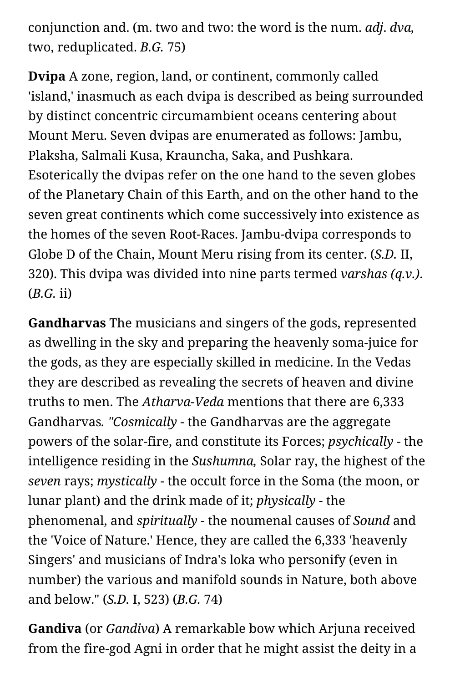conjunction and. (m. two and two: the word is the num. *adj*. *dva,* two, reduplicated. *B.G.* 75)

**Dvipa** A zone, region, land, or continent, commonly called 'island,' inasmuch as each dvipa is described as being surrounded by distinct concentric circumambient oceans centering about Mount Meru. Seven dvipas are enumerated as follows: Jambu, Plaksha, Salmali Kusa, Krauncha, Saka, and Pushkara. Esoterically the dvipas refer on the one hand to the seven globes of the Planetary Chain of this Earth, and on the other hand to the seven great continents which come successively into existence as the homes of the seven Root-Races. Jambu-dvipa corresponds to Globe D of the Chain, Mount Meru rising from its center. (*S.D.* II, 320). This dvipa was divided into nine parts termed *varshas (q.v.)*. (*B.G.* ii)

**Gandharvas** The musicians and singers of the gods, represented as dwelling in the sky and preparing the heavenly soma-juice for the gods, as they are especially skilled in medicine. In the Vedas they are described as revealing the secrets of heaven and divine truths to men. The *Atharva-Veda* mentions that there are 6,333 Gandharvas*. "Cosmically* - the Gandharvas are the aggregate powers of the solar-fire, and constitute its Forces; *psychically* - the intelligence residing in the *Sushumna,* Solar ray, the highest of the *seven* rays; *mystically* - the occult force in the Soma (the moon, or lunar plant) and the drink made of it; *physically* - the phenomenal, and *spiritually* - the noumenal causes of *Sound* and the 'Voice of Nature.' Hence, they are called the 6,333 'heavenly Singers' and musicians of Indra's loka who personify (even in number) the various and manifold sounds in Nature, both above and below." (*S.D.* I, 523) (*B.G.* 74)

**Gandiva** (or *Gandiva*) A remarkable bow which Arjuna received from the fire-god Agni in order that he might assist the deity in a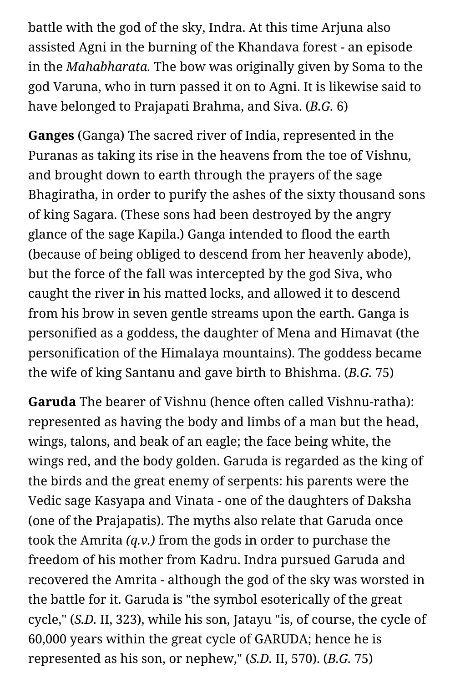battle with the god of the sky, Indra. At this time Arjuna also assisted Agni in the burning of the Khandava forest - an episode in the *Mahabharata.* The bow was originally given by Soma to the god Varuna, who in turn passed it on to Agni. It is likewise said to have belonged to Prajapati Brahma, and Siva. (*B.G.* 6)

**Ganges** (Ganga) The sacred river of India, represented in the Puranas as taking its rise in the heavens from the toe of Vishnu, and brought down to earth through the prayers of the sage Bhagiratha, in order to purify the ashes of the sixty thousand sons of king Sagara. (These sons had been destroyed by the angry glance of the sage Kapila.) Ganga intended to flood the earth (because of being obliged to descend from her heavenly abode), but the force of the fall was intercepted by the god Siva, who caught the river in his matted locks, and allowed it to descend from his brow in seven gentle streams upon the earth. Ganga is personified as a goddess, the daughter of Mena and Himavat (the personification of the Himalaya mountains). The goddess became the wife of king Santanu and gave birth to Bhishma. (*B.G.* 75)

**Garuda** The bearer of Vishnu (hence often called Vishnu-ratha): represented as having the body and limbs of a man but the head, wings, talons, and beak of an eagle; the face being white, the wings red, and the body golden. Garuda is regarded as the king of the birds and the great enemy of serpents: his parents were the Vedic sage Kasyapa and Vinata - one of the daughters of Daksha (one of the Prajapatis). The myths also relate that Garuda once took the Amrita *(q.v.)* from the gods in order to purchase the freedom of his mother from Kadru. Indra pursued Garuda and recovered the Amrita - although the god of the sky was worsted in the battle for it. Garuda is "the symbol esoterically of the great cycle," (*S.D.* II, 323), while his son, Jatayu "is, of course, the cycle of 60,000 years within the great cycle of GARUDA; hence he is represented as his son, or nephew," (*S.D.* II, 570). (*B.G.* 75)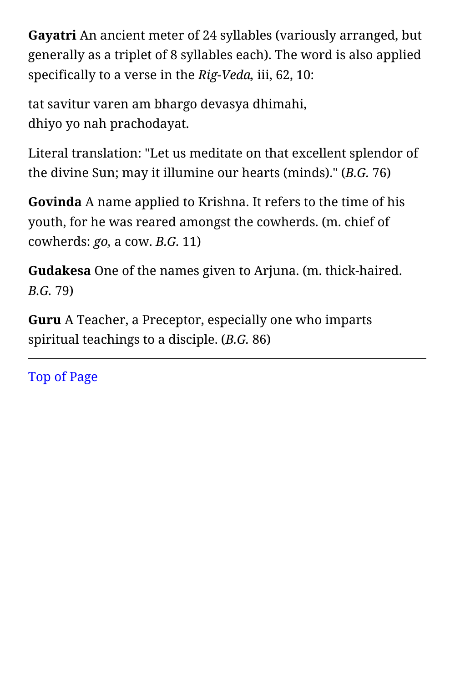**Gayatri** An ancient meter of 24 syllables (variously arranged, but generally as a triplet of 8 syllables each). The word is also applied specifically to a verse in the *Rig-Veda,* iii, 62, 10:

tat savitur varen am bhargo devasya dhimahi, dhiyo yo nah prachodayat.

Literal translation: "Let us meditate on that excellent splendor of the divine Sun; may it illumine our hearts (minds)." (*B.G.* 76)

**Govinda** A name applied to Krishna. It refers to the time of his youth, for he was reared amongst the cowherds. (m. chief of cowherds: *go,* a cow. *B.G.* 11)

**Gudakesa** One of the names given to Arjuna. (m. thick-haired. *B.G.* 79)

**Guru** A Teacher, a Preceptor, especially one who imparts spiritual teachings to a disciple. (*B.G.* 86)

[Top of Page](#page-9-1)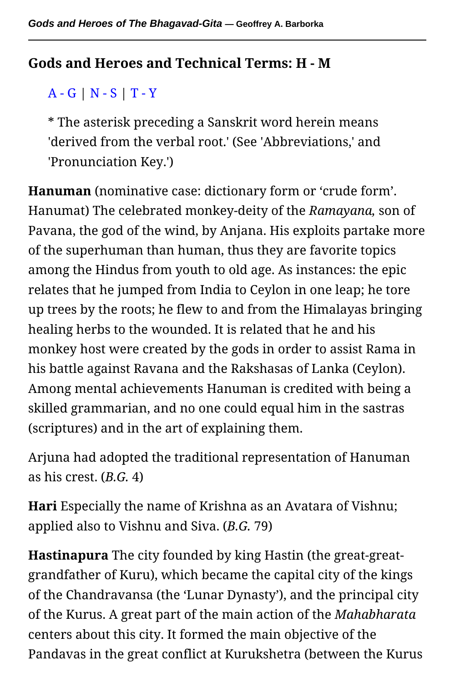#### <span id="page-31-0"></span>**Gods and Heroes and Technical Terms: H - M**

## [A - G](#page-9-0) | [N - S](#page-50-0) | [T - Y](#page-68-0)

\* The asterisk preceding a Sanskrit word herein means 'derived from the verbal root.' (See 'Abbreviations,' and 'Pronunciation Key.')

**Hanuman** (nominative case: dictionary form or 'crude form'. Hanumat) The celebrated monkey-deity of the *Ramayana,* son of Pavana, the god of the wind, by Anjana. His exploits partake more of the superhuman than human, thus they are favorite topics among the Hindus from youth to old age. As instances: the epic relates that he jumped from India to Ceylon in one leap; he tore up trees by the roots; he flew to and from the Himalayas bringing healing herbs to the wounded. It is related that he and his monkey host were created by the gods in order to assist Rama in his battle against Ravana and the Rakshasas of Lanka (Ceylon). Among mental achievements Hanuman is credited with being a skilled grammarian, and no one could equal him in the sastras (scriptures) and in the art of explaining them.

Arjuna had adopted the traditional representation of Hanuman as his crest. (*B.G.* 4)

**Hari** Especially the name of Krishna as an Avatara of Vishnu; applied also to Vishnu and Siva. (*B.G.* 79)

**Hastinapura** The city founded by king Hastin (the great-greatgrandfather of Kuru), which became the capital city of the kings of the Chandravansa (the 'Lunar Dynasty'), and the principal city of the Kurus. A great part of the main action of the *Mahabharata* centers about this city. It formed the main objective of the Pandavas in the great conflict at Kurukshetra (between the Kurus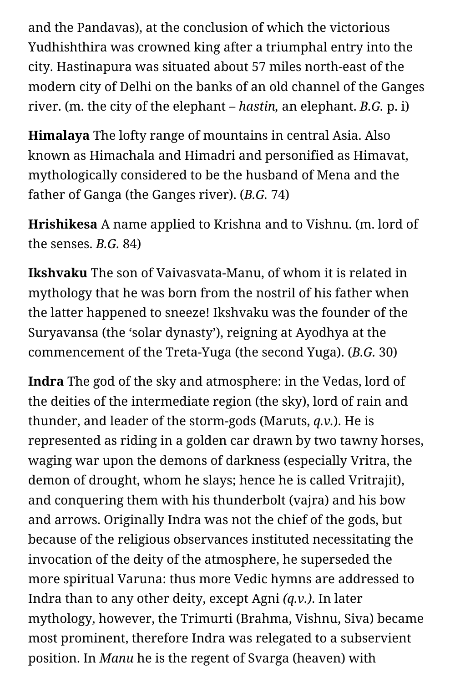and the Pandavas), at the conclusion of which the victorious Yudhishthira was crowned king after a triumphal entry into the city. Hastinapura was situated about 57 miles north-east of the modern city of Delhi on the banks of an old channel of the Ganges river. (m. the city of the elephant – *hastin,* an elephant. *B.G.* p. i)

**Himalaya** The lofty range of mountains in central Asia. Also known as Himachala and Himadri and personified as Himavat, mythologically considered to be the husband of Mena and the father of Ganga (the Ganges river). (*B.G.* 74)

**Hrishikesa** A name applied to Krishna and to Vishnu. (m. lord of the senses. *B.G.* 84)

**Ikshvaku** The son of Vaivasvata-Manu, of whom it is related in mythology that he was born from the nostril of his father when the latter happened to sneeze! Ikshvaku was the founder of the Suryavansa (the 'solar dynasty'), reigning at Ayodhya at the commencement of the Treta-Yuga (the second Yuga). (*B.G.* 30)

**Indra** The god of the sky and atmosphere: in the Vedas, lord of the deities of the intermediate region (the sky), lord of rain and thunder, and leader of the storm-gods (Maruts, *q.v.*). He is represented as riding in a golden car drawn by two tawny horses, waging war upon the demons of darkness (especially Vritra, the demon of drought, whom he slays; hence he is called Vritrajit), and conquering them with his thunderbolt (vajra) and his bow and arrows. Originally Indra was not the chief of the gods, but because of the religious observances instituted necessitating the invocation of the deity of the atmosphere, he superseded the more spiritual Varuna: thus more Vedic hymns are addressed to Indra than to any other deity, except Agni *(q.v.)*. In later mythology, however, the Trimurti (Brahma, Vishnu, Siva) became most prominent, therefore Indra was relegated to a subservient position. In *Manu* he is the regent of Svarga (heaven) with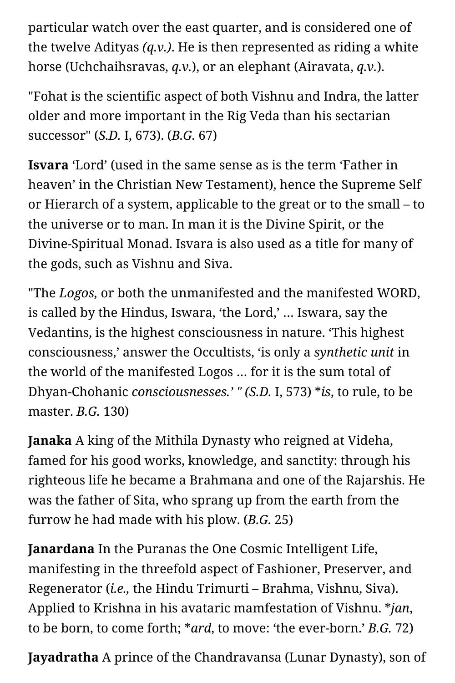particular watch over the east quarter, and is considered one of the twelve Adityas *(q.v.)*. He is then represented as riding a white horse (Uchchaihsravas, *q.v.*), or an elephant (Airavata, *q.v.*).

"Fohat is the scientific aspect of both Vishnu and Indra, the latter older and more important in the Rig Veda than his sectarian successor" (*S.D.* I, 673). (*B.G.* 67)

**Isvara** 'Lord' (used in the same sense as is the term 'Father in heaven' in the Christian New Testament), hence the Supreme Self or Hierarch of a system, applicable to the great or to the small – to the universe or to man. In man it is the Divine Spirit, or the Divine-Spiritual Monad. Isvara is also used as a title for many of the gods, such as Vishnu and Siva.

"The *Logos,* or both the unmanifested and the manifested WORD, is called by the Hindus, Iswara, 'the Lord,' … Iswara, say the Vedantins, is the highest consciousness in nature. 'This highest consciousness,' answer the Occultists, 'is only a *synthetic unit* in the world of the manifested Logos … for it is the sum total of Dhyan-Chohanic *consciousnesses.' " (S.D.* I, 573) \**is*, to rule, to be master. *B.G.* 130)

**Janaka** A king of the Mithila Dynasty who reigned at Videha, famed for his good works, knowledge, and sanctity: through his righteous life he became a Brahmana and one of the Rajarshis. He was the father of Sita, who sprang up from the earth from the furrow he had made with his plow. (*B.G.* 25)

**Janardana** In the Puranas the One Cosmic Intelligent Life, manifesting in the threefold aspect of Fashioner, Preserver, and Regenerator (*i.e.,* the Hindu Trimurti – Brahma, Vishnu, Siva). Applied to Krishna in his avataric mamfestation of Vishnu. \**jan*, to be born, to come forth; \**ard*, to move: 'the ever-born.' *B.G.* 72)

**Jayadratha** A prince of the Chandravansa (Lunar Dynasty), son of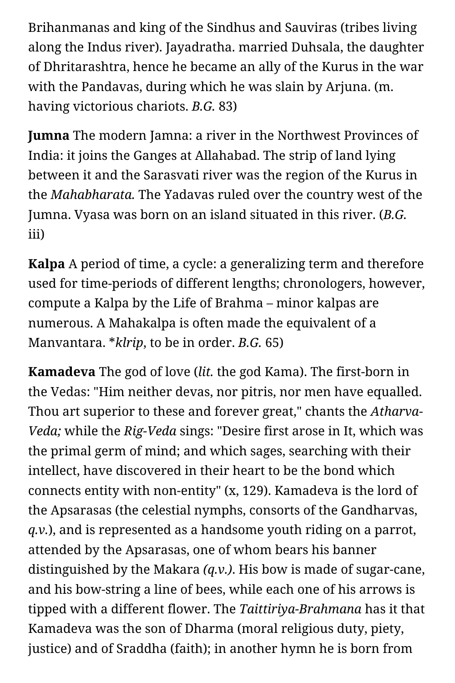Brihanmanas and king of the Sindhus and Sauviras (tribes living along the Indus river). Jayadratha. married Duhsala, the daughter of Dhritarashtra, hence he became an ally of the Kurus in the war with the Pandavas, during which he was slain by Arjuna. (m. having victorious chariots. *B.G.* 83)

**Jumna** The modern Jamna: a river in the Northwest Provinces of India: it joins the Ganges at Allahabad. The strip of land lying between it and the Sarasvati river was the region of the Kurus in the *Mahabharata.* The Yadavas ruled over the country west of the Jumna. Vyasa was born on an island situated in this river. (*B.G.* iii)

**Kalpa** A period of time, a cycle: a generalizing term and therefore used for time-periods of different lengths; chronologers, however, compute a Kalpa by the Life of Brahma – minor kalpas are numerous. A Mahakalpa is often made the equivalent of a Manvantara. \**klrip*, to be in order. *B.G.* 65)

**Kamadeva** The god of love (*lit.* the god Kama). The first-born in the Vedas: "Him neither devas, nor pitris, nor men have equalled. Thou art superior to these and forever great," chants the *Atharva-Veda;* while the *Rig-Veda* sings: "Desire first arose in It, which was the primal germ of mind; and which sages, searching with their intellect, have discovered in their heart to be the bond which connects entity with non-entity" (x, 129). Kamadeva is the lord of the Apsarasas (the celestial nymphs, consorts of the Gandharvas, *q.v.*), and is represented as a handsome youth riding on a parrot, attended by the Apsarasas, one of whom bears his banner distinguished by the Makara *(q.v.)*. His bow is made of sugar-cane, and his bow-string a line of bees, while each one of his arrows is tipped with a different flower. The *Taittiriya-Brahmana* has it that Kamadeva was the son of Dharma (moral religious duty, piety, justice) and of Sraddha (faith); in another hymn he is born from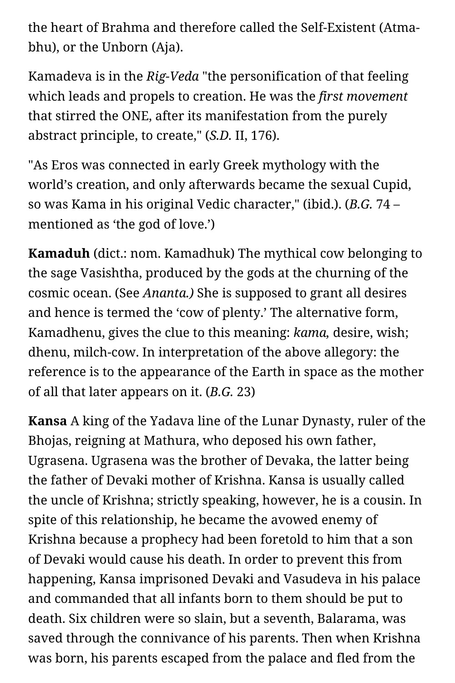the heart of Brahma and therefore called the Self-Existent (Atmabhu), or the Unborn (Aja).

Kamadeva is in the *Rig-Veda* "the personification of that feeling which leads and propels to creation. He was the *first movement* that stirred the ONE, after its manifestation from the purely abstract principle, to create," (*S.D.* II, 176).

"As Eros was connected in early Greek mythology with the world's creation, and only afterwards became the sexual Cupid, so was Kama in his original Vedic character," (ibid.). (*B.G.* 74 – mentioned as 'the god of love.')

**Kamaduh** (dict.: nom. Kamadhuk) The mythical cow belonging to the sage Vasishtha, produced by the gods at the churning of the cosmic ocean. (See *Ananta.)* She is supposed to grant all desires and hence is termed the 'cow of plenty.' The alternative form, Kamadhenu, gives the clue to this meaning: *kama,* desire, wish; dhenu, milch-cow. In interpretation of the above allegory: the reference is to the appearance of the Earth in space as the mother of all that later appears on it. (*B.G.* 23)

**Kansa** A king of the Yadava line of the Lunar Dynasty, ruler of the Bhojas, reigning at Mathura, who deposed his own father, Ugrasena. Ugrasena was the brother of Devaka, the latter being the father of Devaki mother of Krishna. Kansa is usually called the uncle of Krishna; strictly speaking, however, he is a cousin. In spite of this relationship, he became the avowed enemy of Krishna because a prophecy had been foretold to him that a son of Devaki would cause his death. In order to prevent this from happening, Kansa imprisoned Devaki and Vasudeva in his palace and commanded that all infants born to them should be put to death. Six children were so slain, but a seventh, Balarama, was saved through the connivance of his parents. Then when Krishna was born, his parents escaped from the palace and fled from the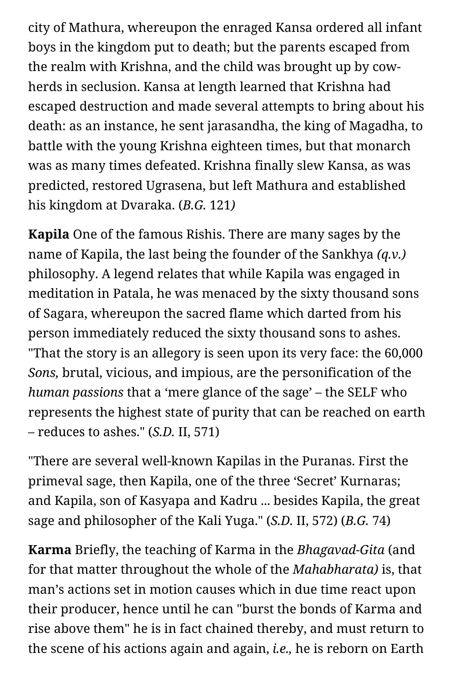city of Mathura, whereupon the enraged Kansa ordered all infant boys in the kingdom put to death; but the parents escaped from the realm with Krishna, and the child was brought up by cowherds in seclusion. Kansa at length learned that Krishna had escaped destruction and made several attempts to bring about his death: as an instance, he sent jarasandha, the king of Magadha, to battle with the young Krishna eighteen times, but that monarch was as many times defeated. Krishna finally slew Kansa, as was predicted, restored Ugrasena, but left Mathura and established his kingdom at Dvaraka. (*B.G.* 121*)*

**Kapila** One of the famous Rishis. There are many sages by the name of Kapila, the last being the founder of the Sankhya *(q.v.)* philosophy. A legend relates that while Kapila was engaged in meditation in Patala, he was menaced by the sixty thousand sons of Sagara, whereupon the sacred flame which darted from his person immediately reduced the sixty thousand sons to ashes. "That the story is an allegory is seen upon its very face: the 60,000 *Sons,* brutal, vicious, and impious, are the personification of the *human passions* that a 'mere glance of the sage' – the SELF who represents the highest state of purity that can be reached on earth – reduces to ashes." (*S.D.* II, 571)

"There are several well-known Kapilas in the Puranas. First the primeval sage, then Kapila, one of the three 'Secret' Kurnaras; and Kapila, son of Kasyapa and Kadru ... besides Kapila, the great sage and philosopher of the Kali Yuga." (*S.D.* II, 572) (*B.G.* 74)

**Karma** Briefly, the teaching of Karma in the *Bhagavad-Gita* (and for that matter throughout the whole of the *Mahabharata)* is, that man's actions set in motion causes which in due time react upon their producer, hence until he can "burst the bonds of Karma and rise above them" he is in fact chained thereby, and must return to the scene of his actions again and again, *i.e.,* he is reborn on Earth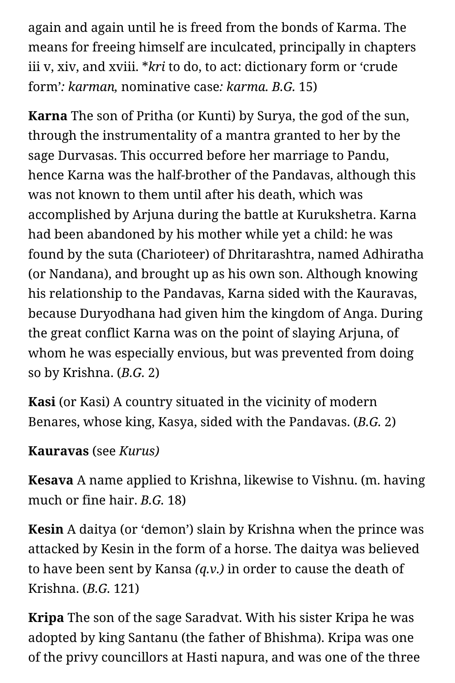again and again until he is freed from the bonds of Karma. The means for freeing himself are inculcated, principally in chapters iii v, xiv, and xviii. \**kri* to do, to act: dictionary form or 'crude form'*: karman,* nominative case*: karma. B.G.* 15)

**Karna** The son of Pritha (or Kunti) by Surya, the god of the sun, through the instrumentality of a mantra granted to her by the sage Durvasas. This occurred before her marriage to Pandu, hence Karna was the half-brother of the Pandavas, although this was not known to them until after his death, which was accomplished by Arjuna during the battle at Kurukshetra. Karna had been abandoned by his mother while yet a child: he was found by the suta (Charioteer) of Dhritarashtra, named Adhiratha (or Nandana), and brought up as his own son. Although knowing his relationship to the Pandavas, Karna sided with the Kauravas, because Duryodhana had given him the kingdom of Anga. During the great conflict Karna was on the point of slaying Arjuna, of whom he was especially envious, but was prevented from doing so by Krishna. (*B.G.* 2)

**Kasi** (or Kasi) A country situated in the vicinity of modern Benares, whose king, Kasya, sided with the Pandavas. (*B.G.* 2)

## **Kauravas** (see *Kurus)*

**Kesava** A name applied to Krishna, likewise to Vishnu. (m. having much or fine hair. *B.G.* 18)

**Kesin** A daitya (or 'demon') slain by Krishna when the prince was attacked by Kesin in the form of a horse. The daitya was believed to have been sent by Kansa *(q.v.)* in order to cause the death of Krishna. (*B.G.* 121)

**Kripa** The son of the sage Saradvat. With his sister Kripa he was adopted by king Santanu (the father of Bhishma). Kripa was one of the privy councillors at Hasti napura, and was one of the three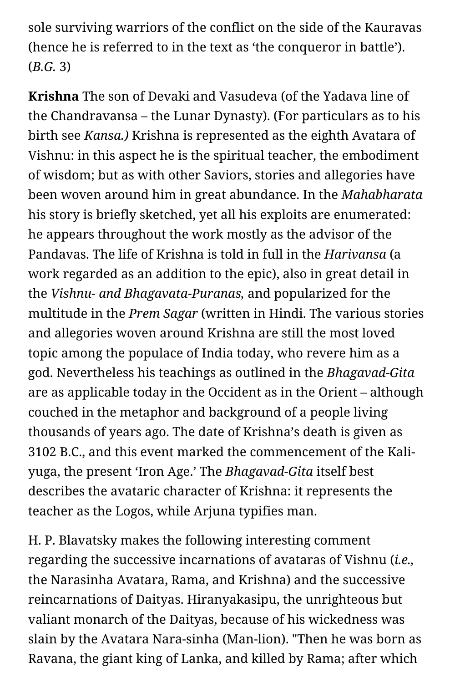sole surviving warriors of the conflict on the side of the Kauravas (hence he is referred to in the text as 'the conqueror in battle'). (*B.G.* 3)

**Krishna** The son of Devaki and Vasudeva (of the Yadava line of the Chandravansa – the Lunar Dynasty). (For particulars as to his birth see *Kansa.)* Krishna is represented as the eighth Avatara of Vishnu: in this aspect he is the spiritual teacher, the embodiment of wisdom; but as with other Saviors, stories and allegories have been woven around him in great abundance. In the *Mahabharata* his story is briefly sketched, yet all his exploits are enumerated: he appears throughout the work mostly as the advisor of the Pandavas. The life of Krishna is told in full in the *Harivansa* (a work regarded as an addition to the epic), also in great detail in the *Vishnu- and Bhagavata-Puranas,* and popularized for the multitude in the *Prem Sagar* (written in Hindi. The various stories and allegories woven around Krishna are still the most loved topic among the populace of India today, who revere him as a god. Nevertheless his teachings as outlined in the *Bhagavad-Gita* are as applicable today in the Occident as in the Orient – although couched in the metaphor and background of a people living thousands of years ago. The date of Krishna's death is given as 3102 B.C., and this event marked the commencement of the Kaliyuga, the present 'Iron Age.' The *Bhagavad-Gita* itself best describes the avataric character of Krishna: it represents the teacher as the Logos, while Arjuna typifies man.

H. P. Blavatsky makes the following interesting comment regarding the successive incarnations of avataras of Vishnu (*i.e.,* the Narasinha Avatara, Rama, and Krishna) and the successive reincarnations of Daityas. Hiranyakasipu, the unrighteous but valiant monarch of the Daityas, because of his wickedness was slain by the Avatara Nara-sinha (Man-lion). "Then he was born as Ravana, the giant king of Lanka, and killed by Rama; after which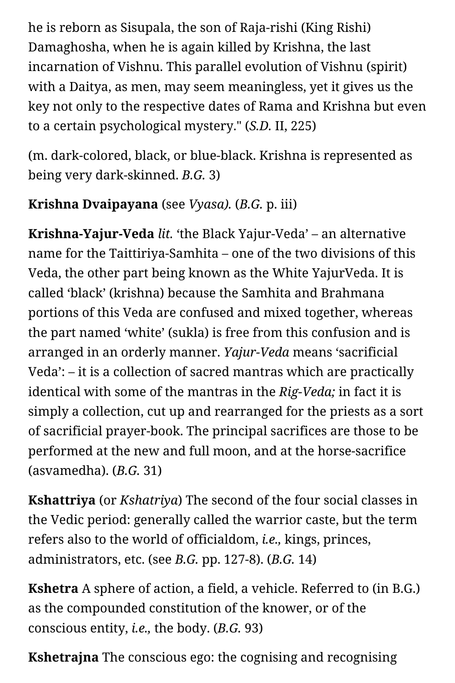he is reborn as Sisupala, the son of Raja-rishi (King Rishi) Damaghosha, when he is again killed by Krishna, the last incarnation of Vishnu. This parallel evolution of Vishnu (spirit) with a Daitya, as men, may seem meaningless, yet it gives us the key not only to the respective dates of Rama and Krishna but even to a certain psychological mystery." (*S.D.* II, 225)

(m. dark-colored, black, or blue-black. Krishna is represented as being very dark-skinned. *B.G.* 3)

# **Krishna Dvaipayana** (see *Vyasa).* (*B.G.* p. iii)

**Krishna-Yajur-Veda** *lit.* 'the Black Yajur-Veda' – an alternative name for the Taittiriya-Samhita – one of the two divisions of this Veda, the other part being known as the White YajurVeda. It is called 'black' (krishna) because the Samhita and Brahmana portions of this Veda are confused and mixed together, whereas the part named 'white' (sukla) is free from this confusion and is arranged in an orderly manner. *Yajur-Veda* means 'sacrificial Veda': – it is a collection of sacred mantras which are practically identical with some of the mantras in the *Rig-Veda;* in fact it is simply a collection, cut up and rearranged for the priests as a sort of sacrificial prayer-book. The principal sacrifices are those to be performed at the new and full moon, and at the horse-sacrifice (asvamedha). (*B.G.* 31)

**Kshattriya** (or *Kshatriya*) The second of the four social classes in the Vedic period: generally called the warrior caste, but the term refers also to the world of officialdom, *i.e.,* kings, princes, administrators, etc. (see *B.G.* pp. 127-8). (*B.G.* 14)

**Kshetra** A sphere of action, a field, a vehicle. Referred to (in B.G.) as the compounded constitution of the knower, or of the conscious entity, *i.e.,* the body. (*B.G.* 93)

**Kshetrajna** The conscious ego: the cognising and recognising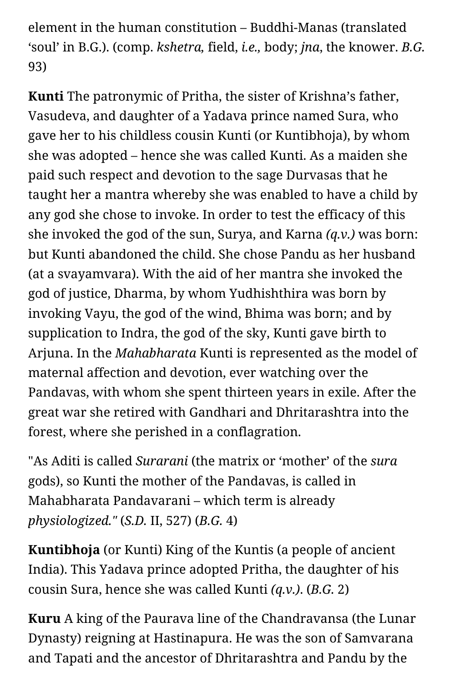element in the human constitution – Buddhi-Manas (translated 'soul' in B.G.). (comp. *kshetra,* field, *i.e.,* body; *jna*, the knower. *B.G.* 93)

**Kunti** The patronymic of Pritha, the sister of Krishna's father, Vasudeva, and daughter of a Yadava prince named Sura, who gave her to his childless cousin Kunti (or Kuntibhoja), by whom she was adopted – hence she was called Kunti. As a maiden she paid such respect and devotion to the sage Durvasas that he taught her a mantra whereby she was enabled to have a child by any god she chose to invoke. In order to test the efficacy of this she invoked the god of the sun, Surya, and Karna *(q.v.)* was born: but Kunti abandoned the child. She chose Pandu as her husband (at a svayamvara). With the aid of her mantra she invoked the god of justice, Dharma, by whom Yudhishthira was born by invoking Vayu, the god of the wind, Bhima was born; and by supplication to Indra, the god of the sky, Kunti gave birth to Arjuna. In the *Mahabharata* Kunti is represented as the model of maternal affection and devotion, ever watching over the Pandavas, with whom she spent thirteen years in exile. After the great war she retired with Gandhari and Dhritarashtra into the forest, where she perished in a conflagration.

"As Aditi is called *Surarani* (the matrix or 'mother' of the *sura* gods), so Kunti the mother of the Pandavas, is called in Mahabharata Pandavarani – which term is already *physiologized."* (*S.D.* II, 527) (*B.G.* 4)

**Kuntibhoja** (or Kunti) King of the Kuntis (a people of ancient India). This Yadava prince adopted Pritha, the daughter of his cousin Sura, hence she was called Kunti *(q.v.)*. (*B.G.* 2)

**Kuru** A king of the Paurava line of the Chandravansa (the Lunar Dynasty) reigning at Hastinapura. He was the son of Samvarana and Tapati and the ancestor of Dhritarashtra and Pandu by the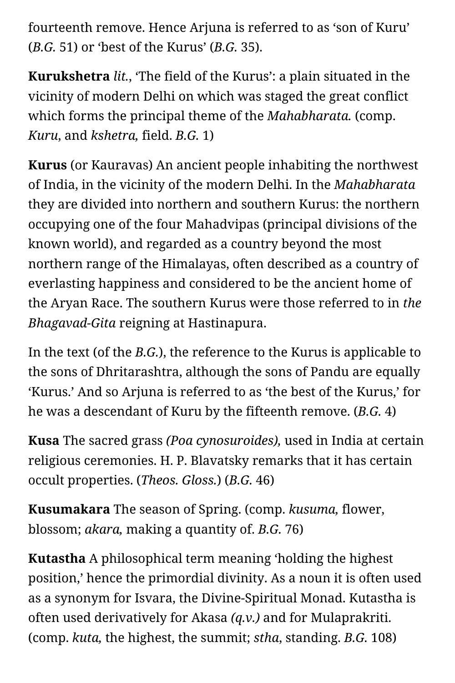fourteenth remove. Hence Arjuna is referred to as 'son of Kuru' (*B.G.* 51) or 'best of the Kurus' (*B.G.* 35).

**Kurukshetra** *lit.*, 'The field of the Kurus': a plain situated in the vicinity of modern Delhi on which was staged the great conflict which forms the principal theme of the *Mahabharata.* (comp. *Kuru*, and *kshetra,* field. *B.G.* 1)

**Kurus** (or Kauravas) An ancient people inhabiting the northwest of India, in the vicinity of the modern Delhi. In the *Mahabharata* they are divided into northern and southern Kurus: the northern occupying one of the four Mahadvipas (principal divisions of the known world), and regarded as a country beyond the most northern range of the Himalayas, often described as a country of everlasting happiness and considered to be the ancient home of the Aryan Race. The southern Kurus were those referred to in *the Bhagavad-Gita* reigning at Hastinapura.

In the text (of the *B.G.*), the reference to the Kurus is applicable to the sons of Dhritarashtra, although the sons of Pandu are equally 'Kurus.' And so Arjuna is referred to as 'the best of the Kurus,' for he was a descendant of Kuru by the fifteenth remove. (*B.G.* 4)

**Kusa** The sacred grass *(Poa cynosuroides),* used in India at certain religious ceremonies. H. P. Blavatsky remarks that it has certain occult properties. (*Theos. Gloss.*) (*B.G.* 46)

**Kusumakara** The season of Spring. (comp. *kusuma,* flower, blossom; *akara,* making a quantity of. *B.G.* 76)

**Kutastha** A philosophical term meaning 'holding the highest position,' hence the primordial divinity. As a noun it is often used as a synonym for Isvara, the Divine-Spiritual Monad. Kutastha is often used derivatively for Akasa *(q.v.)* and for Mulaprakriti. (comp. *kuta,* the highest, the summit; *stha*, standing. *B.G.* 108)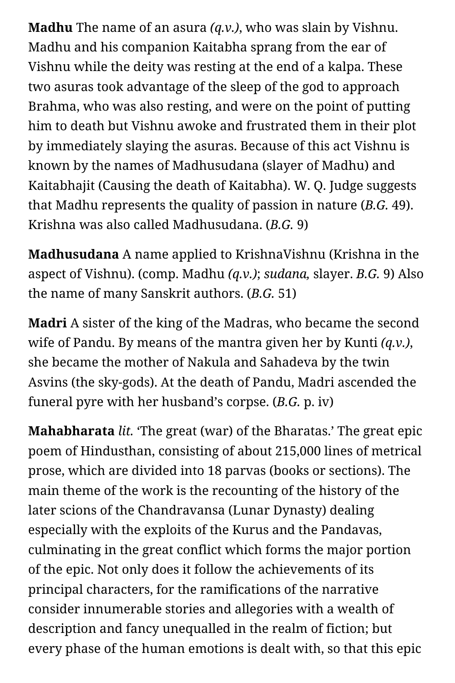**Madhu** The name of an asura *(q.v.)*, who was slain by Vishnu. Madhu and his companion Kaitabha sprang from the ear of Vishnu while the deity was resting at the end of a kalpa. These two asuras took advantage of the sleep of the god to approach Brahma, who was also resting, and were on the point of putting him to death but Vishnu awoke and frustrated them in their plot by immediately slaying the asuras. Because of this act Vishnu is known by the names of Madhusudana (slayer of Madhu) and Kaitabhajit (Causing the death of Kaitabha). W. Q. Judge suggests that Madhu represents the quality of passion in nature (*B.G.* 49). Krishna was also called Madhusudana. (*B.G.* 9)

**Madhusudana** A name applied to KrishnaVishnu (Krishna in the aspect of Vishnu). (comp. Madhu *(q.v.)*; *sudana,* slayer. *B.G.* 9) Also the name of many Sanskrit authors. (*B.G.* 51)

**Madri** A sister of the king of the Madras, who became the second wife of Pandu. By means of the mantra given her by Kunti *(q.v.)*, she became the mother of Nakula and Sahadeva by the twin Asvins (the sky-gods). At the death of Pandu, Madri ascended the funeral pyre with her husband's corpse. (*B.G.* p. iv)

**Mahabharata** *lit.* 'The great (war) of the Bharatas.' The great epic poem of Hindusthan, consisting of about 215,000 lines of metrical prose, which are divided into 18 parvas (books or sections). The main theme of the work is the recounting of the history of the later scions of the Chandravansa (Lunar Dynasty) dealing especially with the exploits of the Kurus and the Pandavas, culminating in the great conflict which forms the major portion of the epic. Not only does it follow the achievements of its principal characters, for the ramifications of the narrative consider innumerable stories and allegories with a wealth of description and fancy unequalled in the realm of fiction; but every phase of the human emotions is dealt with, so that this epic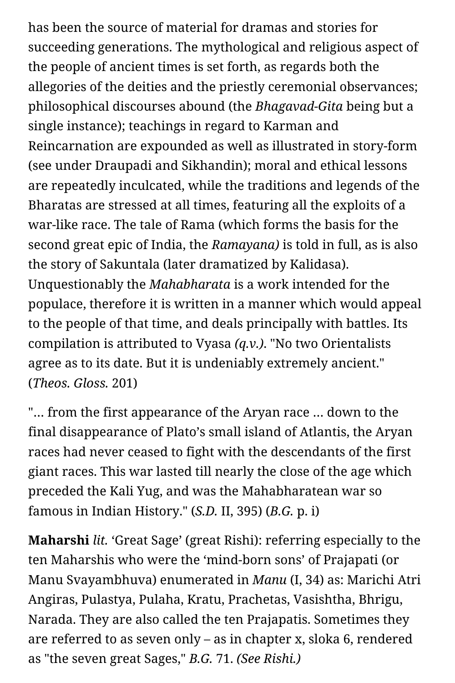has been the source of material for dramas and stories for succeeding generations. The mythological and religious aspect of the people of ancient times is set forth, as regards both the allegories of the deities and the priestly ceremonial observances; philosophical discourses abound (the *Bhagavad-Gita* being but a single instance); teachings in regard to Karman and Reincarnation are expounded as well as illustrated in story-form (see under Draupadi and Sikhandin); moral and ethical lessons are repeatedly inculcated, while the traditions and legends of the Bharatas are stressed at all times, featuring all the exploits of a war-like race. The tale of Rama (which forms the basis for the second great epic of India, the *Ramayana)* is told in full, as is also the story of Sakuntala (later dramatized by Kalidasa). Unquestionably the *Mahabharata* is a work intended for the populace, therefore it is written in a manner which would appeal to the people of that time, and deals principally with battles. Its compilation is attributed to Vyasa *(q.v.)*. "No two Orientalists agree as to its date. But it is undeniably extremely ancient." (*Theos. Gloss.* 201)

"… from the first appearance of the Aryan race … down to the final disappearance of Plato's small island of Atlantis, the Aryan races had never ceased to fight with the descendants of the first giant races. This war lasted till nearly the close of the age which preceded the Kali Yug, and was the Mahabharatean war so famous in Indian History." (*S.D.* II, 395) (*B.G.* p. i)

**Maharshi** *lit.* 'Great Sage' (great Rishi): referring especially to the ten Maharshis who were the 'mind-born sons' of Prajapati (or Manu Svayambhuva) enumerated in *Manu* (I, 34) as: Marichi Atri Angiras, Pulastya, Pulaha, Kratu, Prachetas, Vasishtha, Bhrigu, Narada. They are also called the ten Prajapatis. Sometimes they are referred to as seven only – as in chapter x, sloka 6, rendered as "the seven great Sages," *B.G.* 71. *(See Rishi.)*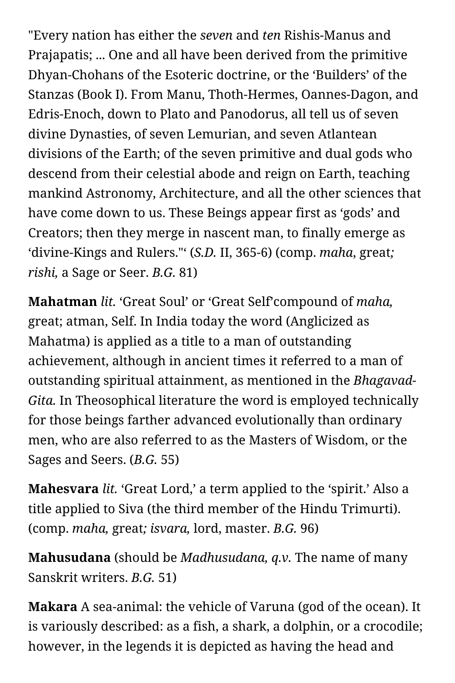"Every nation has either the *seven* and *ten* Rishis-Manus and Prajapatis; ... One and all have been derived from the primitive Dhyan-Chohans of the Esoteric doctrine, or the 'Builders' of the Stanzas (Book I). From Manu, Thoth-Hermes, Oannes-Dagon, and Edris-Enoch, down to Plato and Panodorus, all tell us of seven divine Dynasties, of seven Lemurian, and seven Atlantean divisions of the Earth; of the seven primitive and dual gods who descend from their celestial abode and reign on Earth, teaching mankind Astronomy, Architecture, and all the other sciences that have come down to us. These Beings appear first as 'gods' and Creators; then they merge in nascent man, to finally emerge as 'divine-Kings and Rulers."' (*S.D.* II, 365-6) (comp. *maha*, great*; rishi,* a Sage or Seer. *B.G.* 81)

**Mahatman** *lit.* 'Great Soul' or 'Great Self'compound of *maha,* great; atman, Self. In India today the word (Anglicized as Mahatma) is applied as a title to a man of outstanding achievement, although in ancient times it referred to a man of outstanding spiritual attainment, as mentioned in the *Bhagavad-Gita.* In Theosophical literature the word is employed technically for those beings farther advanced evolutionally than ordinary men, who are also referred to as the Masters of Wisdom, or the Sages and Seers. (*B.G.* 55)

**Mahesvara** *lit.* 'Great Lord,' a term applied to the 'spirit.' Also a title applied to Siva (the third member of the Hindu Trimurti). (comp. *maha,* great*; isvara,* lord, master. *B.G.* 96)

**Mahusudana** (should be *Madhusudana, q.v.* The name of many Sanskrit writers. *B.G.* 51)

**Makara** A sea-animal: the vehicle of Varuna (god of the ocean). It is variously described: as a fish, a shark, a dolphin, or a crocodile; however, in the legends it is depicted as having the head and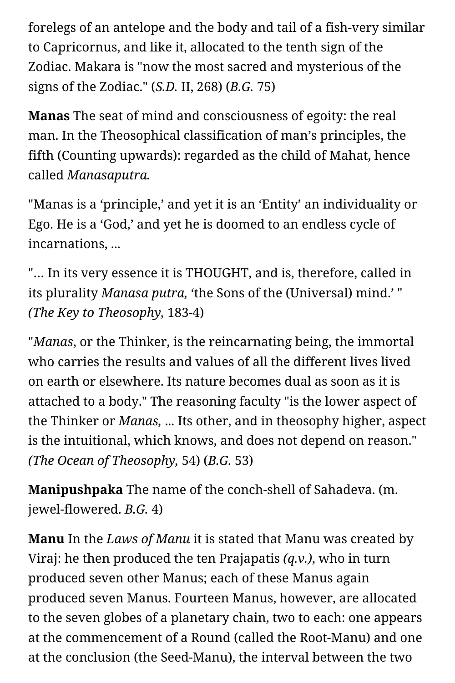forelegs of an antelope and the body and tail of a fish-very similar to Capricornus, and like it, allocated to the tenth sign of the Zodiac. Makara is "now the most sacred and mysterious of the signs of the Zodiac." (*S.D.* II, 268) (*B.G.* 75)

**Manas** The seat of mind and consciousness of egoity: the real man. In the Theosophical classification of man's principles, the fifth (Counting upwards): regarded as the child of Mahat, hence called *Manasaputra.*

"Manas is a 'principle,' and yet it is an 'Entity' an individuality or Ego. He is a 'God,' and yet he is doomed to an endless cycle of incarnations, ...

"… In its very essence it is THOUGHT, and is, therefore, called in its plurality *Manasa putra,* 'the Sons of the (Universal) mind.' " *(The Key to Theosophy,* 183-4)

"*Manas*, or the Thinker, is the reincarnating being, the immortal who carries the results and values of all the different lives lived on earth or elsewhere. Its nature becomes dual as soon as it is attached to a body." The reasoning faculty "is the lower aspect of the Thinker or *Manas,* ... Its other, and in theosophy higher, aspect is the intuitional, which knows, and does not depend on reason." *(The Ocean of Theosophy,* 54) (*B.G.* 53)

**Manipushpaka** The name of the conch-shell of Sahadeva. (m. jewel-flowered. *B.G.* 4)

**Manu** In the *Laws of Manu* it is stated that Manu was created by Viraj: he then produced the ten Prajapatis *(q.v.)*, who in turn produced seven other Manus; each of these Manus again produced seven Manus. Fourteen Manus, however, are allocated to the seven globes of a planetary chain, two to each: one appears at the commencement of a Round (called the Root-Manu) and one at the conclusion (the Seed-Manu), the interval between the two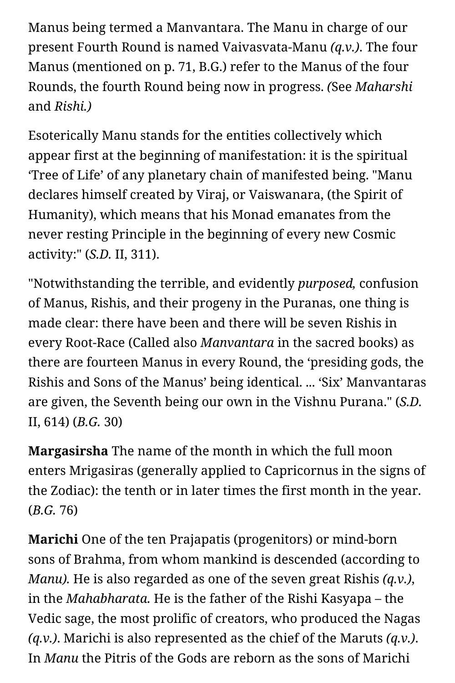Manus being termed a Manvantara. The Manu in charge of our present Fourth Round is named Vaivasvata-Manu *(q.v.)*. The four Manus (mentioned on p. 71, B.G.) refer to the Manus of the four Rounds, the fourth Round being now in progress. *(*See *Maharshi* and *Rishi.)*

Esoterically Manu stands for the entities collectively which appear first at the beginning of manifestation: it is the spiritual 'Tree of Life' of any planetary chain of manifested being. "Manu declares himself created by Viraj, or Vaiswanara, (the Spirit of Humanity), which means that his Monad emanates from the never resting Principle in the beginning of every new Cosmic activity:" (*S.D.* II, 311).

"Notwithstanding the terrible, and evidently *purposed,* confusion of Manus, Rishis, and their progeny in the Puranas, one thing is made clear: there have been and there will be seven Rishis in every Root-Race (Called also *Manvantara* in the sacred books) as there are fourteen Manus in every Round, the 'presiding gods, the Rishis and Sons of the Manus' being identical. ... 'Six' Manvantaras are given, the Seventh being our own in the Vishnu Purana." (*S.D.* II, 614) (*B.G.* 30)

**Margasirsha** The name of the month in which the full moon enters Mrigasiras (generally applied to Capricornus in the signs of the Zodiac): the tenth or in later times the first month in the year. (*B.G.* 76)

**Marichi** One of the ten Prajapatis (progenitors) or mind-born sons of Brahma, from whom mankind is descended (according to *Manu).* He is also regarded as one of the seven great Rishis *(q.v.)*, in the *Mahabharata.* He is the father of the Rishi Kasyapa – the Vedic sage, the most prolific of creators, who produced the Nagas *(q.v.)*. Marichi is also represented as the chief of the Maruts *(q.v.)*. In *Manu* the Pitris of the Gods are reborn as the sons of Marichi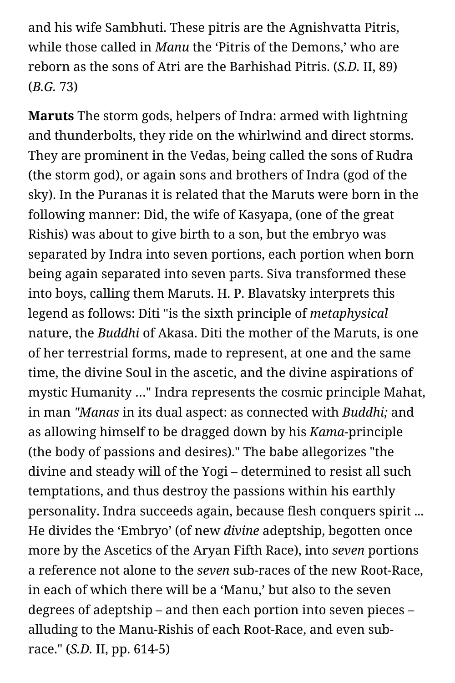and his wife Sambhuti. These pitris are the Agnishvatta Pitris, while those called in *Manu* the 'Pitris of the Demons,' who are reborn as the sons of Atri are the Barhishad Pitris. (*S.D.* II, 89) (*B.G.* 73)

**Maruts** The storm gods, helpers of Indra: armed with lightning and thunderbolts, they ride on the whirlwind and direct storms. They are prominent in the Vedas, being called the sons of Rudra (the storm god), or again sons and brothers of Indra (god of the sky). In the Puranas it is related that the Maruts were born in the following manner: Did, the wife of Kasyapa, (one of the great Rishis) was about to give birth to a son, but the embryo was separated by Indra into seven portions, each portion when born being again separated into seven parts. Siva transformed these into boys, calling them Maruts. H. P. Blavatsky interprets this legend as follows: Diti "is the sixth principle of *metaphysical* nature, the *Buddhi* of Akasa. Diti the mother of the Maruts, is one of her terrestrial forms, made to represent, at one and the same time, the divine Soul in the ascetic, and the divine aspirations of mystic Humanity …" Indra represents the cosmic principle Mahat, in man *"Manas* in its dual aspect: as connected with *Buddhi;* and as allowing himself to be dragged down by his *Kama*-principle (the body of passions and desires)." The babe allegorizes "the divine and steady will of the Yogi – determined to resist all such temptations, and thus destroy the passions within his earthly personality. Indra succeeds again, because flesh conquers spirit ... He divides the 'Embryo' (of new *divine* adeptship, begotten once more by the Ascetics of the Aryan Fifth Race), into *seven* portions a reference not alone to the *seven* sub-races of the new Root-Race, in each of which there will be a 'Manu,' but also to the seven degrees of adeptship – and then each portion into seven pieces – alluding to the Manu-Rishis of each Root-Race, and even subrace." (*S.D.* II, pp. 614-5)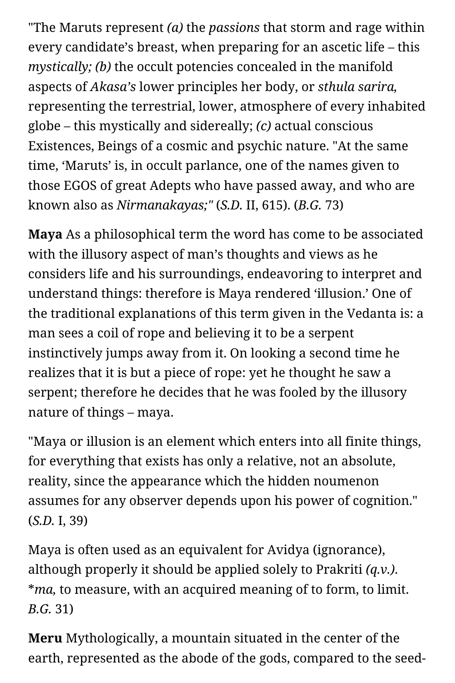"The Maruts represent *(a)* the *passions* that storm and rage within every candidate's breast, when preparing for an ascetic life – this *mystically; (b)* the occult potencies concealed in the manifold aspects of *Akasa's* lower principles her body, or *sthula sarira,* representing the terrestrial, lower, atmosphere of every inhabited globe – this mystically and sidereally; *(c)* actual conscious Existences, Beings of a cosmic and psychic nature. "At the same time, 'Maruts' is, in occult parlance, one of the names given to those EGOS of great Adepts who have passed away, and who are known also as *Nirmanakayas;"* (*S.D.* II, 615). (*B.G.* 73)

**Maya** As a philosophical term the word has come to be associated with the illusory aspect of man's thoughts and views as he considers life and his surroundings, endeavoring to interpret and understand things: therefore is Maya rendered 'illusion.' One of the traditional explanations of this term given in the Vedanta is: a man sees a coil of rope and believing it to be a serpent instinctively jumps away from it. On looking a second time he realizes that it is but a piece of rope: yet he thought he saw a serpent; therefore he decides that he was fooled by the illusory nature of things – maya.

"Maya or illusion is an element which enters into all finite things, for everything that exists has only a relative, not an absolute, reality, since the appearance which the hidden noumenon assumes for any observer depends upon his power of cognition." (*S.D.* I, 39)

Maya is often used as an equivalent for Avidya (ignorance), although properly it should be applied solely to Prakriti *(q.v.)*. \**ma,* to measure, with an acquired meaning of to form, to limit. *B.G.* 31)

**Meru** Mythologically, a mountain situated in the center of the earth, represented as the abode of the gods, compared to the seed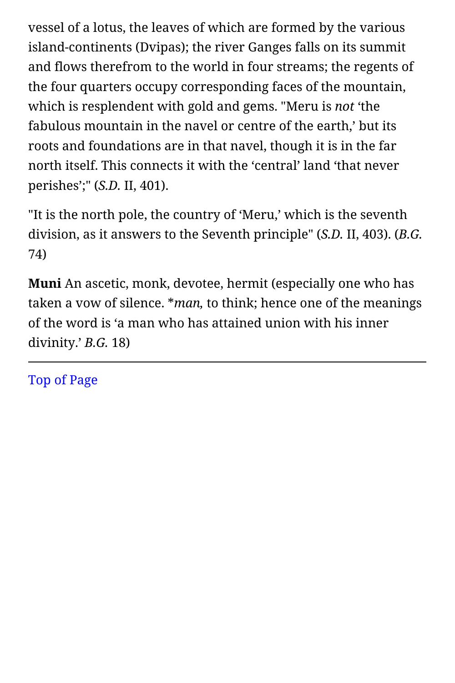vessel of a lotus, the leaves of which are formed by the various island-continents (Dvipas); the river Ganges falls on its summit and flows therefrom to the world in four streams; the regents of the four quarters occupy corresponding faces of the mountain, which is resplendent with gold and gems. "Meru is *not* 'the fabulous mountain in the navel or centre of the earth,' but its roots and foundations are in that navel, though it is in the far north itself. This connects it with the 'central' land 'that never perishes';" (*S.D.* II, 401).

"It is the north pole, the country of 'Meru,' which is the seventh division, as it answers to the Seventh principle" (*S.D.* II, 403). (*B.G.* 74)

**Muni** An ascetic, monk, devotee, hermit (especially one who has taken a vow of silence. \**man,* to think; hence one of the meanings of the word is 'a man who has attained union with his inner divinity.' *B.G.* 18)

[Top of Page](#page-31-0)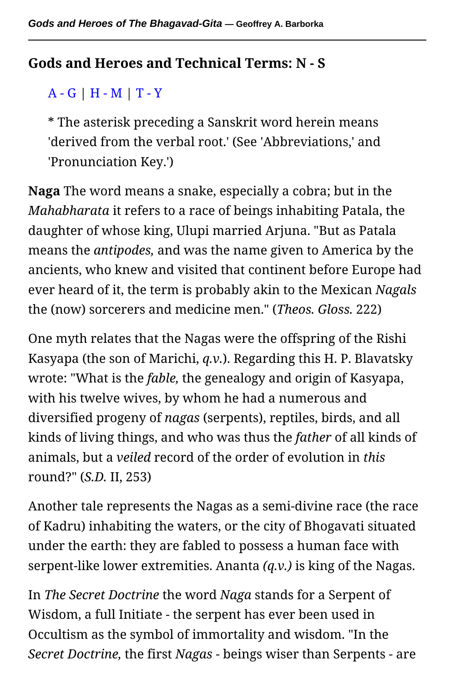## <span id="page-50-1"></span><span id="page-50-0"></span>**Gods and Heroes and Technical Terms: N - S**

# [A - G](#page-9-0) | [H - M](#page-31-1) | [T - Y](#page-68-0)

\* The asterisk preceding a Sanskrit word herein means 'derived from the verbal root.' (See 'Abbreviations,' and 'Pronunciation Key.')

**Naga** The word means a snake, especially a cobra; but in the *Mahabharata* it refers to a race of beings inhabiting Patala, the daughter of whose king, Ulupi married Arjuna. "But as Patala means the *antipodes,* and was the name given to America by the ancients, who knew and visited that continent before Europe had ever heard of it, the term is probably akin to the Mexican *Nagals* the (now) sorcerers and medicine men." (*Theos. Gloss.* 222)

One myth relates that the Nagas were the offspring of the Rishi Kasyapa (the son of Marichi, *q.v.*). Regarding this H. P. Blavatsky wrote: "What is the *fable,* the genealogy and origin of Kasyapa, with his twelve wives, by whom he had a numerous and diversified progeny of *nagas* (serpents), reptiles, birds, and all kinds of living things, and who was thus the *father* of all kinds of animals, but a *veiled* record of the order of evolution in *this* round?" (*S.D.* II, 253)

Another tale represents the Nagas as a semi-divine race (the race of Kadru) inhabiting the waters, or the city of Bhogavati situated under the earth: they are fabled to possess a human face with serpent-like lower extremities. Ananta *(q.v.)* is king of the Nagas.

In *The Secret Doctrine* the word *Naga* stands for a Serpent of Wisdom, a full Initiate - the serpent has ever been used in Occultism as the symbol of immortality and wisdom. "In the *Secret Doctrine,* the first *Nagas* - beings wiser than Serpents - are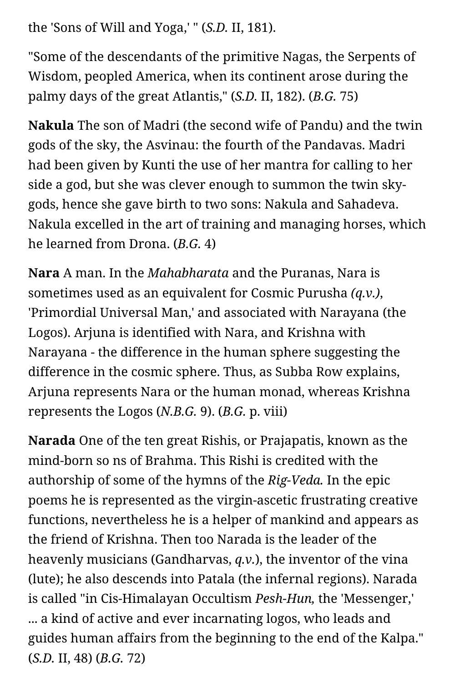the 'Sons of Will and Yoga,' " (*S.D.* II, 181).

"Some of the descendants of the primitive Nagas, the Serpents of Wisdom, peopled America, when its continent arose during the palmy days of the great Atlantis," (*S.D.* II, 182). (*B.G.* 75)

**Nakula** The son of Madri (the second wife of Pandu) and the twin gods of the sky, the Asvinau: the fourth of the Pandavas. Madri had been given by Kunti the use of her mantra for calling to her side a god, but she was clever enough to summon the twin skygods, hence she gave birth to two sons: Nakula and Sahadeva. Nakula excelled in the art of training and managing horses, which he learned from Drona. (*B.G.* 4)

**Nara** A man. In the *Mahabharata* and the Puranas, Nara is sometimes used as an equivalent for Cosmic Purusha *(q.v.)*, 'Primordial Universal Man,' and associated with Narayana (the Logos). Arjuna is identified with Nara, and Krishna with Narayana - the difference in the human sphere suggesting the difference in the cosmic sphere. Thus, as Subba Row explains, Arjuna represents Nara or the human monad, whereas Krishna represents the Logos (*N.B.G.* 9). (*B.G.* p. viii)

**Narada** One of the ten great Rishis, or Prajapatis, known as the mind-born so ns of Brahma. This Rishi is credited with the authorship of some of the hymns of the *Rig-Veda.* In the epic poems he is represented as the virgin-ascetic frustrating creative functions, nevertheless he is a helper of mankind and appears as the friend of Krishna. Then too Narada is the leader of the heavenly musicians (Gandharvas, *q.v.*), the inventor of the vina (lute); he also descends into Patala (the infernal regions). Narada is called "in Cis-Himalayan Occultism *Pesh-Hun,* the 'Messenger,' ... a kind of active and ever incarnating logos, who leads and guides human affairs from the beginning to the end of the Kalpa." (*S.D.* II, 48) (*B.G.* 72)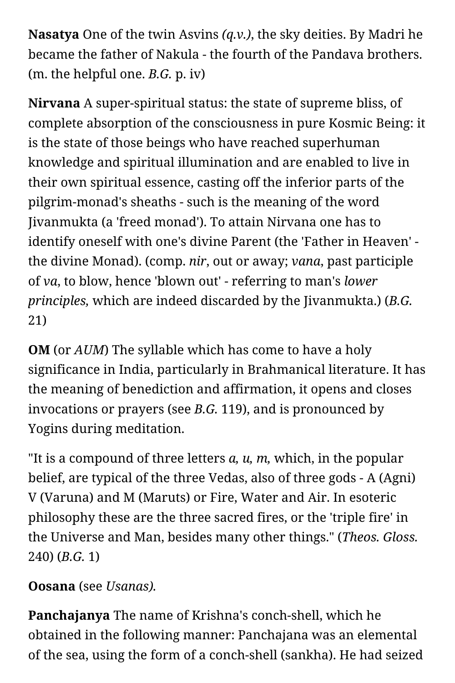**Nasatya** One of the twin Asvins *(q.v.)*, the sky deities. By Madri he became the father of Nakula - the fourth of the Pandava brothers. (m. the helpful one. *B.G.* p. iv)

**Nirvana** A super-spiritual status: the state of supreme bliss, of complete absorption of the consciousness in pure Kosmic Being: it is the state of those beings who have reached superhuman knowledge and spiritual illumination and are enabled to live in their own spiritual essence, casting off the inferior parts of the pilgrim-monad's sheaths - such is the meaning of the word Jivanmukta (a 'freed monad'). To attain Nirvana one has to identify oneself with one's divine Parent (the 'Father in Heaven' the divine Monad). (comp. *nir*, out or away; *vana*, past participle of *va*, to blow, hence 'blown out' - referring to man's *lower principles,* which are indeed discarded by the Jivanmukta.) (*B.G.* 21)

**OM** (or *AUM*) The syllable which has come to have a holy significance in India, particularly in Brahmanical literature. It has the meaning of benediction and affirmation, it opens and closes invocations or prayers (see *B.G.* 119), and is pronounced by Yogins during meditation.

"It is a compound of three letters *a, u, m,* which, in the popular belief, are typical of the three Vedas, also of three gods - A (Agni) V (Varuna) and M (Maruts) or Fire, Water and Air. In esoteric philosophy these are the three sacred fires, or the 'triple fire' in the Universe and Man, besides many other things." (*Theos. Gloss.* 240) (*B.G.* 1)

#### **Oosana** (see *Usanas).*

**Panchajanya** The name of Krishna's conch-shell, which he obtained in the following manner: Panchajana was an elemental of the sea, using the form of a conch-shell (sankha). He had seized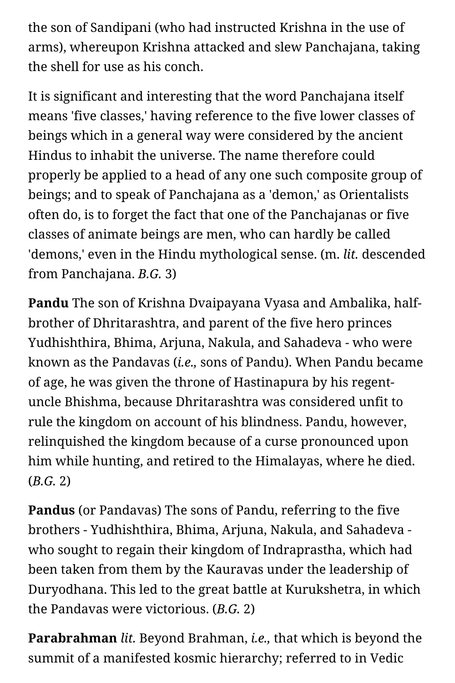the son of Sandipani (who had instructed Krishna in the use of arms), whereupon Krishna attacked and slew Panchajana, taking the shell for use as his conch.

It is significant and interesting that the word Panchajana itself means 'five classes,' having reference to the five lower classes of beings which in a general way were considered by the ancient Hindus to inhabit the universe. The name therefore could properly be applied to a head of any one such composite group of beings; and to speak of Panchajana as a 'demon,' as Orientalists often do, is to forget the fact that one of the Panchajanas or five classes of animate beings are men, who can hardly be called 'demons,' even in the Hindu mythological sense. (m. *lit.* descended from Panchajana. *B.G.* 3)

**Pandu** The son of Krishna Dvaipayana Vyasa and Ambalika, halfbrother of Dhritarashtra, and parent of the five hero princes Yudhishthira, Bhima, Arjuna, Nakula, and Sahadeva - who were known as the Pandavas (*i.e.,* sons of Pandu). When Pandu became of age, he was given the throne of Hastinapura by his regentuncle Bhishma, because Dhritarashtra was considered unfit to rule the kingdom on account of his blindness. Pandu, however, relinquished the kingdom because of a curse pronounced upon him while hunting, and retired to the Himalayas, where he died. (*B.G.* 2)

**Pandus** (or Pandavas) The sons of Pandu, referring to the five brothers - Yudhishthira, Bhima, Arjuna, Nakula, and Sahadeva who sought to regain their kingdom of Indraprastha, which had been taken from them by the Kauravas under the leadership of Duryodhana. This led to the great battle at Kurukshetra, in which the Pandavas were victorious. (*B.G.* 2)

**Parabrahman** *lit.* Beyond Brahman, *i.e.,* that which is beyond the summit of a manifested kosmic hierarchy; referred to in Vedic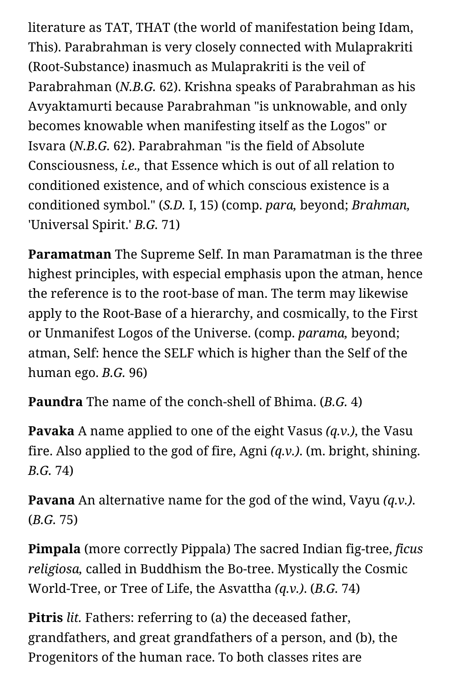literature as TAT, THAT (the world of manifestation being Idam, This). Parabrahman is very closely connected with Mulaprakriti (Root-Substance) inasmuch as Mulaprakriti is the veil of Parabrahman (*N.B.G.* 62). Krishna speaks of Parabrahman as his Avyaktamurti because Parabrahman "is unknowable, and only becomes knowable when manifesting itself as the Logos" or Isvara (*N.B.G.* 62). Parabrahman "is the field of Absolute Consciousness, *i.e.,* that Essence which is out of all relation to conditioned existence, and of which conscious existence is a conditioned symbol." (*S.D.* I, 15) (comp. *para,* beyond; *Brahman,* 'Universal Spirit.' *B.G.* 71)

**Paramatman** The Supreme Self. In man Paramatman is the three highest principles, with especial emphasis upon the atman, hence the reference is to the root-base of man. The term may likewise apply to the Root-Base of a hierarchy, and cosmically, to the First or Unmanifest Logos of the Universe. (comp. *parama,* beyond; atman, Self: hence the SELF which is higher than the Self of the human ego. *B.G.* 96)

**Paundra** The name of the conch-shell of Bhima. (*B.G.* 4)

**Pavaka** A name applied to one of the eight Vasus *(q.v.)*, the Vasu fire. Also applied to the god of fire, Agni *(q.v.)*. (m. bright, shining. *B.G.* 74)

**Pavana** An alternative name for the god of the wind, Vayu *(q.v.)*. (*B.G.* 75)

**Pimpala** (more correctly Pippala) The sacred Indian fig-tree, *ficus religiosa,* called in Buddhism the Bo-tree. Mystically the Cosmic World-Tree, or Tree of Life, the Asvattha *(q.v.)*. (*B.G.* 74)

**Pitris** *lit.* Fathers: referring to (a) the deceased father, grandfathers, and great grandfathers of a person, and (b), the Progenitors of the human race. To both classes rites are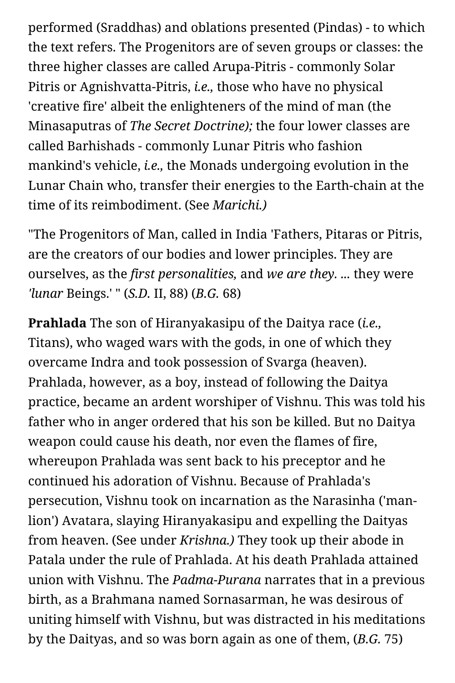performed (Sraddhas) and oblations presented (Pindas) - to which the text refers. The Progenitors are of seven groups or classes: the three higher classes are called Arupa-Pitris - commonly Solar Pitris or Agnishvatta-Pitris, *i.e.,* those who have no physical 'creative fire' albeit the enlighteners of the mind of man (the Minasaputras of *The Secret Doctrine);* the four lower classes are called Barhishads - commonly Lunar Pitris who fashion mankind's vehicle, *i.e.,* the Monads undergoing evolution in the Lunar Chain who, transfer their energies to the Earth-chain at the time of its reimbodiment. (See *Marichi.)*

"The Progenitors of Man, called in India 'Fathers, Pitaras or Pitris, are the creators of our bodies and lower principles. They are ourselves, as the *first personalities,* and *we are they. ...* they were *'lunar* Beings.' " (*S.D.* II, 88) (*B.G.* 68)

**Prahlada** The son of Hiranyakasipu of the Daitya race (*i.e.,* Titans), who waged wars with the gods, in one of which they overcame Indra and took possession of Svarga (heaven). Prahlada, however, as a boy, instead of following the Daitya practice, became an ardent worshiper of Vishnu. This was told his father who in anger ordered that his son be killed. But no Daitya weapon could cause his death, nor even the flames of fire, whereupon Prahlada was sent back to his preceptor and he continued his adoration of Vishnu. Because of Prahlada's persecution, Vishnu took on incarnation as the Narasinha ('manlion') Avatara, slaying Hiranyakasipu and expelling the Daityas from heaven. (See under *Krishna.)* They took up their abode in Patala under the rule of Prahlada. At his death Prahlada attained union with Vishnu. The *Padma-Purana* narrates that in a previous birth, as a Brahmana named Sornasarman, he was desirous of uniting himself with Vishnu, but was distracted in his meditations by the Daityas, and so was born again as one of them, (*B.G.* 75)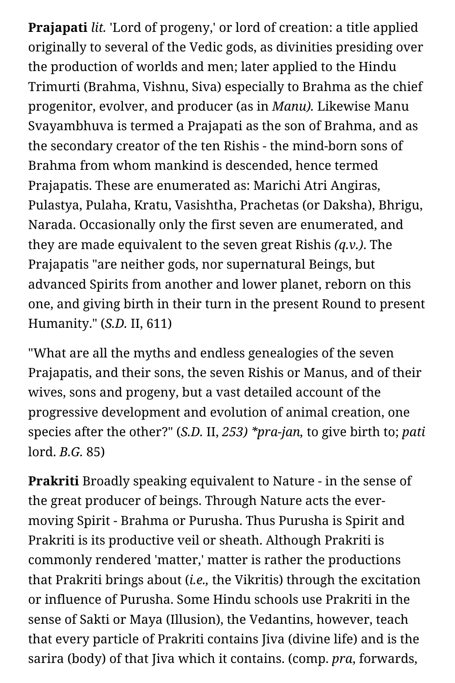**Prajapati** *lit.* 'Lord of progeny,' or lord of creation: a title applied originally to several of the Vedic gods, as divinities presiding over the production of worlds and men; later applied to the Hindu Trimurti (Brahma, Vishnu, Siva) especially to Brahma as the chief progenitor, evolver, and producer (as in *Manu).* Likewise Manu Svayambhuva is termed a Prajapati as the son of Brahma, and as the secondary creator of the ten Rishis - the mind-born sons of Brahma from whom mankind is descended, hence termed Prajapatis. These are enumerated as: Marichi Atri Angiras, Pulastya, Pulaha, Kratu, Vasishtha, Prachetas (or Daksha), Bhrigu, Narada. Occasionally only the first seven are enumerated, and they are made equivalent to the seven great Rishis *(q.v.)*. The Prajapatis "are neither gods, nor supernatural Beings, but advanced Spirits from another and lower planet, reborn on this one, and giving birth in their turn in the present Round to present Humanity." (*S.D.* II, 611)

"What are all the myths and endless genealogies of the seven Prajapatis, and their sons, the seven Rishis or Manus, and of their wives, sons and progeny, but a vast detailed account of the progressive development and evolution of animal creation, one species after the other?" (*S.D.* II, *253) \*pra-jan,* to give birth to; *pati* lord. *B.G.* 85)

**Prakriti** Broadly speaking equivalent to Nature - in the sense of the great producer of beings. Through Nature acts the evermoving Spirit - Brahma or Purusha. Thus Purusha is Spirit and Prakriti is its productive veil or sheath. Although Prakriti is commonly rendered 'matter,' matter is rather the productions that Prakriti brings about (*i.e.,* the Vikritis) through the excitation or influence of Purusha. Some Hindu schools use Prakriti in the sense of Sakti or Maya (Illusion), the Vedantins, however, teach that every particle of Prakriti contains Jiva (divine life) and is the sarira (body) of that Jiva which it contains. (comp. *pra*, forwards,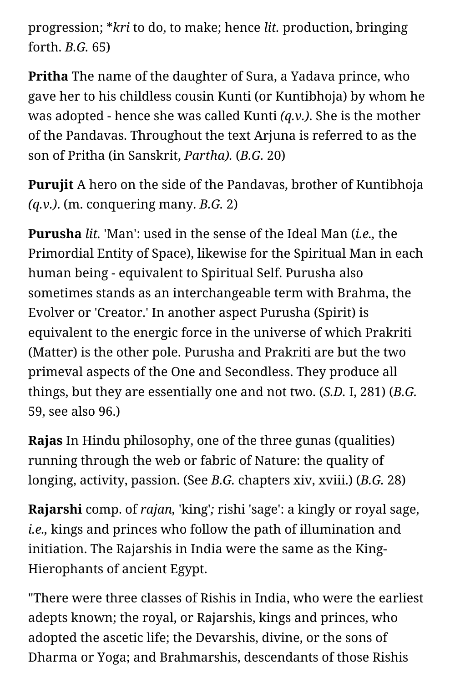progression; \**kri* to do, to make; hence *lit.* production, bringing forth. *B.G.* 65)

**Pritha** The name of the daughter of Sura, a Yadava prince, who gave her to his childless cousin Kunti (or Kuntibhoja) by whom he was adopted - hence she was called Kunti *(q.v.)*. She is the mother of the Pandavas. Throughout the text Arjuna is referred to as the son of Pritha (in Sanskrit, *Partha).* (*B.G.* 20)

**Purujit** A hero on the side of the Pandavas, brother of Kuntibhoja *(q.v.)*. (m. conquering many. *B.G.* 2)

**Purusha** *lit.* 'Man': used in the sense of the Ideal Man (*i.e.,* the Primordial Entity of Space), likewise for the Spiritual Man in each human being - equivalent to Spiritual Self. Purusha also sometimes stands as an interchangeable term with Brahma, the Evolver or 'Creator.' In another aspect Purusha (Spirit) is equivalent to the energic force in the universe of which Prakriti (Matter) is the other pole. Purusha and Prakriti are but the two primeval aspects of the One and Secondless. They produce all things, but they are essentially one and not two. (*S.D.* I, 281) (*B.G.* 59, see also 96.)

**Rajas** In Hindu philosophy, one of the three gunas (qualities) running through the web or fabric of Nature: the quality of longing, activity, passion. (See *B.G.* chapters xiv, xviii.) (*B.G.* 28)

**Rajarshi** comp. of *rajan,* 'king'*;* rishi 'sage': a kingly or royal sage, *i.e.,* kings and princes who follow the path of illumination and initiation. The Rajarshis in India were the same as the King-Hierophants of ancient Egypt.

"There were three classes of Rishis in India, who were the earliest adepts known; the royal, or Rajarshis, kings and princes, who adopted the ascetic life; the Devarshis, divine, or the sons of Dharma or Yoga; and Brahmarshis, descendants of those Rishis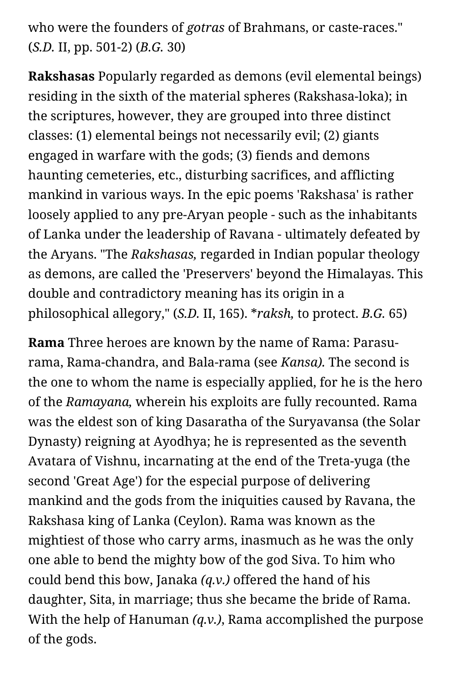# who were the founders of *gotras* of Brahmans, or caste-races." (*S.D.* II, pp. 501-2) (*B.G.* 30)

**Rakshasas** Popularly regarded as demons (evil elemental beings) residing in the sixth of the material spheres (Rakshasa-loka); in the scriptures, however, they are grouped into three distinct classes: (1) elemental beings not necessarily evil; (2) giants engaged in warfare with the gods; (3) fiends and demons haunting cemeteries, etc., disturbing sacrifices, and afflicting mankind in various ways. In the epic poems 'Rakshasa' is rather loosely applied to any pre-Aryan people - such as the inhabitants of Lanka under the leadership of Ravana - ultimately defeated by the Aryans. "The *Rakshasas,* regarded in Indian popular theology as demons, are called the 'Preservers' beyond the Himalayas. This double and contradictory meaning has its origin in a philosophical allegory," (*S.D.* II, 165). \**raksh,* to protect. *B.G.* 65)

**Rama** Three heroes are known by the name of Rama: Parasurama, Rama-chandra, and Bala-rama (see *Kansa).* The second is the one to whom the name is especially applied, for he is the hero of the *Ramayana,* wherein his exploits are fully recounted. Rama was the eldest son of king Dasaratha of the Suryavansa (the Solar Dynasty) reigning at Ayodhya; he is represented as the seventh Avatara of Vishnu, incarnating at the end of the Treta-yuga (the second 'Great Age') for the especial purpose of delivering mankind and the gods from the iniquities caused by Ravana, the Rakshasa king of Lanka (Ceylon). Rama was known as the mightiest of those who carry arms, inasmuch as he was the only one able to bend the mighty bow of the god Siva. To him who could bend this bow, Janaka *(q.v.)* offered the hand of his daughter, Sita, in marriage; thus she became the bride of Rama. With the help of Hanuman *(q.v.)*, Rama accomplished the purpose of the gods.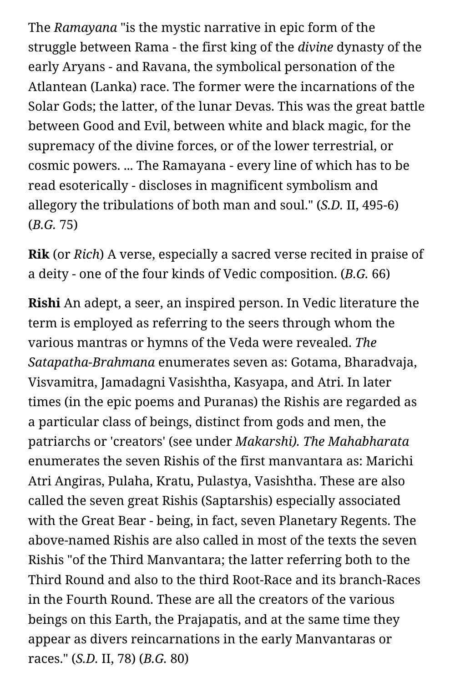The *Ramayana* "is the mystic narrative in epic form of the struggle between Rama - the first king of the *divine* dynasty of the early Aryans - and Ravana, the symbolical personation of the Atlantean (Lanka) race. The former were the incarnations of the Solar Gods; the latter, of the lunar Devas. This was the great battle between Good and Evil, between white and black magic, for the supremacy of the divine forces, or of the lower terrestrial, or cosmic powers. ... The Ramayana - every line of which has to be read esoterically - discloses in magnificent symbolism and allegory the tribulations of both man and soul." (*S.D.* II, 495-6) (*B.G.* 75)

**Rik** (or *Rich*) A verse, especially a sacred verse recited in praise of a deity - one of the four kinds of Vedic composition. (*B.G.* 66)

**Rishi** An adept, a seer, an inspired person. In Vedic literature the term is employed as referring to the seers through whom the various mantras or hymns of the Veda were revealed. *The Satapatha-Brahmana* enumerates seven as: Gotama, Bharadvaja, Visvamitra, Jamadagni Vasishtha, Kasyapa, and Atri. In later times (in the epic poems and Puranas) the Rishis are regarded as a particular class of beings, distinct from gods and men, the patriarchs or 'creators' (see under *Makarshi). The Mahabharata* enumerates the seven Rishis of the first manvantara as: Marichi Atri Angiras, Pulaha, Kratu, Pulastya, Vasishtha. These are also called the seven great Rishis (Saptarshis) especially associated with the Great Bear - being, in fact, seven Planetary Regents. The above-named Rishis are also called in most of the texts the seven Rishis "of the Third Manvantara; the latter referring both to the Third Round and also to the third Root-Race and its branch-Races in the Fourth Round. These are all the creators of the various beings on this Earth, the Prajapatis, and at the same time they appear as divers reincarnations in the early Manvantaras or races." (*S.D.* II, 78) (*B.G.* 80)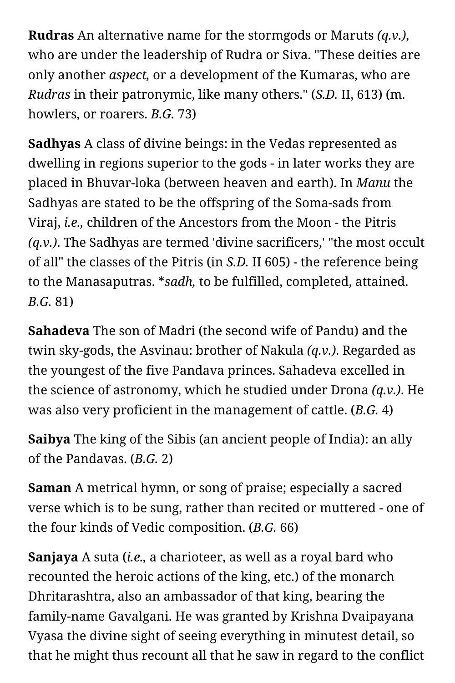**Rudras** An alternative name for the stormgods or Maruts *(q.v.)*, who are under the leadership of Rudra or Siva. "These deities are only another *aspect,* or a development of the Kumaras, who are *Rudras* in their patronymic, like many others." (*S.D.* II, 613) (m. howlers, or roarers. *B.G.* 73)

**Sadhyas** A class of divine beings: in the Vedas represented as dwelling in regions superior to the gods - in later works they are placed in Bhuvar-loka (between heaven and earth). In *Manu* the Sadhyas are stated to be the offspring of the Soma-sads from Viraj, *i.e.,* children of the Ancestors from the Moon - the Pitris *(q.v.)*. The Sadhyas are termed 'divine sacrificers,' "the most occult of all" the classes of the Pitris (in *S.D.* II 605) - the reference being to the Manasaputras. \**sadh,* to be fulfilled, completed, attained. *B.G.* 81)

**Sahadeva** The son of Madri (the second wife of Pandu) and the twin sky-gods, the Asvinau: brother of Nakula *(q.v.)*. Regarded as the youngest of the five Pandava princes. Sahadeva excelled in the science of astronomy, which he studied under Drona *(q.v.)*. He was also very proficient in the management of cattle. (*B.G.* 4)

**Saibya** The king of the Sibis (an ancient people of India): an ally of the Pandavas. (*B.G.* 2)

**Saman** A metrical hymn, or song of praise; especially a sacred verse which is to be sung, rather than recited or muttered - one of the four kinds of Vedic composition. (*B.G.* 66)

**Sanjaya** A suta (*i.e.,* a charioteer, as well as a royal bard who recounted the heroic actions of the king, etc.) of the monarch Dhritarashtra, also an ambassador of that king, bearing the family-name Gavalgani. He was granted by Krishna Dvaipayana Vyasa the divine sight of seeing everything in minutest detail, so that he might thus recount all that he saw in regard to the conflict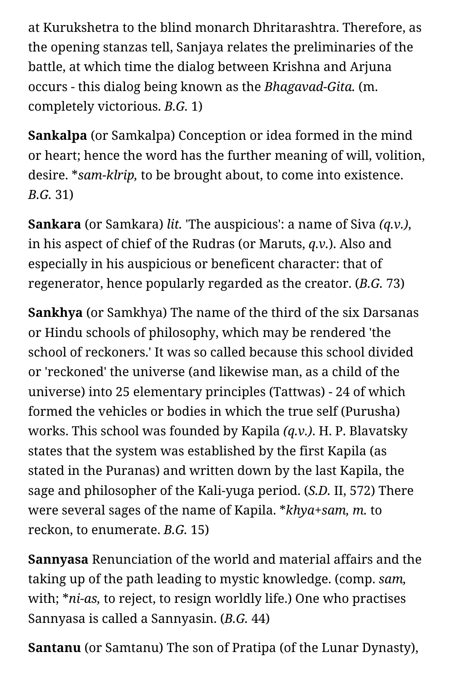at Kurukshetra to the blind monarch Dhritarashtra. Therefore, as the opening stanzas tell, Sanjaya relates the preliminaries of the battle, at which time the dialog between Krishna and Arjuna occurs - this dialog being known as the *Bhagavad-Gita.* (m. completely victorious. *B.G.* 1)

**Sankalpa** (or Samkalpa) Conception or idea formed in the mind or heart; hence the word has the further meaning of will, volition, desire. \**sam-klrip,* to be brought about, to come into existence. *B.G.* 31)

**Sankara** (or Samkara) *lit.* 'The auspicious': a name of Siva *(q.v.)*, in his aspect of chief of the Rudras (or Maruts, *q.v.*). Also and especially in his auspicious or beneficent character: that of regenerator, hence popularly regarded as the creator. (*B.G.* 73)

**Sankhya** (or Samkhya) The name of the third of the six Darsanas or Hindu schools of philosophy, which may be rendered 'the school of reckoners.' It was so called because this school divided or 'reckoned' the universe (and likewise man, as a child of the universe) into 25 elementary principles (Tattwas) - 24 of which formed the vehicles or bodies in which the true self (Purusha) works. This school was founded by Kapila *(q.v.)*. H. P. Blavatsky states that the system was established by the first Kapila (as stated in the Puranas) and written down by the last Kapila, the sage and philosopher of the Kali-yuga period. (*S.D.* II, 572) There were several sages of the name of Kapila. \**khya+sam, m.* to reckon, to enumerate. *B.G.* 15)

**Sannyasa** Renunciation of the world and material affairs and the taking up of the path leading to mystic knowledge. (comp. *sam,* with; \**ni-as,* to reject, to resign worldly life.) One who practises Sannyasa is called a Sannyasin. (*B.G.* 44)

**Santanu** (or Samtanu) The son of Pratipa (of the Lunar Dynasty),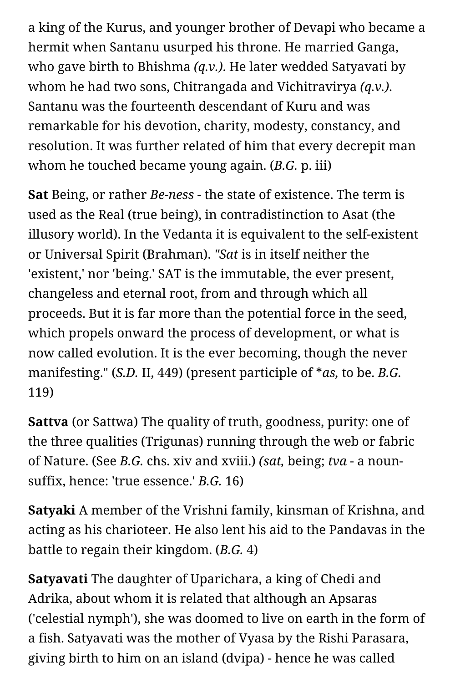a king of the Kurus, and younger brother of Devapi who became a hermit when Santanu usurped his throne. He married Ganga, who gave birth to Bhishma *(q.v.)*. He later wedded Satyavati by whom he had two sons, Chitrangada and Vichitravirya *(q.v.)*. Santanu was the fourteenth descendant of Kuru and was remarkable for his devotion, charity, modesty, constancy, and resolution. It was further related of him that every decrepit man whom he touched became young again. (*B.G.* p. iii)

**Sat** Being, or rather *Be-ness* - the state of existence. The term is used as the Real (true being), in contradistinction to Asat (the illusory world). In the Vedanta it is equivalent to the self-existent or Universal Spirit (Brahman). *"Sat* is in itself neither the 'existent,' nor 'being.' SAT is the immutable, the ever present, changeless and eternal root, from and through which all proceeds. But it is far more than the potential force in the seed, which propels onward the process of development, or what is now called evolution. It is the ever becoming, though the never manifesting." (*S.D.* II, 449) (present participle of \**as,* to be. *B.G.* 119)

**Sattva** (or Sattwa) The quality of truth, goodness, purity: one of the three qualities (Trigunas) running through the web or fabric of Nature. (See *B.G.* chs. xiv and xviii.) *(sat,* being; *tva* - a nounsuffix, hence: 'true essence.' *B.G.* 16)

**Satyaki** A member of the Vrishni family, kinsman of Krishna, and acting as his charioteer. He also lent his aid to the Pandavas in the battle to regain their kingdom. (*B.G.* 4)

**Satyavati** The daughter of Uparichara, a king of Chedi and Adrika, about whom it is related that although an Apsaras ('celestial nymph'), she was doomed to live on earth in the form of a fish. Satyavati was the mother of Vyasa by the Rishi Parasara, giving birth to him on an island (dvipa) - hence he was called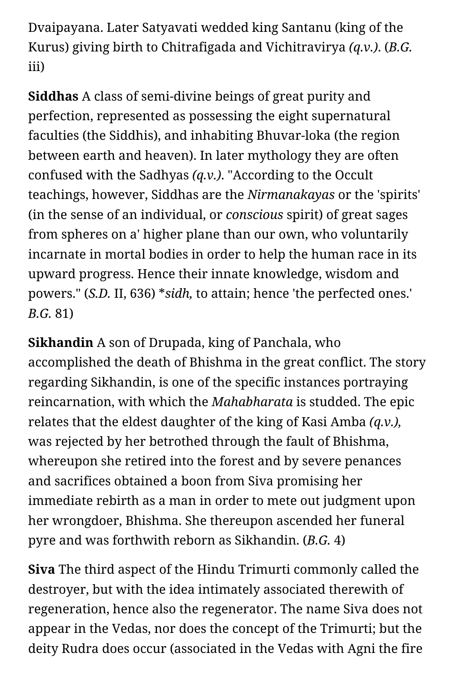Dvaipayana. Later Satyavati wedded king Santanu (king of the Kurus) giving birth to Chitrafigada and Vichitravirya *(q.v.)*. (*B.G.* iii)

**Siddhas** A class of semi-divine beings of great purity and perfection, represented as possessing the eight supernatural faculties (the Siddhis), and inhabiting Bhuvar-loka (the region between earth and heaven). In later mythology they are often confused with the Sadhyas *(q.v.)*. "According to the Occult teachings, however, Siddhas are the *Nirmanakayas* or the 'spirits' (in the sense of an individual, or *conscious* spirit) of great sages from spheres on a' higher plane than our own, who voluntarily incarnate in mortal bodies in order to help the human race in its upward progress. Hence their innate knowledge, wisdom and powers." (*S.D.* II, 636) \**sidh,* to attain; hence 'the perfected ones.' *B.G.* 81)

**Sikhandin** A son of Drupada, king of Panchala, who accomplished the death of Bhishma in the great conflict. The story regarding Sikhandin, is one of the specific instances portraying reincarnation, with which the *Mahabharata* is studded. The epic relates that the eldest daughter of the king of Kasi Amba *(q.v.),* was rejected by her betrothed through the fault of Bhishma, whereupon she retired into the forest and by severe penances and sacrifices obtained a boon from Siva promising her immediate rebirth as a man in order to mete out judgment upon her wrongdoer, Bhishma. She thereupon ascended her funeral pyre and was forthwith reborn as Sikhandin. (*B.G.* 4)

**Siva** The third aspect of the Hindu Trimurti commonly called the destroyer, but with the idea intimately associated therewith of regeneration, hence also the regenerator. The name Siva does not appear in the Vedas, nor does the concept of the Trimurti; but the deity Rudra does occur (associated in the Vedas with Agni the fire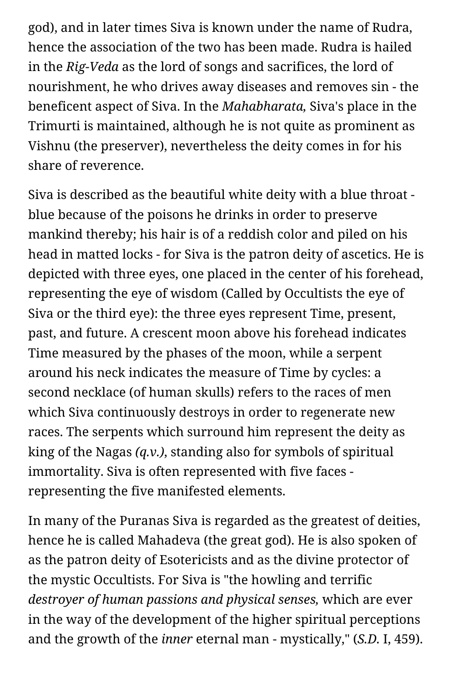god), and in later times Siva is known under the name of Rudra, hence the association of the two has been made. Rudra is hailed in the *Rig-Veda* as the lord of songs and sacrifices, the lord of nourishment, he who drives away diseases and removes sin - the beneficent aspect of Siva. In the *Mahabharata,* Siva's place in the Trimurti is maintained, although he is not quite as prominent as Vishnu (the preserver), nevertheless the deity comes in for his share of reverence.

Siva is described as the beautiful white deity with a blue throat blue because of the poisons he drinks in order to preserve mankind thereby; his hair is of a reddish color and piled on his head in matted locks - for Siva is the patron deity of ascetics. He is depicted with three eyes, one placed in the center of his forehead, representing the eye of wisdom (Called by Occultists the eye of Siva or the third eye): the three eyes represent Time, present, past, and future. A crescent moon above his forehead indicates Time measured by the phases of the moon, while a serpent around his neck indicates the measure of Time by cycles: a second necklace (of human skulls) refers to the races of men which Siva continuously destroys in order to regenerate new races. The serpents which surround him represent the deity as king of the Nagas *(q.v.)*, standing also for symbols of spiritual immortality. Siva is often represented with five faces representing the five manifested elements.

In many of the Puranas Siva is regarded as the greatest of deities, hence he is called Mahadeva (the great god). He is also spoken of as the patron deity of Esotericists and as the divine protector of the mystic Occultists. For Siva is "the howling and terrific *destroyer of human passions and physical senses,* which are ever in the way of the development of the higher spiritual perceptions and the growth of the *inner* eternal man - mystically," (*S.D.* I, 459).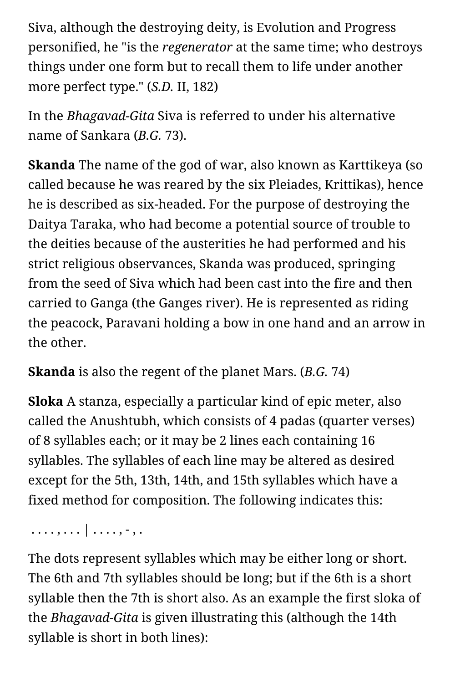Siva, although the destroying deity, is Evolution and Progress personified, he "is the *regenerator* at the same time; who destroys things under one form but to recall them to life under another more perfect type." (*S.D.* II, 182)

In the *Bhagavad-Gita* Siva is referred to under his alternative name of Sankara (*B.G.* 73).

**Skanda** The name of the god of war, also known as Karttikeya (so called because he was reared by the six Pleiades, Krittikas), hence he is described as six-headed. For the purpose of destroying the Daitya Taraka, who had become a potential source of trouble to the deities because of the austerities he had performed and his strict religious observances, Skanda was produced, springing from the seed of Siva which had been cast into the fire and then carried to Ganga (the Ganges river). He is represented as riding the peacock, Paravani holding a bow in one hand and an arrow in the other.

**Skanda** is also the regent of the planet Mars. (*B.G.* 74)

**Sloka** A stanza, especially a particular kind of epic meter, also called the Anushtubh, which consists of 4 padas (quarter verses) of 8 syllables each; or it may be 2 lines each containing 16 syllables. The syllables of each line may be altered as desired except for the 5th, 13th, 14th, and 15th syllables which have a fixed method for composition. The following indicates this:

. . . . , . . . | . . . . , - , .

The dots represent syllables which may be either long or short. The 6th and 7th syllables should be long; but if the 6th is a short syllable then the 7th is short also. As an example the first sloka of the *Bhagavad-Gita* is given illustrating this (although the 14th syllable is short in both lines):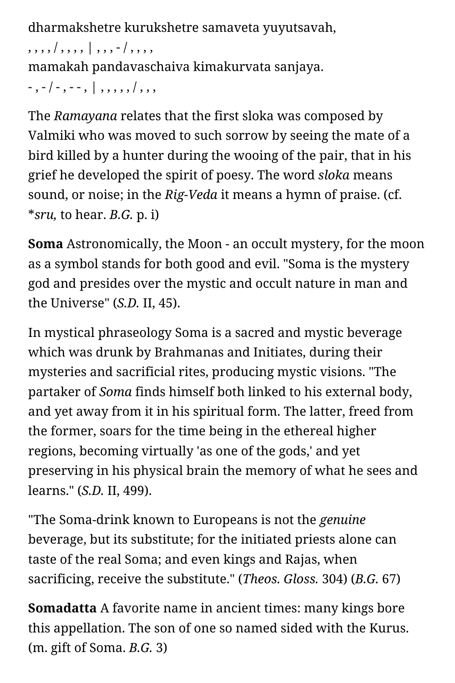dharmakshetre kurukshetre samaveta yuyutsavah,

, , , , / , , , , | , , , - / , , , ,

mamakah pandavaschaiva kimakurvata sanjaya.

- , - / - , - - , | , , , , , / , , ,

The *Ramayana* relates that the first sloka was composed by Valmiki who was moved to such sorrow by seeing the mate of a bird killed by a hunter during the wooing of the pair, that in his grief he developed the spirit of poesy. The word *sloka* means sound, or noise; in the *Rig-Veda* it means a hymn of praise. (cf. \**sru,* to hear. *B.G.* p. i)

**Soma** Astronomically, the Moon - an occult mystery, for the moon as a symbol stands for both good and evil. "Soma is the mystery god and presides over the mystic and occult nature in man and the Universe" (*S.D.* II, 45).

In mystical phraseology Soma is a sacred and mystic beverage which was drunk by Brahmanas and Initiates, during their mysteries and sacrificial rites, producing mystic visions. "The partaker of *Soma* finds himself both linked to his external body, and yet away from it in his spiritual form. The latter, freed from the former, soars for the time being in the ethereal higher regions, becoming virtually 'as one of the gods,' and yet preserving in his physical brain the memory of what he sees and learns." (*S.D.* II, 499).

"The Soma-drink known to Europeans is not the *genuine* beverage, but its substitute; for the initiated priests alone can taste of the real Soma; and even kings and Rajas, when sacrificing, receive the substitute." (*Theos. Gloss.* 304) (*B.G.* 67)

**Somadatta** A favorite name in ancient times: many kings bore this appellation. The son of one so named sided with the Kurus. (m. gift of Soma. *B.G.* 3)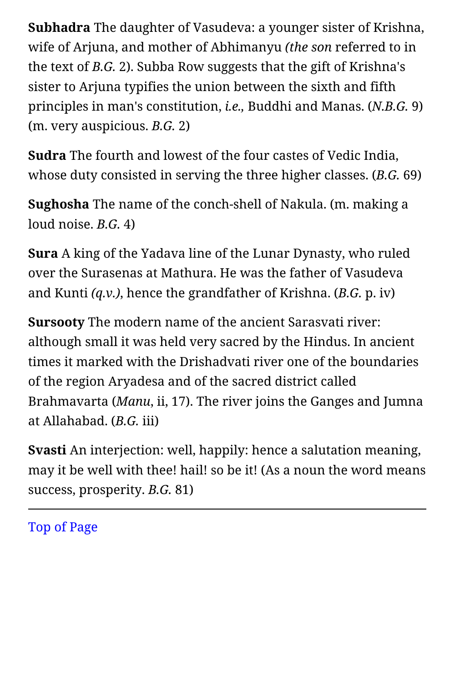**Subhadra** The daughter of Vasudeva: a younger sister of Krishna, wife of Arjuna, and mother of Abhimanyu *(the son* referred to in the text of *B.G.* 2). Subba Row suggests that the gift of Krishna's sister to Arjuna typifies the union between the sixth and fifth principles in man's constitution, *i.e.,* Buddhi and Manas. (*N.B.G.* 9) (m. very auspicious. *B.G.* 2)

**Sudra** The fourth and lowest of the four castes of Vedic India, whose duty consisted in serving the three higher classes. (*B.G.* 69)

**Sughosha** The name of the conch-shell of Nakula. (m. making a loud noise. *B.G.* 4)

**Sura** A king of the Yadava line of the Lunar Dynasty, who ruled over the Surasenas at Mathura. He was the father of Vasudeva and Kunti *(q.v.)*, hence the grandfather of Krishna. (*B.G.* p. iv)

**Sursooty** The modern name of the ancient Sarasvati river: although small it was held very sacred by the Hindus. In ancient times it marked with the Drishadvati river one of the boundaries of the region Aryadesa and of the sacred district called Brahmavarta (*Manu*, ii, 17). The river joins the Ganges and Jumna at Allahabad. (*B.G.* iii)

**Svasti** An interjection: well, happily: hence a salutation meaning, may it be well with thee! hail! so be it! (As a noun the word means success, prosperity. *B.G.* 81)

[Top of Page](#page-50-0)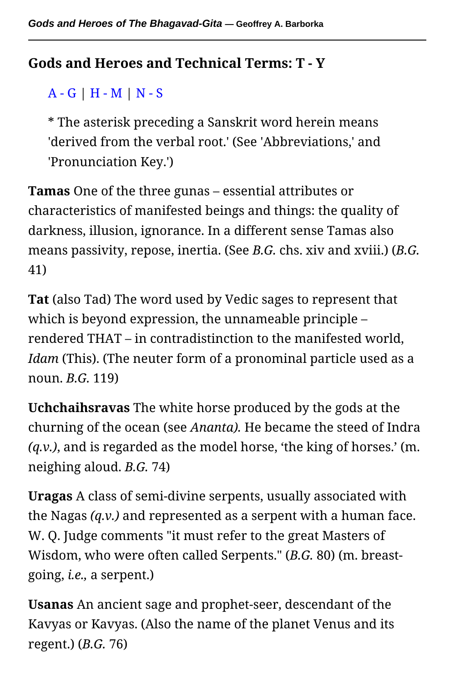## <span id="page-68-0"></span>**Gods and Heroes and Technical Terms: T - Y**

## [A - G](#page-9-0) | [H - M](#page-31-1) | [N - S](#page-50-1)

\* The asterisk preceding a Sanskrit word herein means 'derived from the verbal root.' (See 'Abbreviations,' and 'Pronunciation Key.')

**Tamas** One of the three gunas – essential attributes or characteristics of manifested beings and things: the quality of darkness, illusion, ignorance. In a different sense Tamas also means passivity, repose, inertia. (See *B.G.* chs. xiv and xviii.) (*B.G.* 41)

**Tat** (also Tad) The word used by Vedic sages to represent that which is beyond expression, the unnameable principle – rendered THAT – in contradistinction to the manifested world, *Idam* (This). (The neuter form of a pronominal particle used as a noun. *B.G.* 119)

**Uchchaihsravas** The white horse produced by the gods at the churning of the ocean (see *Ananta).* He became the steed of Indra *(q.v.)*, and is regarded as the model horse, 'the king of horses.' (m. neighing aloud. *B.G.* 74)

**Uragas** A class of semi-divine serpents, usually associated with the Nagas *(q.v.)* and represented as a serpent with a human face. W. Q. Judge comments "it must refer to the great Masters of Wisdom, who were often called Serpents." (*B.G.* 80) (m. breastgoing, *i.e.,* a serpent.)

**Usanas** An ancient sage and prophet-seer, descendant of the Kavyas or Kavyas. (Also the name of the planet Venus and its regent.) (*B.G.* 76)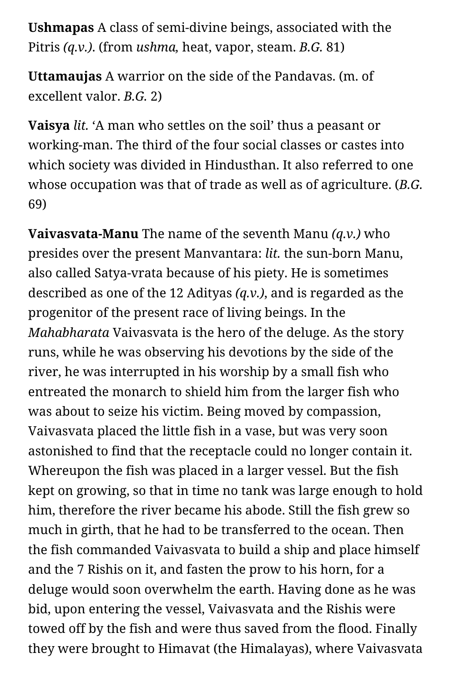**Ushmapas** A class of semi-divine beings, associated with the Pitris *(q.v.)*. (from *ushma,* heat, vapor, steam. *B.G.* 81)

**Uttamaujas** A warrior on the side of the Pandavas. (m. of excellent valor. *B.G.* 2)

**Vaisya** *lit.* 'A man who settles on the soil' thus a peasant or working-man. The third of the four social classes or castes into which society was divided in Hindusthan. It also referred to one whose occupation was that of trade as well as of agriculture. (*B.G.* 69)

**Vaivasvata-Manu** The name of the seventh Manu *(q.v.)* who presides over the present Manvantara: *lit.* the sun-born Manu, also called Satya-vrata because of his piety. He is sometimes described as one of the 12 Adityas *(q.v.)*, and is regarded as the progenitor of the present race of living beings. In the *Mahabharata* Vaivasvata is the hero of the deluge. As the story runs, while he was observing his devotions by the side of the river, he was interrupted in his worship by a small fish who entreated the monarch to shield him from the larger fish who was about to seize his victim. Being moved by compassion, Vaivasvata placed the little fish in a vase, but was very soon astonished to find that the receptacle could no longer contain it. Whereupon the fish was placed in a larger vessel. But the fish kept on growing, so that in time no tank was large enough to hold him, therefore the river became his abode. Still the fish grew so much in girth, that he had to be transferred to the ocean. Then the fish commanded Vaivasvata to build a ship and place himself and the 7 Rishis on it, and fasten the prow to his horn, for a deluge would soon overwhelm the earth. Having done as he was bid, upon entering the vessel, Vaivasvata and the Rishis were towed off by the fish and were thus saved from the flood. Finally they were brought to Himavat (the Himalayas), where Vaivasvata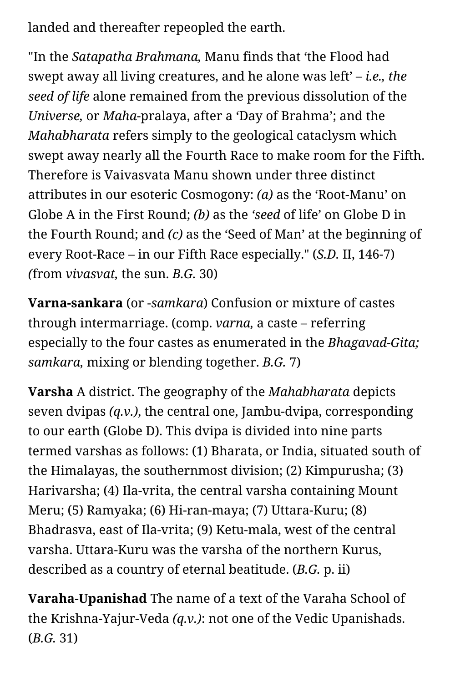landed and thereafter repeopled the earth.

"In the *Satapatha Brahmana,* Manu finds that 'the Flood had swept away all living creatures, and he alone was left' – *i.e., the seed of life* alone remained from the previous dissolution of the *Universe,* or *Maha*-pralaya, after a 'Day of Brahma'; and the *Mahabharata* refers simply to the geological cataclysm which swept away nearly all the Fourth Race to make room for the Fifth. Therefore is Vaivasvata Manu shown under three distinct attributes in our esoteric Cosmogony: *(a)* as the 'Root-Manu' on Globe A in the First Round; *(b)* as the *'seed* of life' on Globe D in the Fourth Round; and *(c)* as the 'Seed of Man' at the beginning of every Root-Race – in our Fifth Race especially." (*S.D.* II, 146-7) *(*from *vivasvat,* the sun. *B.G.* 30)

**Varna-sankara** (or -*samkara*) Confusion or mixture of castes through intermarriage. (comp. *varna,* a caste – referring especially to the four castes as enumerated in the *Bhagavad-Gita; samkara,* mixing or blending together. *B.G.* 7)

**Varsha** A district. The geography of the *Mahabharata* depicts seven dvipas *(q.v.)*, the central one, Jambu-dvipa, corresponding to our earth (Globe D). This dvipa is divided into nine parts termed varshas as follows: (1) Bharata, or India, situated south of the Himalayas, the southernmost division; (2) Kimpurusha; (3) Harivarsha; (4) Ila-vrita, the central varsha containing Mount Meru; (5) Ramyaka; (6) Hi-ran-maya; (7) Uttara-Kuru; (8) Bhadrasva, east of Ila-vrita; (9) Ketu-mala, west of the central varsha. Uttara-Kuru was the varsha of the northern Kurus, described as a country of eternal beatitude. (*B.G.* p. ii)

**Varaha-Upanishad** The name of a text of the Varaha School of the Krishna-Yajur-Veda *(q.v.)*: not one of the Vedic Upanishads. (*B.G.* 31)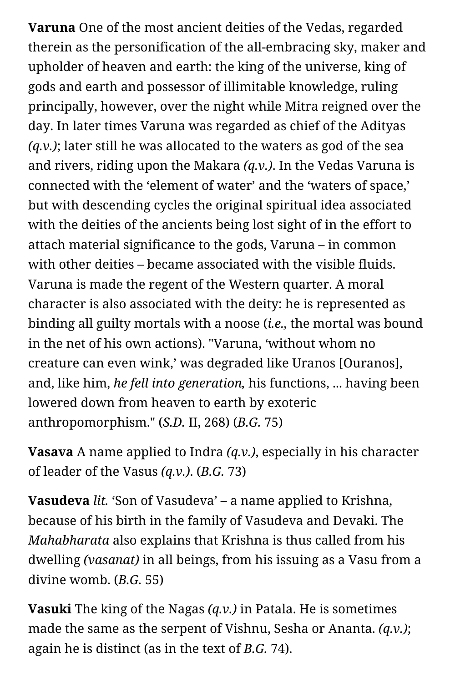**Varuna** One of the most ancient deities of the Vedas, regarded therein as the personification of the all-embracing sky, maker and upholder of heaven and earth: the king of the universe, king of gods and earth and possessor of illimitable knowledge, ruling principally, however, over the night while Mitra reigned over the day. In later times Varuna was regarded as chief of the Adityas *(q.v.)*; later still he was allocated to the waters as god of the sea and rivers, riding upon the Makara *(q.v.)*. In the Vedas Varuna is connected with the 'element of water' and the 'waters of space,' but with descending cycles the original spiritual idea associated with the deities of the ancients being lost sight of in the effort to attach material significance to the gods, Varuna – in common with other deities – became associated with the visible fluids. Varuna is made the regent of the Western quarter. A moral character is also associated with the deity: he is represented as binding all guilty mortals with a noose (*i.e.,* the mortal was bound in the net of his own actions). "Varuna, 'without whom no creature can even wink,' was degraded like Uranos [Ouranos], and, like him, *he fell into generation,* his functions, ... having been lowered down from heaven to earth by exoteric anthropomorphism." (*S.D.* II, 268) (*B.G.* 75)

**Vasava** A name applied to Indra *(q.v.)*, especially in his character of leader of the Vasus *(q.v.)*. (*B.G.* 73)

**Vasudeva** *lit.* 'Son of Vasudeva' – a name applied to Krishna, because of his birth in the family of Vasudeva and Devaki. The *Mahabharata* also explains that Krishna is thus called from his dwelling *(vasanat)* in all beings, from his issuing as a Vasu from a divine womb. (*B.G.* 55)

**Vasuki** The king of the Nagas *(q.v.)* in Patala. He is sometimes made the same as the serpent of Vishnu, Sesha or Ananta. *(q.v.)*; again he is distinct (as in the text of *B.G.* 74).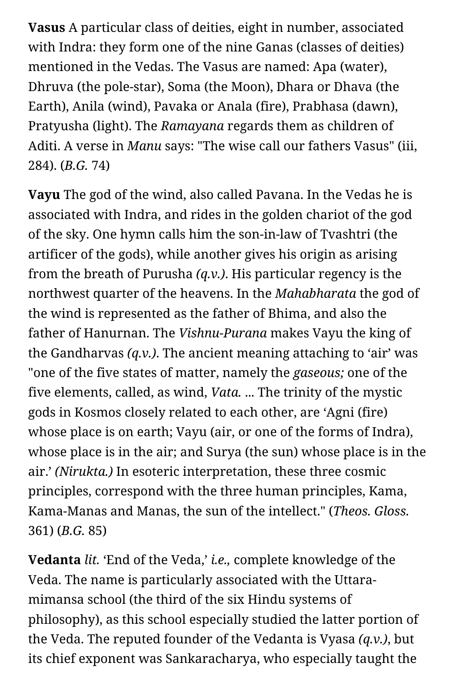**Vasus** A particular class of deities, eight in number, associated with Indra: they form one of the nine Ganas (classes of deities) mentioned in the Vedas. The Vasus are named: Apa (water), Dhruva (the pole-star), Soma (the Moon), Dhara or Dhava (the Earth), Anila (wind), Pavaka or Anala (fire), Prabhasa (dawn), Pratyusha (light). The *Ramayana* regards them as children of Aditi. A verse in *Manu* says: "The wise call our fathers Vasus" (iii, 284). (*B.G.* 74)

**Vayu** The god of the wind, also called Pavana. In the Vedas he is associated with Indra, and rides in the golden chariot of the god of the sky. One hymn calls him the son-in-law of Tvashtri (the artificer of the gods), while another gives his origin as arising from the breath of Purusha *(q.v.)*. His particular regency is the northwest quarter of the heavens. In the *Mahabharata* the god of the wind is represented as the father of Bhima, and also the father of Hanurnan. The *Vishnu-Purana* makes Vayu the king of the Gandharvas *(q.v.)*. The ancient meaning attaching to 'air' was "one of the five states of matter, namely the *gaseous;* one of the five elements, called, as wind, *Vata.* ... The trinity of the mystic gods in Kosmos closely related to each other, are 'Agni (fire) whose place is on earth; Vayu (air, or one of the forms of Indra), whose place is in the air; and Surya (the sun) whose place is in the air.' *(Nirukta.)* In esoteric interpretation, these three cosmic principles, correspond with the three human principles, Kama, Kama-Manas and Manas, the sun of the intellect." (*Theos. Gloss.* 361) (*B.G.* 85)

**Vedanta** *lit.* 'End of the Veda,' *i.e.,* complete knowledge of the Veda. The name is particularly associated with the Uttaramimansa school (the third of the six Hindu systems of philosophy), as this school especially studied the latter portion of the Veda. The reputed founder of the Vedanta is Vyasa *(q.v.)*, but its chief exponent was Sankaracharya, who especially taught the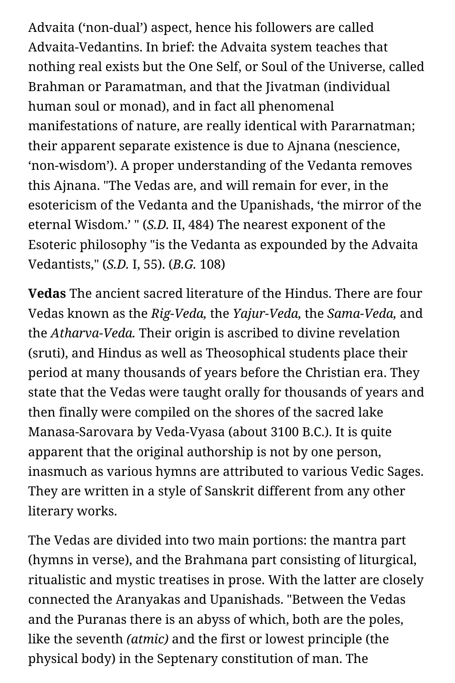Advaita ('non-dual') aspect, hence his followers are called Advaita-Vedantins. In brief: the Advaita system teaches that nothing real exists but the One Self, or Soul of the Universe, called Brahman or Paramatman, and that the Jivatman (individual human soul or monad), and in fact all phenomenal manifestations of nature, are really identical with Pararnatman; their apparent separate existence is due to Ajnana (nescience, 'non-wisdom'). A proper understanding of the Vedanta removes this Ajnana. "The Vedas are, and will remain for ever, in the esotericism of the Vedanta and the Upanishads, 'the mirror of the eternal Wisdom.' " (*S.D.* II, 484) The nearest exponent of the Esoteric philosophy "is the Vedanta as expounded by the Advaita Vedantists," (*S.D.* I, 55). (*B.G.* 108)

**Vedas** The ancient sacred literature of the Hindus. There are four Vedas known as the *Rig-Veda,* the *Yajur-Veda,* the *Sama-Veda,* and the *Atharva-Veda.* Their origin is ascribed to divine revelation (sruti), and Hindus as well as Theosophical students place their period at many thousands of years before the Christian era. They state that the Vedas were taught orally for thousands of years and then finally were compiled on the shores of the sacred lake Manasa-Sarovara by Veda-Vyasa (about 3100 B.C.). It is quite apparent that the original authorship is not by one person, inasmuch as various hymns are attributed to various Vedic Sages. They are written in a style of Sanskrit different from any other literary works.

The Vedas are divided into two main portions: the mantra part (hymns in verse), and the Brahmana part consisting of liturgical, ritualistic and mystic treatises in prose. With the latter are closely connected the Aranyakas and Upanishads. "Between the Vedas and the Puranas there is an abyss of which, both are the poles, like the seventh *(atmic)* and the first or lowest principle (the physical body) in the Septenary constitution of man. The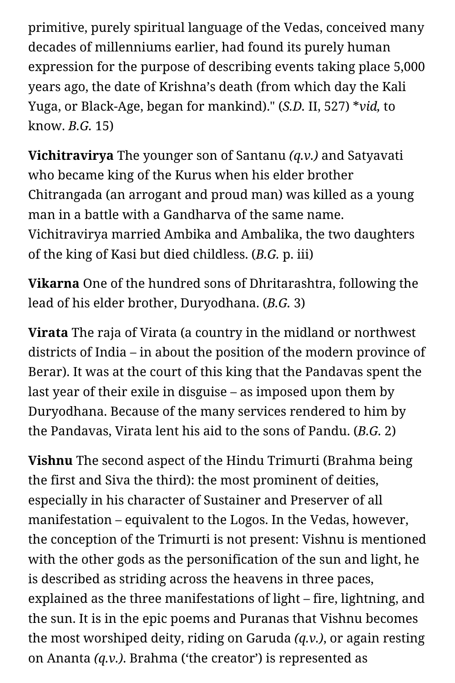primitive, purely spiritual language of the Vedas, conceived many decades of millenniums earlier, had found its purely human expression for the purpose of describing events taking place 5,000 years ago, the date of Krishna's death (from which day the Kali Yuga, or Black-Age, began for mankind)." (*S.D.* II, 527) \**vid,* to know. *B.G.* 15)

**Vichitravirya** The younger son of Santanu *(q.v.)* and Satyavati who became king of the Kurus when his elder brother Chitrangada (an arrogant and proud man) was killed as a young man in a battle with a Gandharva of the same name. Vichitravirya married Ambika and Ambalika, the two daughters of the king of Kasi but died childless. (*B.G.* p. iii)

**Vikarna** One of the hundred sons of Dhritarashtra, following the lead of his elder brother, Duryodhana. (*B.G.* 3)

**Virata** The raja of Virata (a country in the midland or northwest districts of India – in about the position of the modern province of Berar). It was at the court of this king that the Pandavas spent the last year of their exile in disguise – as imposed upon them by Duryodhana. Because of the many services rendered to him by the Pandavas, Virata lent his aid to the sons of Pandu. (*B.G.* 2)

**Vishnu** The second aspect of the Hindu Trimurti (Brahma being the first and Siva the third): the most prominent of deities, especially in his character of Sustainer and Preserver of all manifestation – equivalent to the Logos. In the Vedas, however, the conception of the Trimurti is not present: Vishnu is mentioned with the other gods as the personification of the sun and light, he is described as striding across the heavens in three paces, explained as the three manifestations of light – fire, lightning, and the sun. It is in the epic poems and Puranas that Vishnu becomes the most worshiped deity, riding on Garuda *(q.v.)*, or again resting on Ananta *(q.v.)*. Brahma ('the creator') is represented as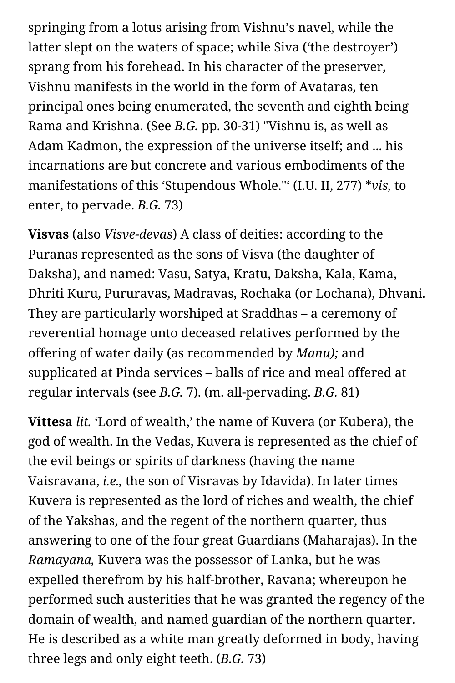springing from a lotus arising from Vishnu's navel, while the latter slept on the waters of space; while Siva ('the destroyer') sprang from his forehead. In his character of the preserver, Vishnu manifests in the world in the form of Avataras, ten principal ones being enumerated, the seventh and eighth being Rama and Krishna. (See *B.G.* pp. 30-31) "Vishnu is, as well as Adam Kadmon, the expression of the universe itself; and ... his incarnations are but concrete and various embodiments of the manifestations of this 'Stupendous Whole."' (I.U. II, 277) \**vis,* to enter, to pervade. *B.G.* 73)

**Visvas** (also *Visve-devas*) A class of deities: according to the Puranas represented as the sons of Visva (the daughter of Daksha), and named: Vasu, Satya, Kratu, Daksha, Kala, Kama, Dhriti Kuru, Pururavas, Madravas, Rochaka (or Lochana), Dhvani. They are particularly worshiped at Sraddhas – a ceremony of reverential homage unto deceased relatives performed by the offering of water daily (as recommended by *Manu);* and supplicated at Pinda services – balls of rice and meal offered at regular intervals (see *B.G.* 7). (m. all-pervading. *B.G.* 81)

**Vittesa** *lit.* 'Lord of wealth,' the name of Kuvera (or Kubera), the god of wealth. In the Vedas, Kuvera is represented as the chief of the evil beings or spirits of darkness (having the name Vaisravana, *i.e.,* the son of Visravas by Idavida). In later times Kuvera is represented as the lord of riches and wealth, the chief of the Yakshas, and the regent of the northern quarter, thus answering to one of the four great Guardians (Maharajas). In the *Ramayana,* Kuvera was the possessor of Lanka, but he was expelled therefrom by his half-brother, Ravana; whereupon he performed such austerities that he was granted the regency of the domain of wealth, and named guardian of the northern quarter. He is described as a white man greatly deformed in body, having three legs and only eight teeth. (*B.G.* 73)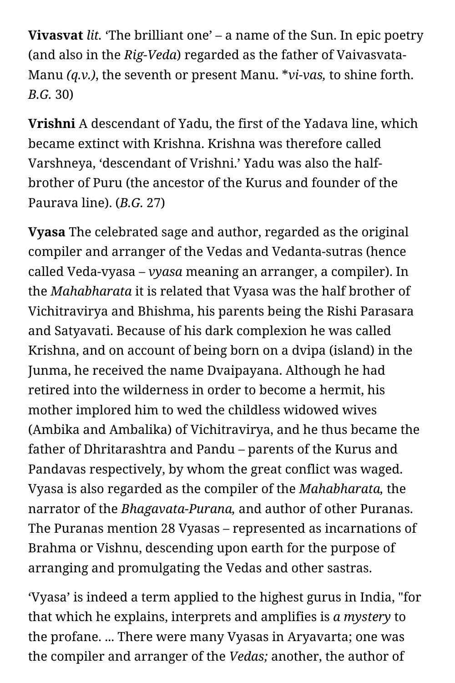**Vivasvat** *lit.* 'The brilliant one' – a name of the Sun. In epic poetry (and also in the *Rig-Veda*) regarded as the father of Vaivasvata-Manu *(q.v.)*, the seventh or present Manu. \**vi-vas,* to shine forth. *B.G.* 30)

**Vrishni** A descendant of Yadu, the first of the Yadava line, which became extinct with Krishna. Krishna was therefore called Varshneya, 'descendant of Vrishni.' Yadu was also the halfbrother of Puru (the ancestor of the Kurus and founder of the Paurava line). (*B.G.* 27)

**Vyasa** The celebrated sage and author, regarded as the original compiler and arranger of the Vedas and Vedanta-sutras (hence called Veda-vyasa – *vyasa* meaning an arranger, a compiler). In the *Mahabharata* it is related that Vyasa was the half brother of Vichitravirya and Bhishma, his parents being the Rishi Parasara and Satyavati. Because of his dark complexion he was called Krishna, and on account of being born on a dvipa (island) in the Junma, he received the name Dvaipayana. Although he had retired into the wilderness in order to become a hermit, his mother implored him to wed the childless widowed wives (Ambika and Ambalika) of Vichitravirya, and he thus became the father of Dhritarashtra and Pandu – parents of the Kurus and Pandavas respectively, by whom the great conflict was waged. Vyasa is also regarded as the compiler of the *Mahabharata,* the narrator of the *Bhagavata-Purana,* and author of other Puranas. The Puranas mention 28 Vyasas – represented as incarnations of Brahma or Vishnu, descending upon earth for the purpose of arranging and promulgating the Vedas and other sastras.

'Vyasa' is indeed a term applied to the highest gurus in India, "for that which he explains, interprets and amplifies is *a mystery* to the profane. ... There were many Vyasas in Aryavarta; one was the compiler and arranger of the *Vedas;* another, the author of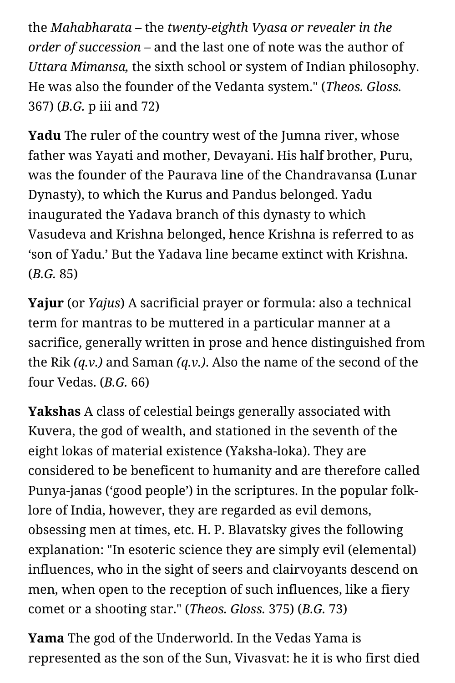the *Mahabharata –* the *twenty-eighth Vyasa or revealer in the order of succession –* and the last one of note was the author of *Uttara Mimansa,* the sixth school or system of Indian philosophy. He was also the founder of the Vedanta system." (*Theos. Gloss.* 367) (*B.G.* p iii and 72)

**Yadu** The ruler of the country west of the Jumna river, whose father was Yayati and mother, Devayani. His half brother, Puru, was the founder of the Paurava line of the Chandravansa (Lunar Dynasty), to which the Kurus and Pandus belonged. Yadu inaugurated the Yadava branch of this dynasty to which Vasudeva and Krishna belonged, hence Krishna is referred to as 'son of Yadu.' But the Yadava line became extinct with Krishna. (*B.G.* 85)

**Yajur** (or *Yajus*) A sacrificial prayer or formula: also a technical term for mantras to be muttered in a particular manner at a sacrifice, generally written in prose and hence distinguished from the Rik *(q.v.)* and Saman *(q.v.)*. Also the name of the second of the four Vedas. (*B.G.* 66)

**Yakshas** A class of celestial beings generally associated with Kuvera, the god of wealth, and stationed in the seventh of the eight lokas of material existence (Yaksha-loka). They are considered to be beneficent to humanity and are therefore called Punya-janas ('good people') in the scriptures. In the popular folklore of India, however, they are regarded as evil demons, obsessing men at times, etc. H. P. Blavatsky gives the following explanation: "In esoteric science they are simply evil (elemental) influences, who in the sight of seers and clairvoyants descend on men, when open to the reception of such influences, like a fiery comet or a shooting star." (*Theos. Gloss.* 375) (*B.G.* 73)

**Yama** The god of the Underworld. In the Vedas Yama is represented as the son of the Sun, Vivasvat: he it is who first died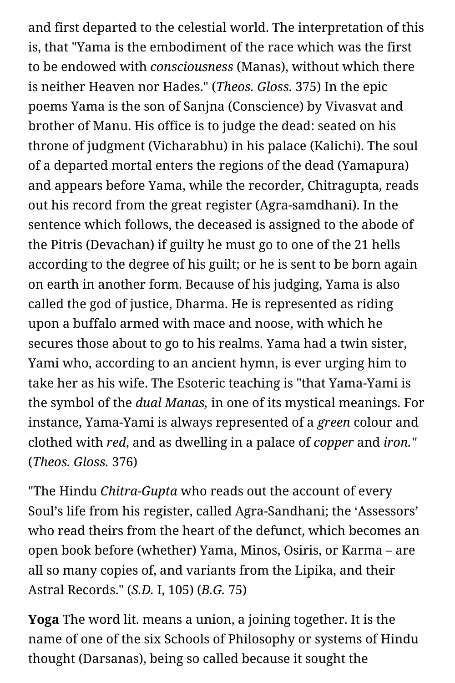and first departed to the celestial world. The interpretation of this is, that "Yama is the embodiment of the race which was the first to be endowed with *consciousness* (Manas), without which there is neither Heaven nor Hades." (*Theos. Gloss.* 375) In the epic poems Yama is the son of Sanjna (Conscience) by Vivasvat and brother of Manu. His office is to judge the dead: seated on his throne of judgment (Vicharabhu) in his palace (Kalichi). The soul of a departed mortal enters the regions of the dead (Yamapura) and appears before Yama, while the recorder, Chitragupta, reads out his record from the great register (Agra-samdhani). In the sentence which follows, the deceased is assigned to the abode of the Pitris (Devachan) if guilty he must go to one of the 21 hells according to the degree of his guilt; or he is sent to be born again on earth in another form. Because of his judging, Yama is also called the god of justice, Dharma. He is represented as riding upon a buffalo armed with mace and noose, with which he secures those about to go to his realms. Yama had a twin sister, Yami who, according to an ancient hymn, is ever urging him to take her as his wife. The Esoteric teaching is "that Yama-Yami is the symbol of the *dual Manas,* in one of its mystical meanings. For instance, Yama-Yami is always represented of a *green* colour and clothed with *red*, and as dwelling in a palace of *copper* and *iron."* (*Theos. Gloss.* 376)

"The Hindu *Chitra-Gupta* who reads out the account of every Soul's life from his register, called Agra-Sandhani; the 'Assessors' who read theirs from the heart of the defunct, which becomes an open book before (whether) Yama, Minos, Osiris, or Karma – are all so many copies of, and variants from the Lipika, and their Astral Records." (*S.D.* I, 105) (*B.G.* 75)

**Yoga** The word lit. means a union, a joining together. It is the name of one of the six Schools of Philosophy or systems of Hindu thought (Darsanas), being so called because it sought the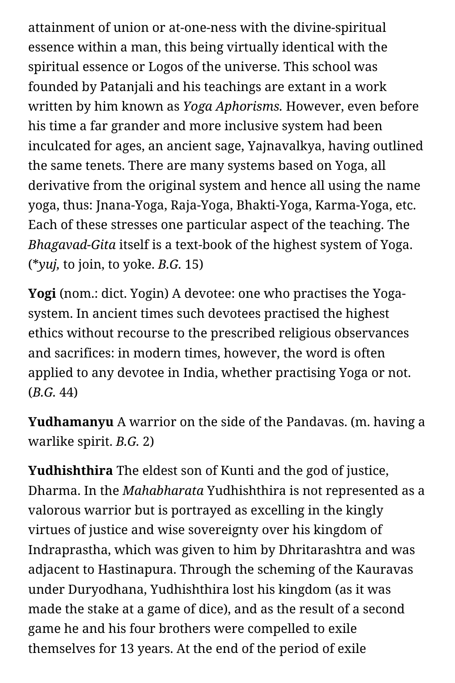attainment of union or at-one-ness with the divine-spiritual essence within a man, this being virtually identical with the spiritual essence or Logos of the universe. This school was founded by Patanjali and his teachings are extant in a work written by him known as *Yoga Aphorisms.* However, even before his time a far grander and more inclusive system had been inculcated for ages, an ancient sage, Yajnavalkya, having outlined the same tenets. There are many systems based on Yoga, all derivative from the original system and hence all using the name yoga, thus: Jnana-Yoga, Raja-Yoga, Bhakti-Yoga, Karma-Yoga, etc. Each of these stresses one particular aspect of the teaching. The *Bhagavad-Gita* itself is a text-book of the highest system of Yoga. (\**yuj,* to join, to yoke. *B.G.* 15)

**Yogi** (nom.: dict. Yogin) A devotee: one who practises the Yogasystem. In ancient times such devotees practised the highest ethics without recourse to the prescribed religious observances and sacrifices: in modern times, however, the word is often applied to any devotee in India, whether practising Yoga or not. (*B.G.* 44)

**Yudhamanyu** A warrior on the side of the Pandavas. (m. having a warlike spirit. *B.G.* 2)

**Yudhishthira** The eldest son of Kunti and the god of justice, Dharma. In the *Mahabharata* Yudhishthira is not represented as a valorous warrior but is portrayed as excelling in the kingly virtues of justice and wise sovereignty over his kingdom of Indraprastha, which was given to him by Dhritarashtra and was adjacent to Hastinapura. Through the scheming of the Kauravas under Duryodhana, Yudhishthira lost his kingdom (as it was made the stake at a game of dice), and as the result of a second game he and his four brothers were compelled to exile themselves for 13 years. At the end of the period of exile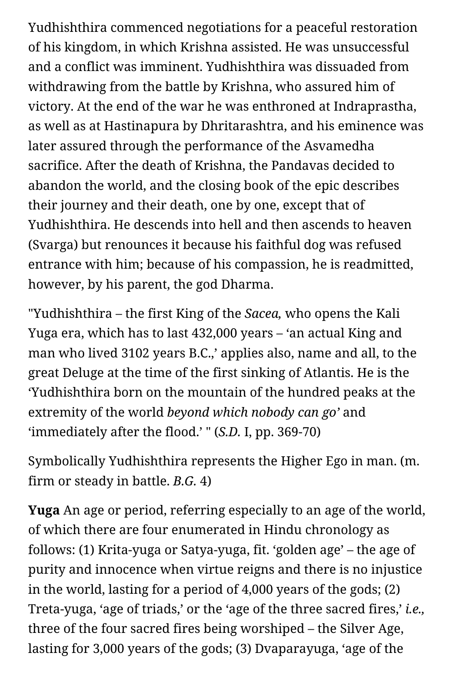Yudhishthira commenced negotiations for a peaceful restoration of his kingdom, in which Krishna assisted. He was unsuccessful and a conflict was imminent. Yudhishthira was dissuaded from withdrawing from the battle by Krishna, who assured him of victory. At the end of the war he was enthroned at Indraprastha, as well as at Hastinapura by Dhritarashtra, and his eminence was later assured through the performance of the Asvamedha sacrifice. After the death of Krishna, the Pandavas decided to abandon the world, and the closing book of the epic describes their journey and their death, one by one, except that of Yudhishthira. He descends into hell and then ascends to heaven (Svarga) but renounces it because his faithful dog was refused entrance with him; because of his compassion, he is readmitted, however, by his parent, the god Dharma.

"Yudhishthira – the first King of the *Sacea,* who opens the Kali Yuga era, which has to last 432,000 years – 'an actual King and man who lived 3102 years B.C.,' applies also, name and all, to the great Deluge at the time of the first sinking of Atlantis. He is the 'Yudhishthira born on the mountain of the hundred peaks at the extremity of the world *beyond which nobody can go'* and 'immediately after the flood.' " (*S.D.* I, pp. 369-70)

Symbolically Yudhishthira represents the Higher Ego in man. (m. firm or steady in battle. *B.G.* 4)

**Yuga** An age or period, referring especially to an age of the world, of which there are four enumerated in Hindu chronology as follows: (1) Krita-yuga or Satya-yuga, fit. 'golden age' – the age of purity and innocence when virtue reigns and there is no injustice in the world, lasting for a period of 4,000 years of the gods; (2) Treta-yuga, 'age of triads,' or the 'age of the three sacred fires,' *i.e.,* three of the four sacred fires being worshiped – the Silver Age, lasting for 3,000 years of the gods; (3) Dvaparayuga, 'age of the